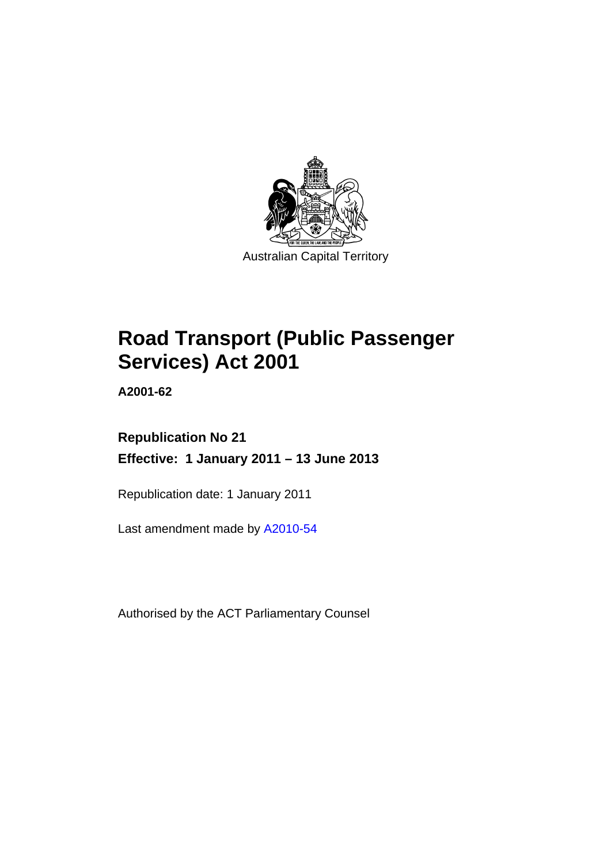

# **Road Transport (Public Passenger Services) Act 2001**

**A2001-62** 

**Republication No 21 Effective: 1 January 2011 – 13 June 2013** 

Republication date: 1 January 2011

Last amendment made by [A2010-54](http://www.legislation.act.gov.au/a/2010-54)

Authorised by the ACT Parliamentary Counsel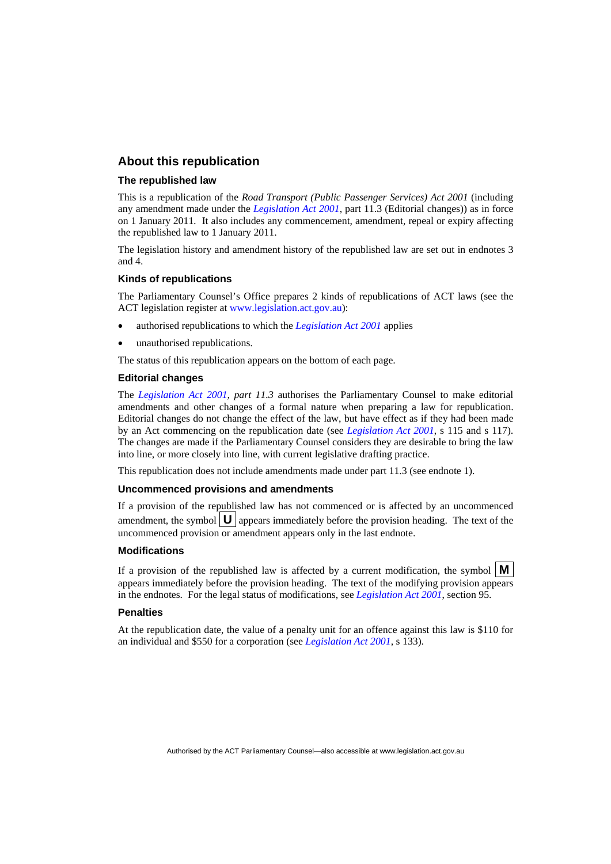### **About this republication**

#### **The republished law**

This is a republication of the *Road Transport (Public Passenger Services) Act 2001* (including any amendment made under the *[Legislation Act 2001](http://www.legislation.act.gov.au/a/2001-14)*, part 11.3 (Editorial changes)) as in force on 1 January 2011*.* It also includes any commencement, amendment, repeal or expiry affecting the republished law to 1 January 2011.

The legislation history and amendment history of the republished law are set out in endnotes 3 and 4.

#### **Kinds of republications**

The Parliamentary Counsel's Office prepares 2 kinds of republications of ACT laws (see the ACT legislation register at [www.legislation.act.gov.au](http://www.legislation.act.gov.au/)):

- authorised republications to which the *[Legislation Act 2001](http://www.legislation.act.gov.au/a/2001-14)* applies
- unauthorised republications.

The status of this republication appears on the bottom of each page.

#### **Editorial changes**

The *[Legislation Act 2001,](http://www.legislation.act.gov.au/a/2001-14) part 11.3* authorises the Parliamentary Counsel to make editorial amendments and other changes of a formal nature when preparing a law for republication. Editorial changes do not change the effect of the law, but have effect as if they had been made by an Act commencing on the republication date (see *[Legislation Act 2001](http://www.legislation.act.gov.au/a/2001-14)*, s 115 and s 117). The changes are made if the Parliamentary Counsel considers they are desirable to bring the law into line, or more closely into line, with current legislative drafting practice.

This republication does not include amendments made under part 11.3 (see endnote 1).

#### **Uncommenced provisions and amendments**

If a provision of the republished law has not commenced or is affected by an uncommenced amendment, the symbol  $\mathbf{U}$  appears immediately before the provision heading. The text of the uncommenced provision or amendment appears only in the last endnote.

#### **Modifications**

If a provision of the republished law is affected by a current modification, the symbol  $\mathbf{M}$ appears immediately before the provision heading. The text of the modifying provision appears in the endnotes. For the legal status of modifications, see *[Legislation Act 2001](http://www.legislation.act.gov.au/a/2001-14)*, section 95.

#### **Penalties**

At the republication date, the value of a penalty unit for an offence against this law is \$110 for an individual and \$550 for a corporation (see *[Legislation Act 2001](http://www.legislation.act.gov.au/a/2001-14)*, s 133).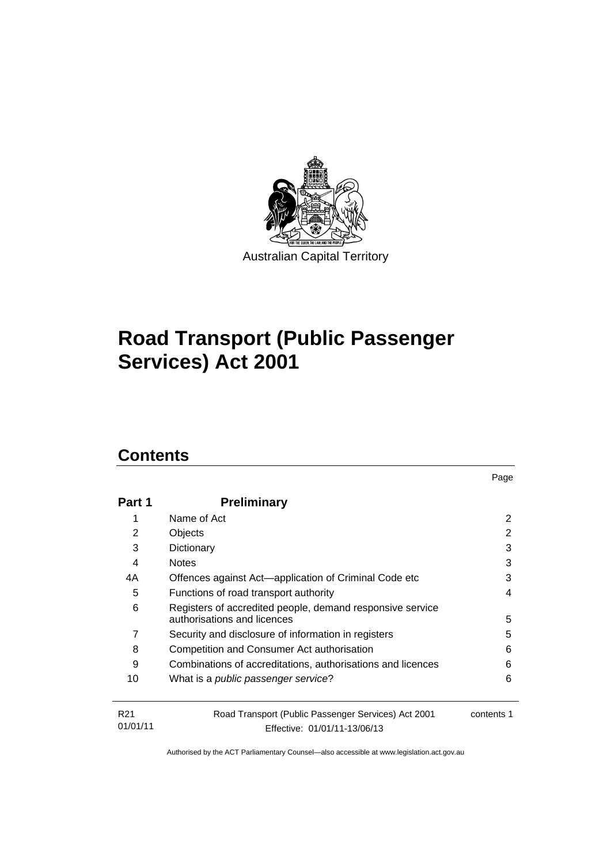

# **Road Transport (Public Passenger Services) Act 2001**

# **Contents**

| Part 1                      | <b>Preliminary</b>                                                                       |            |
|-----------------------------|------------------------------------------------------------------------------------------|------------|
| 1                           | Name of Act                                                                              | 2          |
| 2                           | Objects                                                                                  | 2          |
| 3                           | Dictionary                                                                               | 3          |
| 4                           | <b>Notes</b>                                                                             | 3          |
| 4A                          | Offences against Act—application of Criminal Code etc                                    | 3          |
| 5                           | Functions of road transport authority                                                    | 4          |
| 6                           | Registers of accredited people, demand responsive service<br>authorisations and licences | 5          |
| 7                           | Security and disclosure of information in registers                                      | 5          |
| 8                           | Competition and Consumer Act authorisation                                               | 6          |
| 9                           | Combinations of accreditations, authorisations and licences                              | 6          |
| 10                          | What is a <i>public passenger service</i> ?                                              | 6          |
| R <sub>21</sub><br>01/01/11 | Road Transport (Public Passenger Services) Act 2001<br>Effective: 01/01/11-13/06/13      | contents 1 |

Page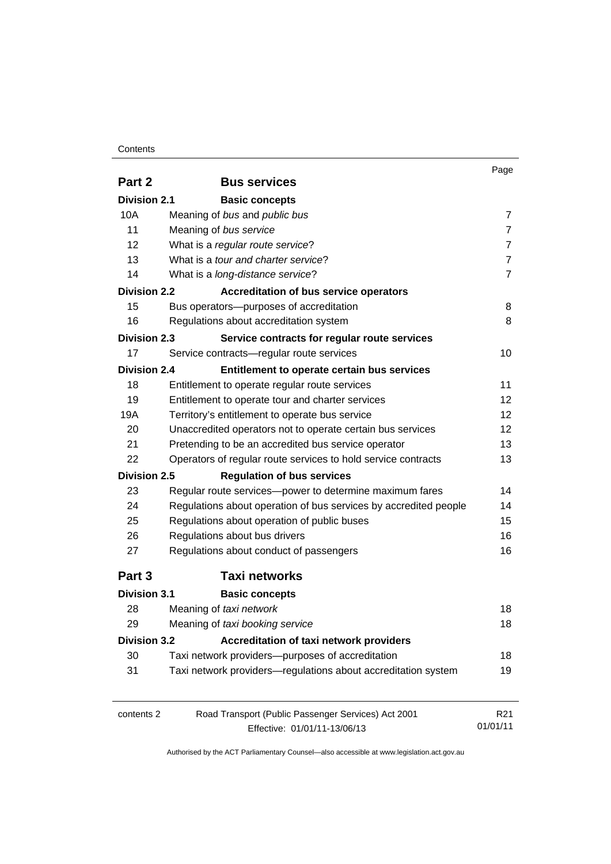### Contents

|                     |                                                                  | Page            |
|---------------------|------------------------------------------------------------------|-----------------|
| Part 2              | <b>Bus services</b>                                              |                 |
| <b>Division 2.1</b> | <b>Basic concepts</b>                                            |                 |
| 10A                 | Meaning of bus and public bus                                    | $\overline{7}$  |
| 11                  | Meaning of bus service                                           | $\overline{7}$  |
| 12                  | What is a regular route service?                                 | $\overline{7}$  |
| 13                  | What is a tour and charter service?                              | $\overline{7}$  |
| 14                  | What is a long-distance service?                                 | $\overline{7}$  |
| <b>Division 2.2</b> | <b>Accreditation of bus service operators</b>                    |                 |
| 15                  | Bus operators-purposes of accreditation                          | 8               |
| 16                  | Regulations about accreditation system                           | 8               |
| <b>Division 2.3</b> | Service contracts for regular route services                     |                 |
| 17                  | Service contracts-regular route services                         | 10              |
| <b>Division 2.4</b> | Entitlement to operate certain bus services                      |                 |
| 18                  | Entitlement to operate regular route services                    | 11              |
| 19                  | Entitlement to operate tour and charter services                 | 12              |
| 19A                 | Territory's entitlement to operate bus service                   | 12              |
| 20                  | Unaccredited operators not to operate certain bus services       | 12              |
| 21                  | Pretending to be an accredited bus service operator              | 13              |
| 22                  | Operators of regular route services to hold service contracts    | 13              |
| <b>Division 2.5</b> | <b>Regulation of bus services</b>                                |                 |
| 23                  | Regular route services-power to determine maximum fares          | 14              |
| 24                  | Regulations about operation of bus services by accredited people | 14              |
| 25                  | Regulations about operation of public buses                      | 15              |
| 26                  | Regulations about bus drivers                                    | 16              |
| 27                  | Regulations about conduct of passengers                          | 16              |
| Part 3              | <b>Taxi networks</b>                                             |                 |
| <b>Division 3.1</b> | <b>Basic concepts</b>                                            |                 |
| 28                  | Meaning of taxi network                                          | 18              |
| 29                  | Meaning of taxi booking service                                  | 18              |
| <b>Division 3.2</b> | Accreditation of taxi network providers                          |                 |
| 30                  | Taxi network providers-purposes of accreditation                 | 18              |
| 31                  | Taxi network providers-regulations about accreditation system    | 19              |
| contents 2          | Road Transport (Public Passenger Services) Act 2001              | R <sub>21</sub> |
|                     | Effective: 01/01/11-13/06/13                                     | 01/01/11        |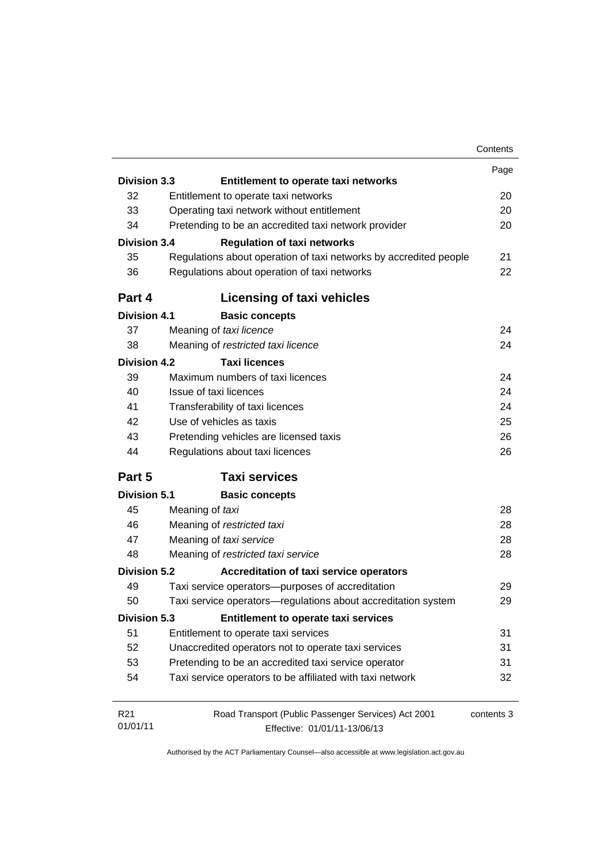|                     |                                                                   | Contents   |
|---------------------|-------------------------------------------------------------------|------------|
|                     |                                                                   | Page       |
| <b>Division 3.3</b> | Entitlement to operate taxi networks                              |            |
| 32                  | Entitlement to operate taxi networks                              | 20         |
| 33                  | Operating taxi network without entitlement                        | 20         |
| 34                  | Pretending to be an accredited taxi network provider              | 20         |
| <b>Division 3.4</b> | <b>Regulation of taxi networks</b>                                |            |
| 35                  | Regulations about operation of taxi networks by accredited people | 21         |
| 36                  | Regulations about operation of taxi networks                      | 22         |
| Part 4              | <b>Licensing of taxi vehicles</b>                                 |            |
| <b>Division 4.1</b> | <b>Basic concepts</b>                                             |            |
| 37                  | Meaning of taxi licence                                           | 24         |
| 38                  | Meaning of restricted taxi licence                                | 24         |
| <b>Division 4.2</b> | <b>Taxi licences</b>                                              |            |
| 39                  | Maximum numbers of taxi licences                                  | 24         |
| 40                  | Issue of taxi licences                                            | 24         |
| 41                  | Transferability of taxi licences                                  | 24         |
| 42                  | Use of vehicles as taxis                                          | 25         |
| 43                  | Pretending vehicles are licensed taxis                            | 26         |
| 44                  | Regulations about taxi licences                                   | 26         |
| Part 5              | <b>Taxi services</b>                                              |            |
| <b>Division 5.1</b> | <b>Basic concepts</b>                                             |            |
| 45                  | Meaning of taxi                                                   | 28         |
| 46                  | Meaning of restricted taxi                                        | 28         |
| 47                  | Meaning of taxi service                                           | 28         |
| 48                  | Meaning of restricted taxi service                                | 28         |
| <b>Division 5.2</b> | <b>Accreditation of taxi service operators</b>                    |            |
| 49                  | Taxi service operators-purposes of accreditation                  | 29         |
| 50                  | Taxi service operators—regulations about accreditation system     | 29         |
| Division 5.3        | Entitlement to operate taxi services                              |            |
| 51                  | Entitlement to operate taxi services                              | 31         |
| 52                  | Unaccredited operators not to operate taxi services               | 31         |
| 53                  | Pretending to be an accredited taxi service operator              | 31         |
| 54                  | Taxi service operators to be affiliated with taxi network         | 32         |
| R <sub>21</sub>     | Road Transport (Public Passenger Services) Act 2001               | contents 3 |
| 01/01/11            | Effective: 01/01/11-13/06/13                                      |            |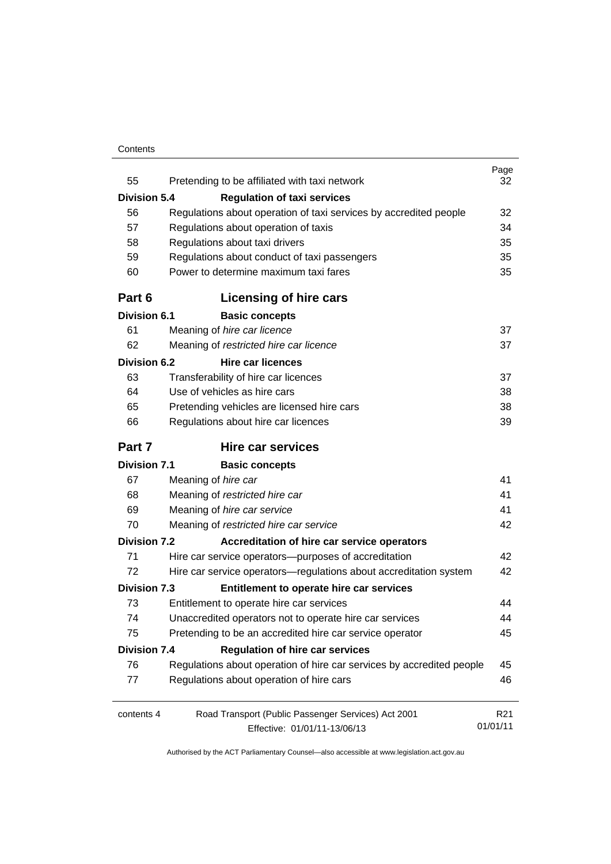### **Contents**

| 55                  | Pretending to be affiliated with taxi network                         | Page<br>32      |
|---------------------|-----------------------------------------------------------------------|-----------------|
| <b>Division 5.4</b> | <b>Regulation of taxi services</b>                                    |                 |
| 56                  | Regulations about operation of taxi services by accredited people     | 32              |
| 57                  | Regulations about operation of taxis                                  | 34              |
| 58                  | Regulations about taxi drivers                                        | 35              |
| 59                  | Regulations about conduct of taxi passengers                          | 35              |
| 60                  | Power to determine maximum taxi fares                                 | 35              |
| Part 6              | Licensing of hire cars                                                |                 |
| <b>Division 6.1</b> | <b>Basic concepts</b>                                                 |                 |
| 61                  | Meaning of hire car licence                                           | 37              |
| 62                  | Meaning of restricted hire car licence                                | 37              |
| <b>Division 6.2</b> | <b>Hire car licences</b>                                              |                 |
| 63                  | Transferability of hire car licences                                  | 37              |
| 64                  | Use of vehicles as hire cars                                          | 38              |
| 65                  | Pretending vehicles are licensed hire cars                            | 38              |
| 66                  | Regulations about hire car licences                                   | 39              |
| Part 7              | <b>Hire car services</b>                                              |                 |
| <b>Division 7.1</b> | <b>Basic concepts</b>                                                 |                 |
| 67                  | Meaning of hire car                                                   | 41              |
| 68                  | Meaning of restricted hire car                                        | 41              |
| 69                  | Meaning of hire car service                                           | 41              |
| 70                  | Meaning of restricted hire car service                                | 42              |
| <b>Division 7.2</b> | Accreditation of hire car service operators                           |                 |
| 71                  | Hire car service operators—purposes of accreditation                  | 42              |
| 72                  | Hire car service operators—regulations about accreditation system     | 42              |
| Division 7.3        | Entitlement to operate hire car services                              |                 |
| 73                  | Entitlement to operate hire car services                              | 44              |
| 74                  | Unaccredited operators not to operate hire car services               | 44              |
| 75                  | Pretending to be an accredited hire car service operator              | 45              |
| <b>Division 7.4</b> | <b>Regulation of hire car services</b>                                |                 |
| 76                  | Regulations about operation of hire car services by accredited people | 45              |
| 77                  | Regulations about operation of hire cars                              | 46              |
| contents 4          | Road Transport (Public Passenger Services) Act 2001                   | R <sub>21</sub> |
|                     | Effective: 01/01/11-13/06/13                                          | 01/01/11        |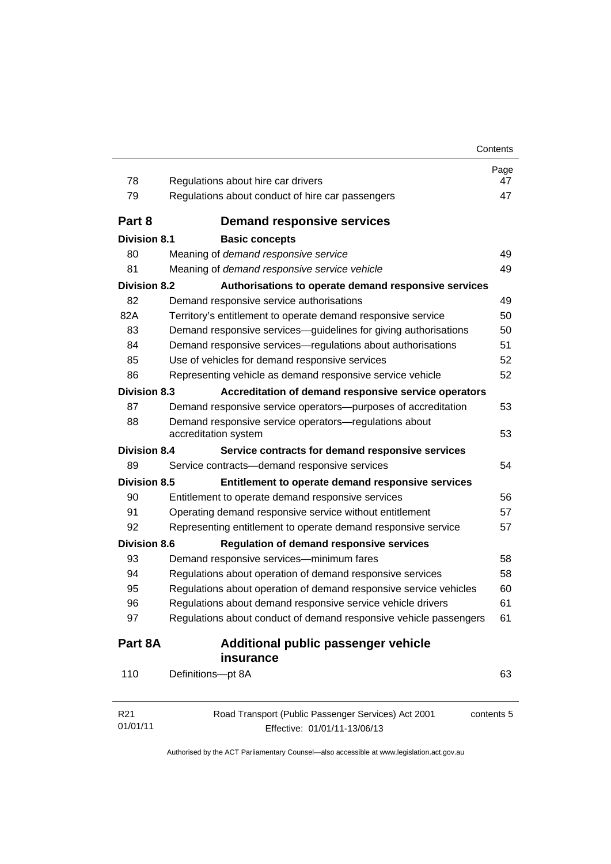| 78                  | Regulations about hire car drivers                                            | Page<br>47 |
|---------------------|-------------------------------------------------------------------------------|------------|
| 79                  | Regulations about conduct of hire car passengers                              | 47         |
| Part 8              | <b>Demand responsive services</b>                                             |            |
| <b>Division 8.1</b> | <b>Basic concepts</b>                                                         |            |
| 80                  | Meaning of demand responsive service                                          | 49         |
| 81                  | Meaning of demand responsive service vehicle                                  | 49         |
| <b>Division 8.2</b> | Authorisations to operate demand responsive services                          |            |
| 82                  | Demand responsive service authorisations                                      | 49         |
| 82A                 | Territory's entitlement to operate demand responsive service                  | 50         |
| 83                  | Demand responsive services-guidelines for giving authorisations               | 50         |
| 84                  | Demand responsive services-regulations about authorisations                   | 51         |
| 85                  | Use of vehicles for demand responsive services                                | 52         |
| 86                  | Representing vehicle as demand responsive service vehicle                     | 52         |
| <b>Division 8.3</b> | Accreditation of demand responsive service operators                          |            |
| 87                  | Demand responsive service operators-purposes of accreditation                 | 53         |
| 88                  | Demand responsive service operators-regulations about<br>accreditation system | 53         |
| <b>Division 8.4</b> | Service contracts for demand responsive services                              |            |
| 89                  | Service contracts-demand responsive services                                  | 54         |
| <b>Division 8.5</b> | Entitlement to operate demand responsive services                             |            |
| 90                  | Entitlement to operate demand responsive services                             | 56         |
| 91                  | Operating demand responsive service without entitlement                       | 57         |
| 92                  | Representing entitlement to operate demand responsive service                 | 57         |
| <b>Division 8.6</b> | <b>Regulation of demand responsive services</b>                               |            |
| 93                  | Demand responsive services-minimum fares                                      | 58         |
| 94                  | Regulations about operation of demand responsive services                     | 58         |
| 95                  | Regulations about operation of demand responsive service vehicles             | 60         |
| 96                  | Regulations about demand responsive service vehicle drivers                   | 61         |
| 97                  | Regulations about conduct of demand responsive vehicle passengers             | 61         |
| Part 8A             | Additional public passenger vehicle<br>insurance                              |            |
| 110                 | Definitions-pt 8A                                                             | 63         |
| R <sub>21</sub>     | Road Transport (Public Passenger Services) Act 2001                           | contents 5 |
| 01/01/11            | Effective: 01/01/11-13/06/13                                                  |            |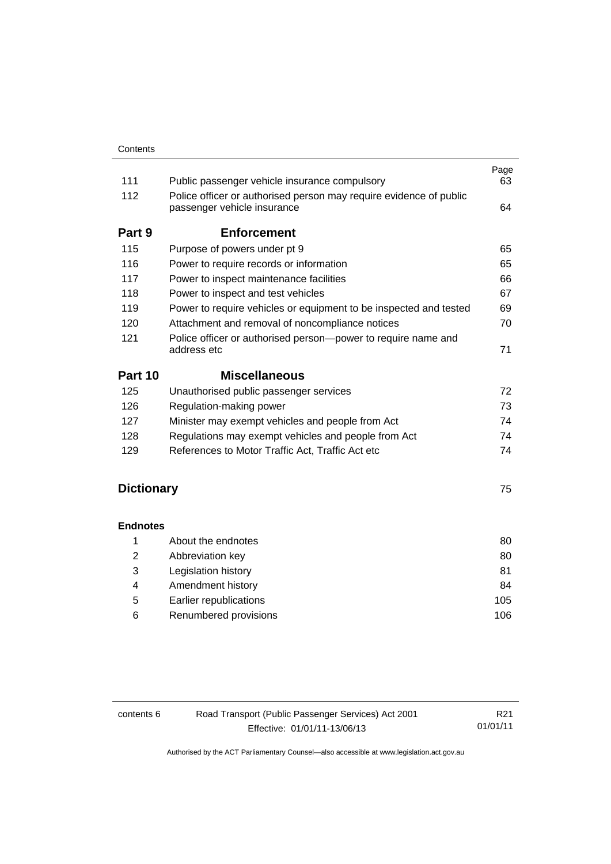| 111     | Public passenger vehicle insurance compulsory                                                     | Page<br>63 |
|---------|---------------------------------------------------------------------------------------------------|------------|
| 112     | Police officer or authorised person may require evidence of public<br>passenger vehicle insurance | 64         |
| Part 9  | <b>Enforcement</b>                                                                                |            |
| 115     | Purpose of powers under pt 9                                                                      | 65         |
| 116     | Power to require records or information                                                           | 65         |
| 117     | Power to inspect maintenance facilities                                                           | 66         |
| 118     | Power to inspect and test vehicles                                                                | 67         |
| 119     | Power to require vehicles or equipment to be inspected and tested                                 | 69         |
| 120     | Attachment and removal of noncompliance notices                                                   | 70         |
| 121     | Police officer or authorised person-power to require name and<br>address etc.                     | 71         |
| Part 10 | <b>Miscellaneous</b>                                                                              |            |
| 125     | Unauthorised public passenger services                                                            | 72         |
| 126     | Regulation-making power                                                                           | 73         |
| 127     | Minister may exempt vehicles and people from Act                                                  | 74         |
| 128     | Regulations may exempt vehicles and people from Act                                               | 74         |
| 129     | References to Motor Traffic Act, Traffic Act etc                                                  | 74         |
|         |                                                                                                   |            |

# **[Dictionary](#page-82-0)** [75](#page-82-0)

### **[Endnotes](#page-87-0)**

|   | About the endnotes     | 80  |
|---|------------------------|-----|
| 2 | Abbreviation key       | 80  |
| 3 | Legislation history    | 81  |
| 4 | Amendment history      | 84  |
| 5 | Earlier republications | 105 |
| 6 | Renumbered provisions  | 106 |

| contents 6 | Road Transport (Public Passenger Services) Act 2001 | R21      |
|------------|-----------------------------------------------------|----------|
|            | Effective: 01/01/11-13/06/13                        | 01/01/11 |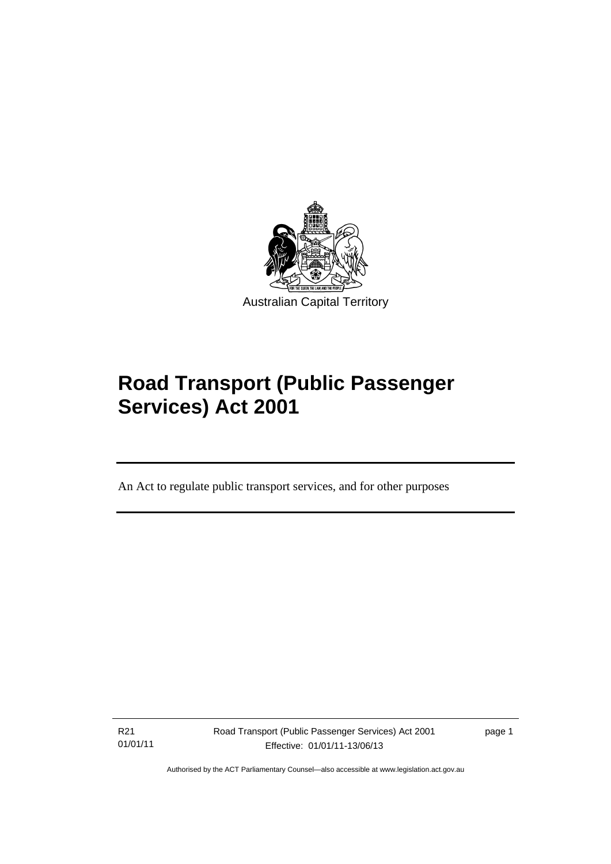

# **Road Transport (Public Passenger Services) Act 2001**

An Act to regulate public transport services, and for other purposes

R21 01/01/11

l

Road Transport (Public Passenger Services) Act 2001 Effective: 01/01/11-13/06/13

page 1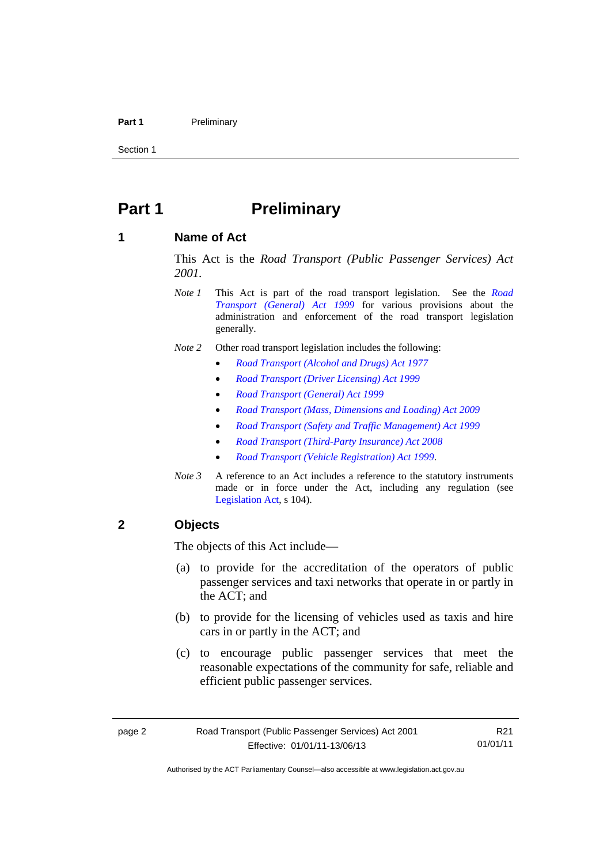#### Part 1 **Preliminary**

Section 1

# <span id="page-9-0"></span>**Part 1** Preliminary

### <span id="page-9-1"></span>**1 Name of Act**

This Act is the *Road Transport (Public Passenger Services) Act 2001.* 

- *Note 1* This Act is part of the road transport legislation. See the *[Road](http://www.legislation.act.gov.au/a/1999-77)  [Transport \(General\) Act 1999](http://www.legislation.act.gov.au/a/1999-77)* for various provisions about the administration and enforcement of the road transport legislation generally.
- *Note 2* Other road transport legislation includes the following:
	- *[Road Transport \(Alcohol and Drugs\) Act 1977](http://www.legislation.act.gov.au/a/1977-17)*
	- *[Road Transport \(Driver Licensing\) Act 1999](http://www.legislation.act.gov.au/a/1999-78)*
	- *[Road Transport \(General\) Act 1999](http://www.legislation.act.gov.au/a/1999-77)*
	- *[Road Transport \(Mass, Dimensions and Loading\) Act 2009](http://www.legislation.act.gov.au/a/2009-22)*
	- *[Road Transport \(Safety and Traffic Management\) Act 1999](http://www.legislation.act.gov.au/a/1999-80)*
	- *[Road Transport \(Third-Party Insurance\) Act 2008](http://www.legislation.act.gov.au/a/2008-1)*
	- *[Road Transport \(Vehicle Registration\) Act 1999](http://www.legislation.act.gov.au/a/1999-81)*.
- *Note 3* A reference to an Act includes a reference to the statutory instruments made or in force under the Act, including any regulation (see [Legislation Act,](http://www.legislation.act.gov.au/a/2001-14) s 104).

### <span id="page-9-2"></span>**2 Objects**

The objects of this Act include—

- (a) to provide for the accreditation of the operators of public passenger services and taxi networks that operate in or partly in the ACT; and
- (b) to provide for the licensing of vehicles used as taxis and hire cars in or partly in the ACT; and
- (c) to encourage public passenger services that meet the reasonable expectations of the community for safe, reliable and efficient public passenger services.

R21 01/01/11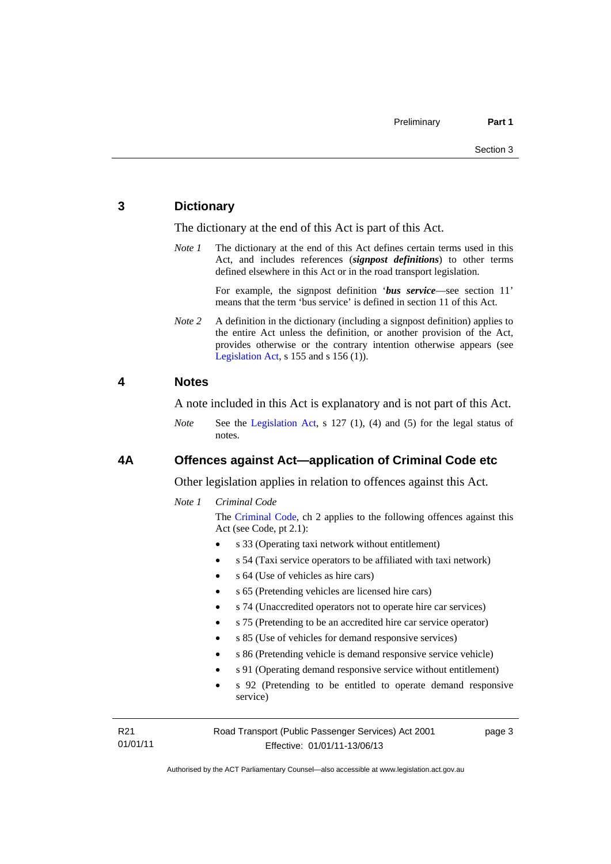### <span id="page-10-0"></span>**3 Dictionary**

The dictionary at the end of this Act is part of this Act.

*Note 1* The dictionary at the end of this Act defines certain terms used in this Act, and includes references (*signpost definitions*) to other terms defined elsewhere in this Act or in the road transport legislation.

> For example, the signpost definition '*bus service*—see section 11' means that the term 'bus service' is defined in section 11 of this Act.

*Note* 2 A definition in the dictionary (including a signpost definition) applies to the entire Act unless the definition, or another provision of the Act, provides otherwise or the contrary intention otherwise appears (see [Legislation Act,](http://www.legislation.act.gov.au/a/2001-14) s  $155$  and s  $156$  (1)).

### <span id="page-10-1"></span>**4 Notes**

A note included in this Act is explanatory and is not part of this Act.

*Note* See the [Legislation Act](http://www.legislation.act.gov.au/a/2001-14), s 127 (1), (4) and (5) for the legal status of notes.

#### <span id="page-10-2"></span>**4A Offences against Act—application of Criminal Code etc**

Other legislation applies in relation to offences against this Act.

#### *Note 1 Criminal Code*

The [Criminal Code](http://www.legislation.act.gov.au/a/2002-51), ch 2 applies to the following offences against this Act (see Code, pt 2.1):

- s 33 (Operating taxi network without entitlement)
- s 54 (Taxi service operators to be affiliated with taxi network)
- s 64 (Use of vehicles as hire cars)
- s 65 (Pretending vehicles are licensed hire cars)
- s 74 (Unaccredited operators not to operate hire car services)
- s 75 (Pretending to be an accredited hire car service operator)
- s 85 (Use of vehicles for demand responsive services)
- s 86 (Pretending vehicle is demand responsive service vehicle)
- s 91 (Operating demand responsive service without entitlement)
- s 92 (Pretending to be entitled to operate demand responsive service)

R21 01/01/11 page 3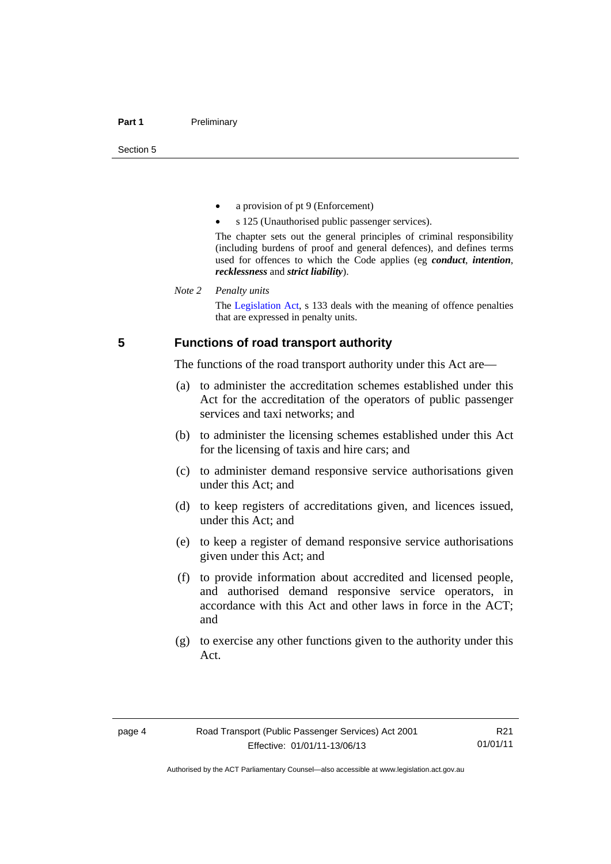- a provision of pt 9 (Enforcement)
- s 125 (Unauthorised public passenger services).

The chapter sets out the general principles of criminal responsibility (including burdens of proof and general defences), and defines terms used for offences to which the Code applies (eg *conduct*, *intention*, *recklessness* and *strict liability*).

#### *Note 2 Penalty units*

The [Legislation Act](http://www.legislation.act.gov.au/a/2001-14), s 133 deals with the meaning of offence penalties that are expressed in penalty units.

### <span id="page-11-0"></span>**5 Functions of road transport authority**

The functions of the road transport authority under this Act are—

- (a) to administer the accreditation schemes established under this Act for the accreditation of the operators of public passenger services and taxi networks; and
- (b) to administer the licensing schemes established under this Act for the licensing of taxis and hire cars; and
- (c) to administer demand responsive service authorisations given under this Act; and
- (d) to keep registers of accreditations given, and licences issued, under this Act; and
- (e) to keep a register of demand responsive service authorisations given under this Act; and
- (f) to provide information about accredited and licensed people, and authorised demand responsive service operators, in accordance with this Act and other laws in force in the ACT; and
- (g) to exercise any other functions given to the authority under this Act.

R21 01/01/11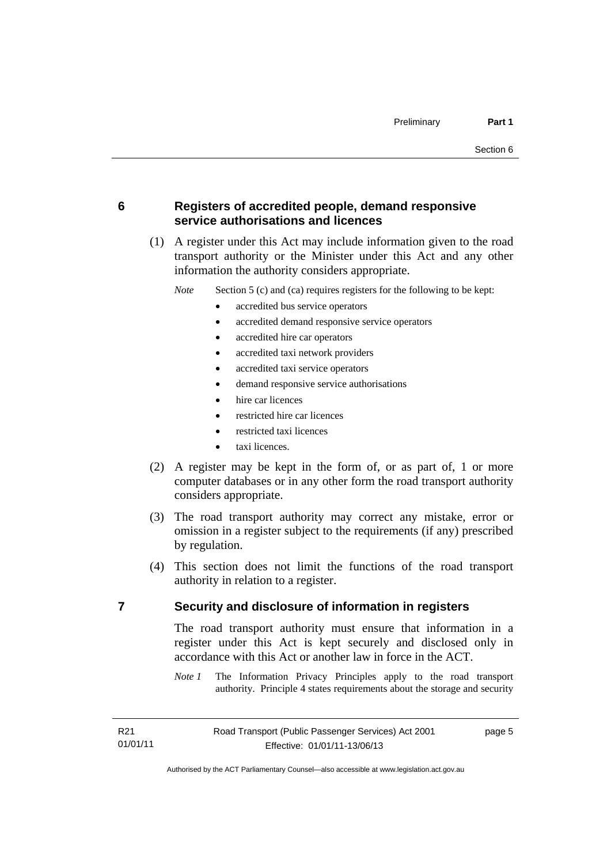### <span id="page-12-0"></span>**6 Registers of accredited people, demand responsive service authorisations and licences**

 (1) A register under this Act may include information given to the road transport authority or the Minister under this Act and any other information the authority considers appropriate.

*Note* Section 5 (c) and (ca) requires registers for the following to be kept:

- accredited bus service operators
- accredited demand responsive service operators
- accredited hire car operators
- accredited taxi network providers
- accredited taxi service operators
- demand responsive service authorisations
- hire car licences
- restricted hire car licences
- restricted taxi licences
- taxi licences.
- (2) A register may be kept in the form of, or as part of, 1 or more computer databases or in any other form the road transport authority considers appropriate.
- (3) The road transport authority may correct any mistake, error or omission in a register subject to the requirements (if any) prescribed by regulation.
- (4) This section does not limit the functions of the road transport authority in relation to a register.

### <span id="page-12-1"></span>**7 Security and disclosure of information in registers**

The road transport authority must ensure that information in a register under this Act is kept securely and disclosed only in accordance with this Act or another law in force in the ACT.

*Note 1* The Information Privacy Principles apply to the road transport authority. Principle 4 states requirements about the storage and security

page 5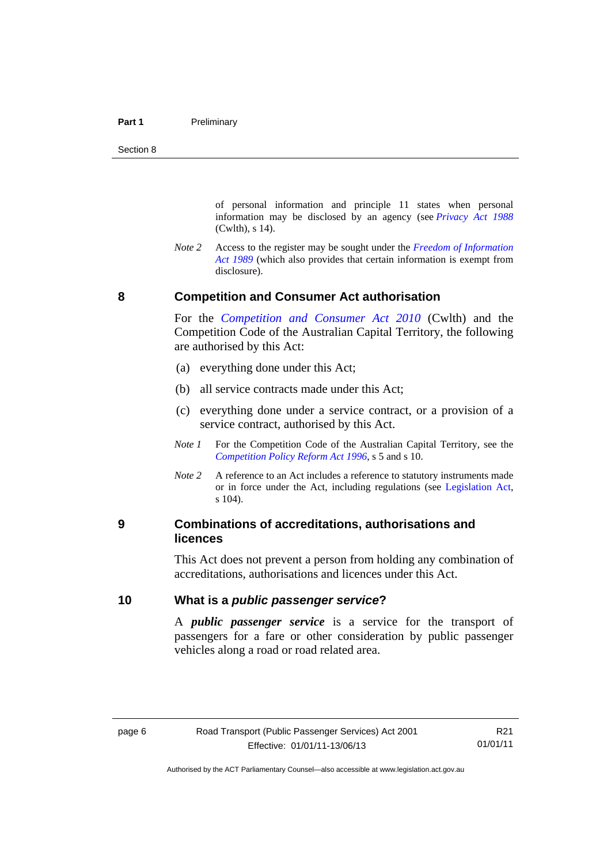of personal information and principle 11 states when personal information may be disclosed by an agency (see *[Privacy Act 1988](http://www.comlaw.gov.au/Current/C2004A03712)* (Cwlth), s 14).

*Note 2* Access to the register may be sought under the *[Freedom of Information](http://www.legislation.act.gov.au/a/alt_a1989-46co)  [Act 1989](http://www.legislation.act.gov.au/a/alt_a1989-46co)* (which also provides that certain information is exempt from disclosure).

#### <span id="page-13-0"></span>**8 Competition and Consumer Act authorisation**

For the *[Competition and Consumer Act 2010](http://www.comlaw.gov.au/Details/C2013C00004)* (Cwlth) and the Competition Code of the Australian Capital Territory, the following are authorised by this Act:

- (a) everything done under this Act;
- (b) all service contracts made under this Act;
- (c) everything done under a service contract, or a provision of a service contract, authorised by this Act.
- *Note 1* For the Competition Code of the Australian Capital Territory, see the *[Competition Policy Reform Act 1996](http://www.legislation.act.gov.au/a/1996-21)*, s 5 and s 10.
- *Note 2* A reference to an Act includes a reference to statutory instruments made or in force under the Act, including regulations (see [Legislation Act,](http://www.legislation.act.gov.au/a/2001-14) s 104).

### <span id="page-13-1"></span>**9 Combinations of accreditations, authorisations and licences**

This Act does not prevent a person from holding any combination of accreditations, authorisations and licences under this Act.

### <span id="page-13-2"></span>**10 What is a** *public passenger service***?**

A *public passenger service* is a service for the transport of passengers for a fare or other consideration by public passenger vehicles along a road or road related area.

Authorised by the ACT Parliamentary Counsel—also accessible at www.legislation.act.gov.au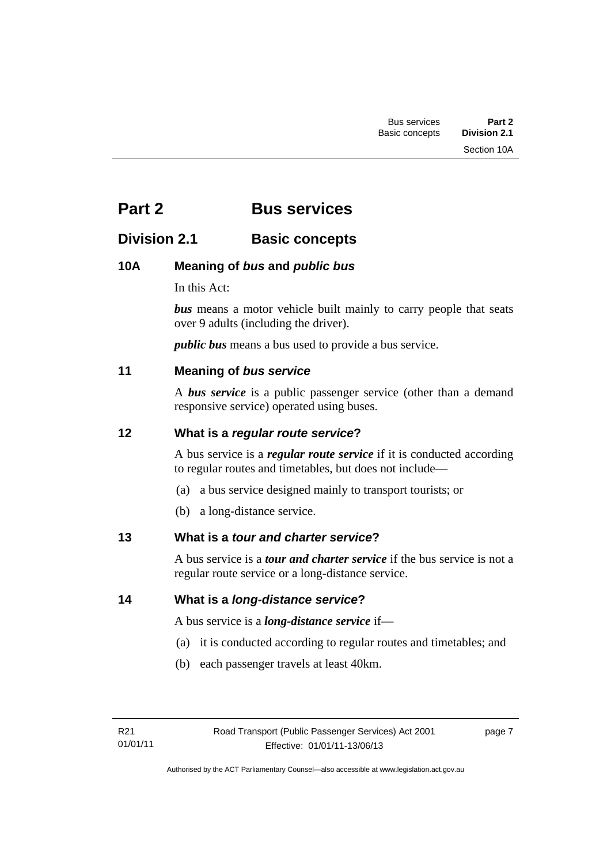# <span id="page-14-0"></span>**Part 2 Bus services**

# <span id="page-14-1"></span>**Division 2.1 Basic concepts**

# <span id="page-14-2"></span>**10A Meaning of** *bus* **and** *public bus*

In this Act:

*bus* means a motor vehicle built mainly to carry people that seats over 9 adults (including the driver).

*public bus* means a bus used to provide a bus service.

## <span id="page-14-3"></span>**11 Meaning of** *bus service*

A *bus service* is a public passenger service (other than a demand responsive service) operated using buses.

## <span id="page-14-4"></span>**12 What is a** *regular route service***?**

A bus service is a *regular route service* if it is conducted according to regular routes and timetables, but does not include—

- (a) a bus service designed mainly to transport tourists; or
- (b) a long-distance service.

## <span id="page-14-5"></span>**13 What is a** *tour and charter service***?**

A bus service is a *tour and charter service* if the bus service is not a regular route service or a long-distance service.

<span id="page-14-6"></span>**14 What is a** *long-distance service***?**

A bus service is a *long-distance service* if—

- (a) it is conducted according to regular routes and timetables; and
- (b) each passenger travels at least 40km.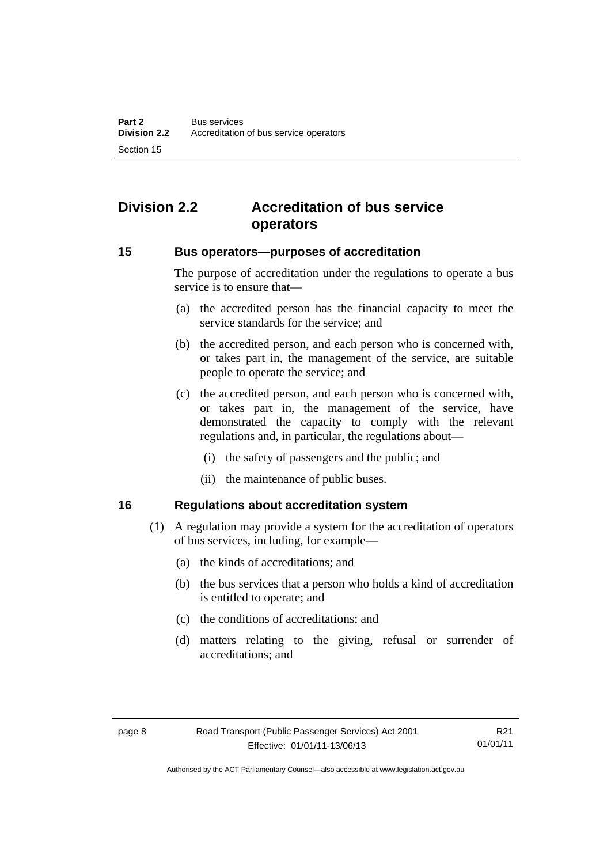# <span id="page-15-0"></span>**Division 2.2 Accreditation of bus service operators**

### <span id="page-15-1"></span>**15 Bus operators—purposes of accreditation**

The purpose of accreditation under the regulations to operate a bus service is to ensure that—

- (a) the accredited person has the financial capacity to meet the service standards for the service; and
- (b) the accredited person, and each person who is concerned with, or takes part in, the management of the service, are suitable people to operate the service; and
- (c) the accredited person, and each person who is concerned with, or takes part in, the management of the service, have demonstrated the capacity to comply with the relevant regulations and, in particular, the regulations about—
	- (i) the safety of passengers and the public; and
	- (ii) the maintenance of public buses.

### <span id="page-15-2"></span>**16 Regulations about accreditation system**

- (1) A regulation may provide a system for the accreditation of operators of bus services, including, for example—
	- (a) the kinds of accreditations; and
	- (b) the bus services that a person who holds a kind of accreditation is entitled to operate; and
	- (c) the conditions of accreditations; and
	- (d) matters relating to the giving, refusal or surrender of accreditations; and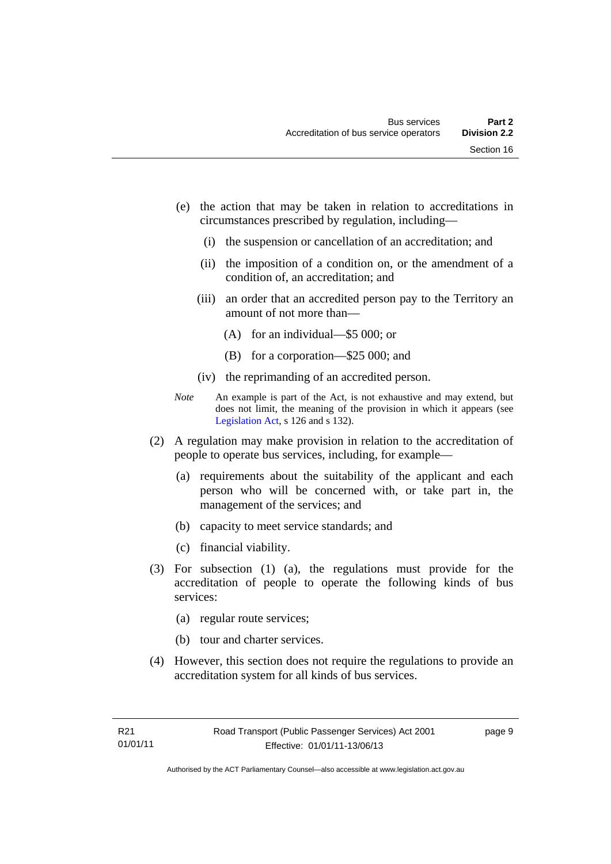- (e) the action that may be taken in relation to accreditations in circumstances prescribed by regulation, including—
	- (i) the suspension or cancellation of an accreditation; and
	- (ii) the imposition of a condition on, or the amendment of a condition of, an accreditation; and
	- (iii) an order that an accredited person pay to the Territory an amount of not more than—
		- (A) for an individual—\$5 000; or
		- (B) for a corporation—\$25 000; and
	- (iv) the reprimanding of an accredited person.
- *Note* An example is part of the Act, is not exhaustive and may extend, but does not limit, the meaning of the provision in which it appears (see [Legislation Act,](http://www.legislation.act.gov.au/a/2001-14) s 126 and s 132).
- (2) A regulation may make provision in relation to the accreditation of people to operate bus services, including, for example—
	- (a) requirements about the suitability of the applicant and each person who will be concerned with, or take part in, the management of the services; and
	- (b) capacity to meet service standards; and
	- (c) financial viability.
- (3) For subsection (1) (a), the regulations must provide for the accreditation of people to operate the following kinds of bus services:
	- (a) regular route services;
	- (b) tour and charter services.
- (4) However, this section does not require the regulations to provide an accreditation system for all kinds of bus services.

page 9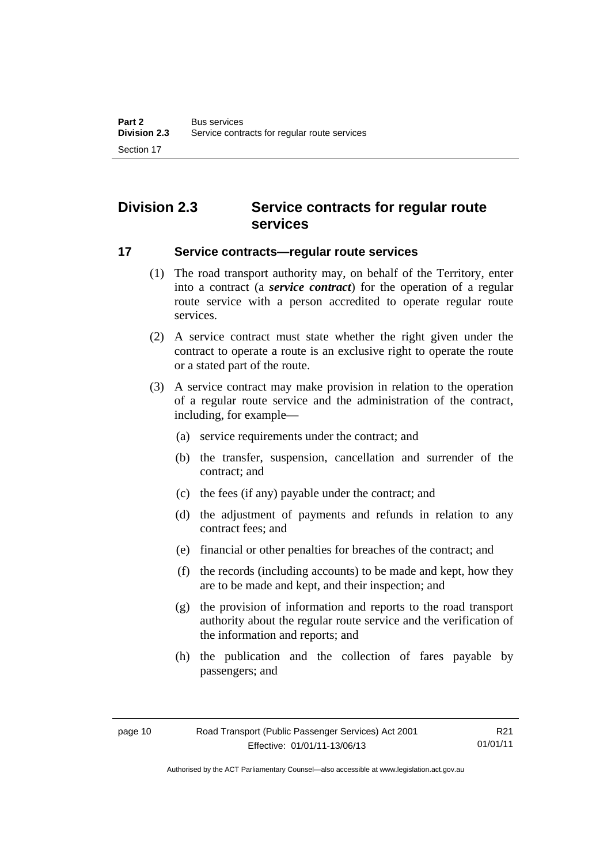# <span id="page-17-0"></span>**Division 2.3 Service contracts for regular route services**

### <span id="page-17-1"></span>**17 Service contracts—regular route services**

- (1) The road transport authority may, on behalf of the Territory, enter into a contract (a *service contract*) for the operation of a regular route service with a person accredited to operate regular route services.
- (2) A service contract must state whether the right given under the contract to operate a route is an exclusive right to operate the route or a stated part of the route.
- (3) A service contract may make provision in relation to the operation of a regular route service and the administration of the contract, including, for example—
	- (a) service requirements under the contract; and
	- (b) the transfer, suspension, cancellation and surrender of the contract; and
	- (c) the fees (if any) payable under the contract; and
	- (d) the adjustment of payments and refunds in relation to any contract fees; and
	- (e) financial or other penalties for breaches of the contract; and
	- (f) the records (including accounts) to be made and kept, how they are to be made and kept, and their inspection; and
	- (g) the provision of information and reports to the road transport authority about the regular route service and the verification of the information and reports; and
	- (h) the publication and the collection of fares payable by passengers; and

Authorised by the ACT Parliamentary Counsel—also accessible at www.legislation.act.gov.au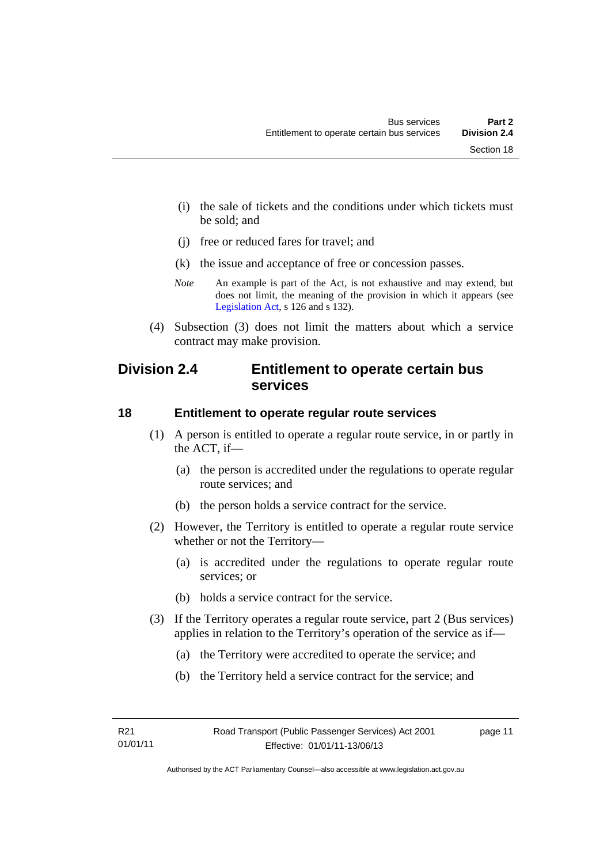(i) the sale of tickets and the conditions under which tickets must be sold; and

- (j) free or reduced fares for travel; and
- (k) the issue and acceptance of free or concession passes.
- *Note* An example is part of the Act, is not exhaustive and may extend, but does not limit, the meaning of the provision in which it appears (see [Legislation Act,](http://www.legislation.act.gov.au/a/2001-14) s 126 and s 132).
- (4) Subsection (3) does not limit the matters about which a service contract may make provision.

# <span id="page-18-0"></span>**Division 2.4 Entitlement to operate certain bus services**

### <span id="page-18-1"></span>**18 Entitlement to operate regular route services**

- (1) A person is entitled to operate a regular route service, in or partly in the ACT, if—
	- (a) the person is accredited under the regulations to operate regular route services; and
	- (b) the person holds a service contract for the service.
- (2) However, the Territory is entitled to operate a regular route service whether or not the Territory—
	- (a) is accredited under the regulations to operate regular route services; or
	- (b) holds a service contract for the service.
- (3) If the Territory operates a regular route service, part 2 (Bus services) applies in relation to the Territory's operation of the service as if—
	- (a) the Territory were accredited to operate the service; and
	- (b) the Territory held a service contract for the service; and

page 11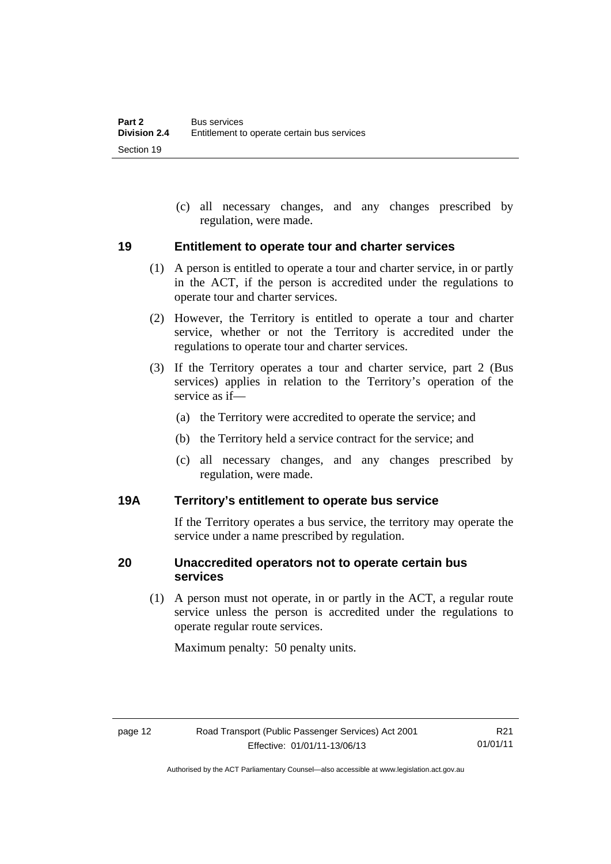(c) all necessary changes, and any changes prescribed by regulation, were made.

### <span id="page-19-0"></span>**19 Entitlement to operate tour and charter services**

- (1) A person is entitled to operate a tour and charter service, in or partly in the ACT, if the person is accredited under the regulations to operate tour and charter services.
- (2) However, the Territory is entitled to operate a tour and charter service, whether or not the Territory is accredited under the regulations to operate tour and charter services.
- (3) If the Territory operates a tour and charter service, part 2 (Bus services) applies in relation to the Territory's operation of the service as if—
	- (a) the Territory were accredited to operate the service; and
	- (b) the Territory held a service contract for the service; and
	- (c) all necessary changes, and any changes prescribed by regulation, were made.

### <span id="page-19-1"></span>**19A Territory's entitlement to operate bus service**

If the Territory operates a bus service, the territory may operate the service under a name prescribed by regulation.

### <span id="page-19-2"></span>**20 Unaccredited operators not to operate certain bus services**

(1) A person must not operate, in or partly in the ACT, a regular route service unless the person is accredited under the regulations to operate regular route services.

Maximum penalty: 50 penalty units.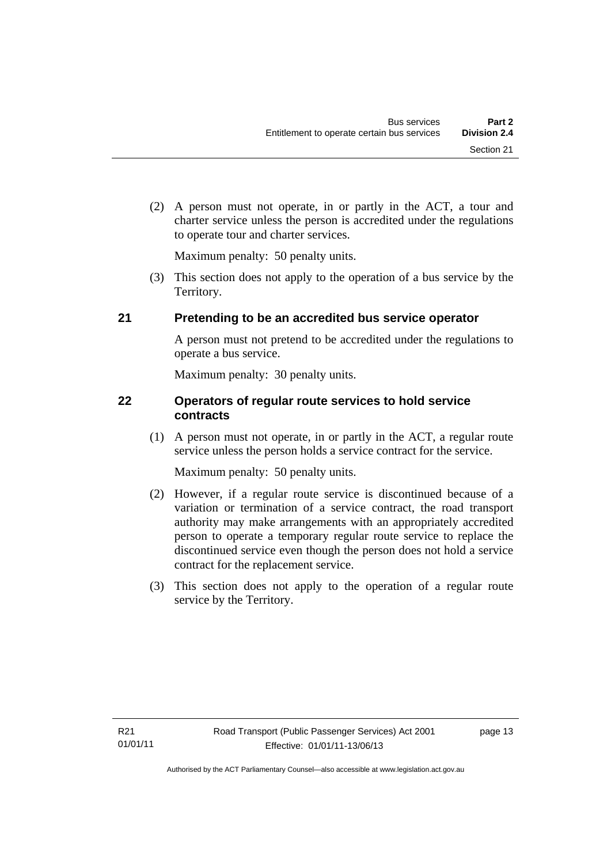(2) A person must not operate, in or partly in the ACT, a tour and charter service unless the person is accredited under the regulations to operate tour and charter services.

Maximum penalty: 50 penalty units.

 (3) This section does not apply to the operation of a bus service by the Territory.

# <span id="page-20-0"></span>**21 Pretending to be an accredited bus service operator**

A person must not pretend to be accredited under the regulations to operate a bus service.

Maximum penalty: 30 penalty units.

### <span id="page-20-1"></span>**22 Operators of regular route services to hold service contracts**

(1) A person must not operate, in or partly in the ACT, a regular route service unless the person holds a service contract for the service.

Maximum penalty: 50 penalty units.

- (2) However, if a regular route service is discontinued because of a variation or termination of a service contract, the road transport authority may make arrangements with an appropriately accredited person to operate a temporary regular route service to replace the discontinued service even though the person does not hold a service contract for the replacement service.
- (3) This section does not apply to the operation of a regular route service by the Territory.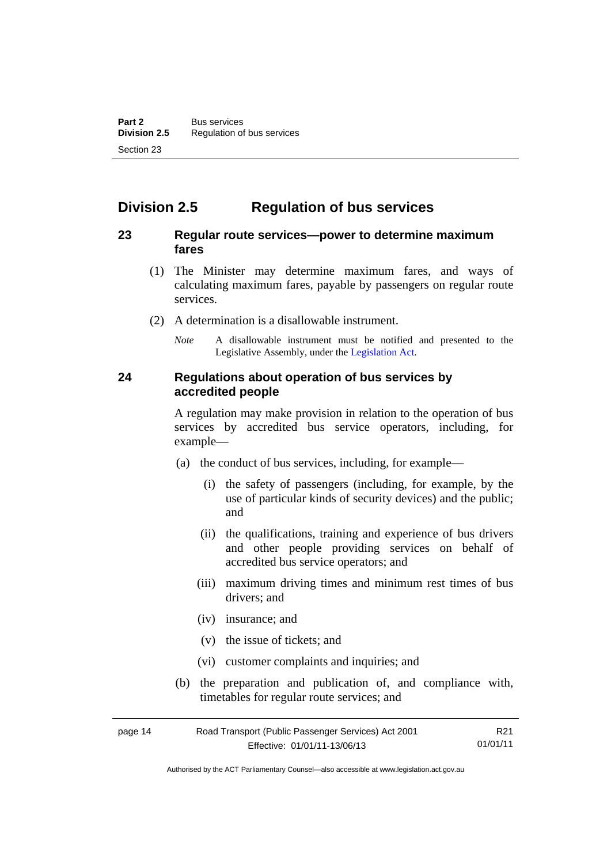# <span id="page-21-0"></span>**Division 2.5 Regulation of bus services**

### <span id="page-21-1"></span>**23 Regular route services—power to determine maximum fares**

- (1) The Minister may determine maximum fares, and ways of calculating maximum fares, payable by passengers on regular route services.
- (2) A determination is a disallowable instrument.
	- *Note* A disallowable instrument must be notified and presented to the Legislative Assembly, under the [Legislation Act.](http://www.legislation.act.gov.au/a/2001-14)

### <span id="page-21-2"></span>**24 Regulations about operation of bus services by accredited people**

A regulation may make provision in relation to the operation of bus services by accredited bus service operators, including, for example—

- (a) the conduct of bus services, including, for example—
	- (i) the safety of passengers (including, for example, by the use of particular kinds of security devices) and the public; and
	- (ii) the qualifications, training and experience of bus drivers and other people providing services on behalf of accredited bus service operators; and
	- (iii) maximum driving times and minimum rest times of bus drivers; and
	- (iv) insurance; and
	- (v) the issue of tickets; and
	- (vi) customer complaints and inquiries; and
- (b) the preparation and publication of, and compliance with, timetables for regular route services; and

| page 14 | Road Transport (Public Passenger Services) Act 2001 | R21      |
|---------|-----------------------------------------------------|----------|
|         | Effective: 01/01/11-13/06/13                        | 01/01/11 |

Authorised by the ACT Parliamentary Counsel—also accessible at www.legislation.act.gov.au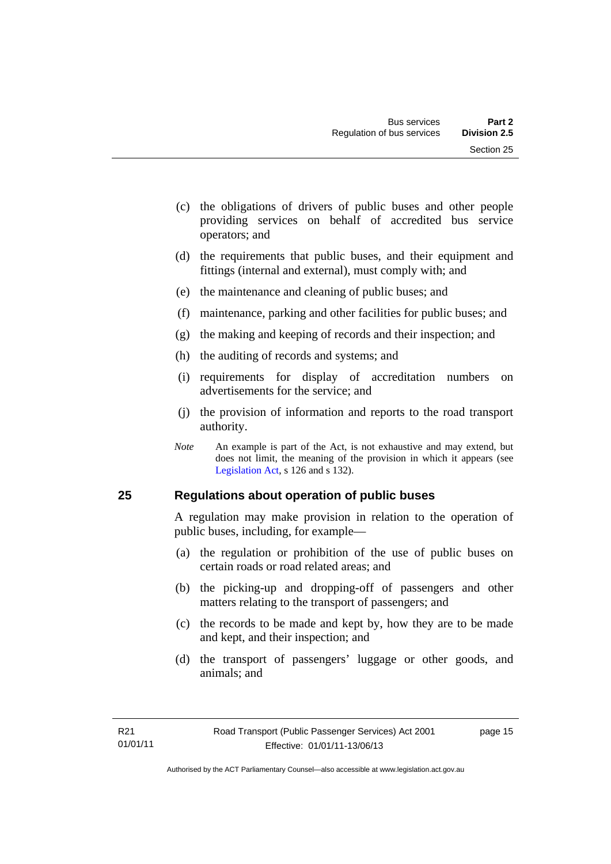- (c) the obligations of drivers of public buses and other people providing services on behalf of accredited bus service operators; and
- (d) the requirements that public buses, and their equipment and fittings (internal and external), must comply with; and
- (e) the maintenance and cleaning of public buses; and
- (f) maintenance, parking and other facilities for public buses; and
- (g) the making and keeping of records and their inspection; and
- (h) the auditing of records and systems; and
- (i) requirements for display of accreditation numbers on advertisements for the service; and
- (j) the provision of information and reports to the road transport authority.
- *Note* An example is part of the Act, is not exhaustive and may extend, but does not limit, the meaning of the provision in which it appears (see [Legislation Act,](http://www.legislation.act.gov.au/a/2001-14) s 126 and s 132).

### <span id="page-22-0"></span>**25 Regulations about operation of public buses**

A regulation may make provision in relation to the operation of public buses, including, for example—

- (a) the regulation or prohibition of the use of public buses on certain roads or road related areas; and
- (b) the picking-up and dropping-off of passengers and other matters relating to the transport of passengers; and
- (c) the records to be made and kept by, how they are to be made and kept, and their inspection; and
- (d) the transport of passengers' luggage or other goods, and animals; and

page 15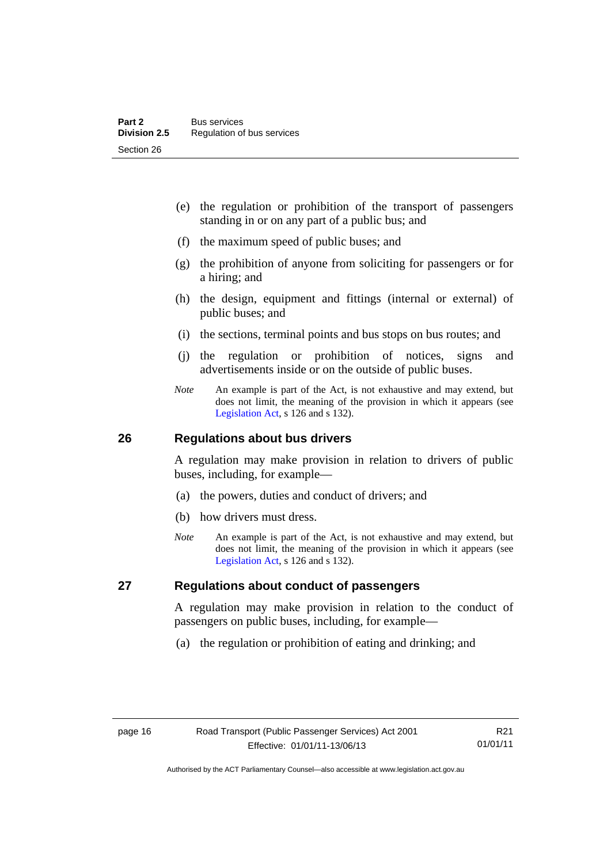- (e) the regulation or prohibition of the transport of passengers standing in or on any part of a public bus; and
- (f) the maximum speed of public buses; and
- (g) the prohibition of anyone from soliciting for passengers or for a hiring; and
- (h) the design, equipment and fittings (internal or external) of public buses; and
- (i) the sections, terminal points and bus stops on bus routes; and
- (j) the regulation or prohibition of notices, signs and advertisements inside or on the outside of public buses.
- *Note* An example is part of the Act, is not exhaustive and may extend, but does not limit, the meaning of the provision in which it appears (see [Legislation Act,](http://www.legislation.act.gov.au/a/2001-14) s 126 and s 132).

### <span id="page-23-0"></span>**26 Regulations about bus drivers**

A regulation may make provision in relation to drivers of public buses, including, for example—

- (a) the powers, duties and conduct of drivers; and
- (b) how drivers must dress.
- *Note* An example is part of the Act, is not exhaustive and may extend, but does not limit, the meaning of the provision in which it appears (see [Legislation Act,](http://www.legislation.act.gov.au/a/2001-14) s 126 and s 132).

### <span id="page-23-1"></span>**27 Regulations about conduct of passengers**

A regulation may make provision in relation to the conduct of passengers on public buses, including, for example—

(a) the regulation or prohibition of eating and drinking; and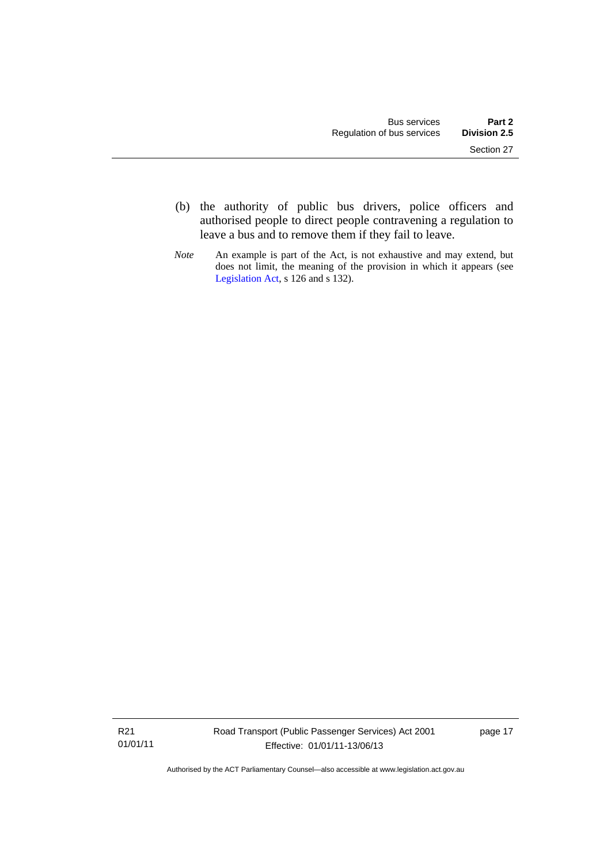- (b) the authority of public bus drivers, police officers and authorised people to direct people contravening a regulation to leave a bus and to remove them if they fail to leave.
- *Note* An example is part of the Act, is not exhaustive and may extend, but does not limit, the meaning of the provision in which it appears (see [Legislation Act,](http://www.legislation.act.gov.au/a/2001-14) s 126 and s 132).

R21 01/01/11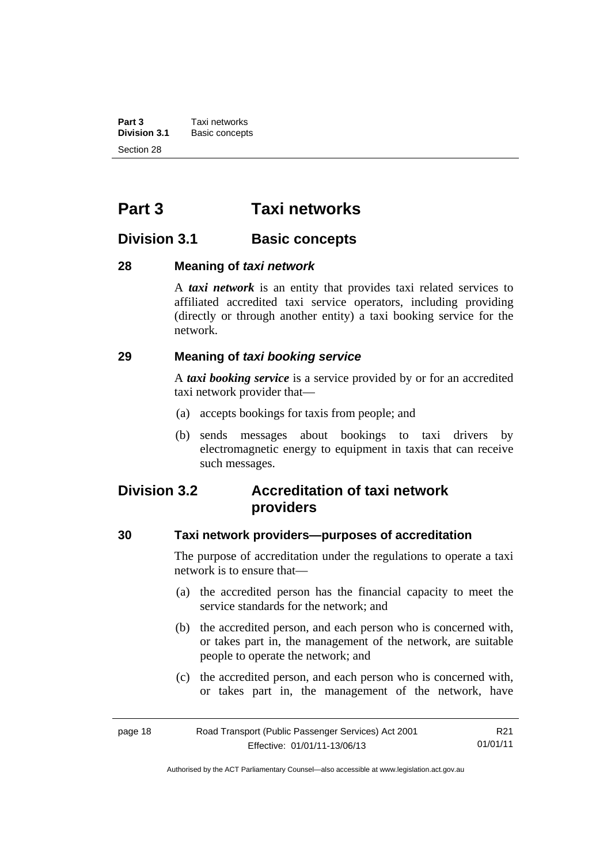**Part 3 Taxi networks**<br>**Division 3.1 Basic concept Division 3.1** Basic concepts Section 28

# <span id="page-25-0"></span>**Part 3 Taxi networks**

# <span id="page-25-1"></span>**Division 3.1 Basic concepts**

### <span id="page-25-2"></span>**28 Meaning of** *taxi network*

A *taxi network* is an entity that provides taxi related services to affiliated accredited taxi service operators, including providing (directly or through another entity) a taxi booking service for the network.

### <span id="page-25-3"></span>**29 Meaning of** *taxi booking service*

A *taxi booking service* is a service provided by or for an accredited taxi network provider that—

- (a) accepts bookings for taxis from people; and
- (b) sends messages about bookings to taxi drivers by electromagnetic energy to equipment in taxis that can receive such messages.

# <span id="page-25-4"></span>**Division 3.2 Accreditation of taxi network providers**

### <span id="page-25-5"></span>**30 Taxi network providers—purposes of accreditation**

The purpose of accreditation under the regulations to operate a taxi network is to ensure that—

- (a) the accredited person has the financial capacity to meet the service standards for the network; and
- (b) the accredited person, and each person who is concerned with, or takes part in, the management of the network, are suitable people to operate the network; and
- (c) the accredited person, and each person who is concerned with, or takes part in, the management of the network, have

| page 18 | Road Transport (Public Passenger Services) Act 2001 | R21      |
|---------|-----------------------------------------------------|----------|
|         | Effective: 01/01/11-13/06/13                        | 01/01/11 |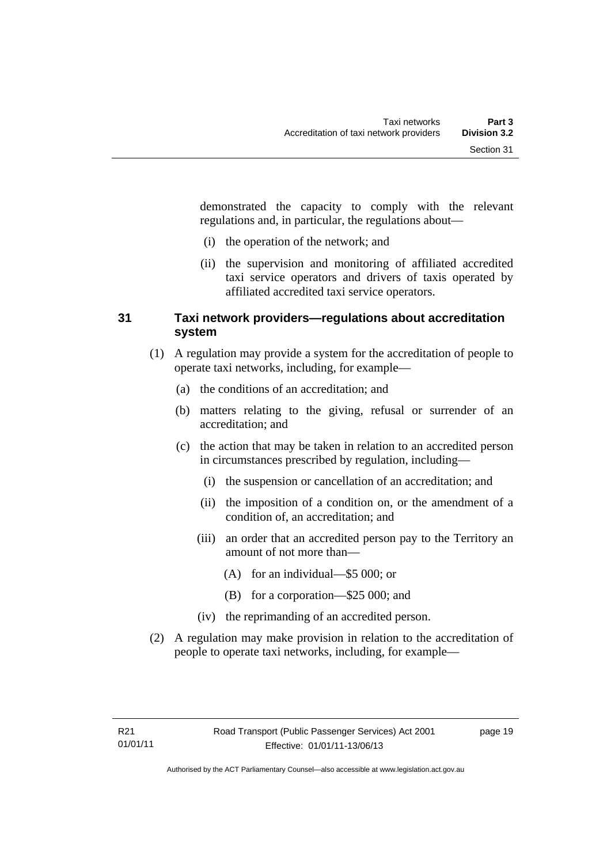demonstrated the capacity to comply with the relevant regulations and, in particular, the regulations about—

- (i) the operation of the network; and
- (ii) the supervision and monitoring of affiliated accredited taxi service operators and drivers of taxis operated by affiliated accredited taxi service operators.

### <span id="page-26-0"></span>**31 Taxi network providers—regulations about accreditation system**

- (1) A regulation may provide a system for the accreditation of people to operate taxi networks, including, for example—
	- (a) the conditions of an accreditation; and
	- (b) matters relating to the giving, refusal or surrender of an accreditation; and
	- (c) the action that may be taken in relation to an accredited person in circumstances prescribed by regulation, including—
		- (i) the suspension or cancellation of an accreditation; and
		- (ii) the imposition of a condition on, or the amendment of a condition of, an accreditation; and
		- (iii) an order that an accredited person pay to the Territory an amount of not more than—
			- (A) for an individual—\$5 000; or
			- (B) for a corporation—\$25 000; and
		- (iv) the reprimanding of an accredited person.
- (2) A regulation may make provision in relation to the accreditation of people to operate taxi networks, including, for example—

page 19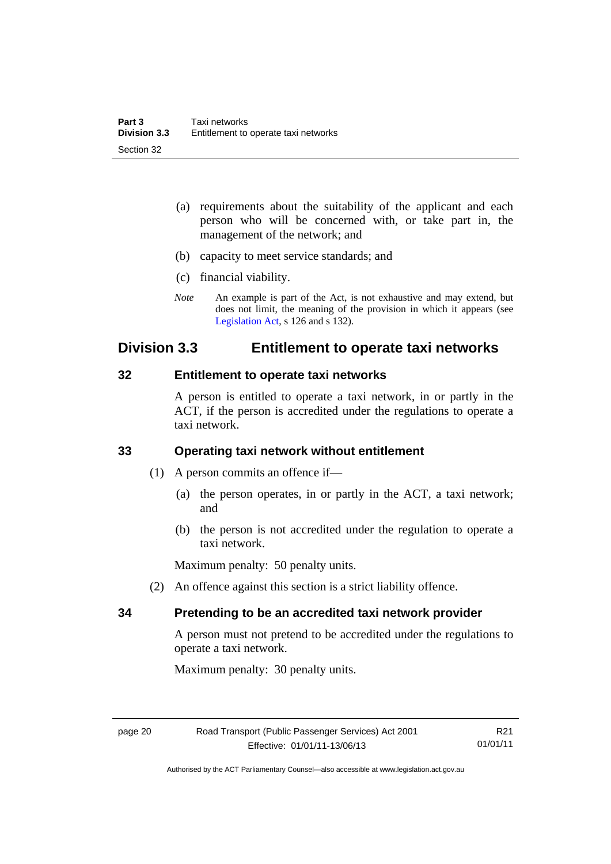- (a) requirements about the suitability of the applicant and each person who will be concerned with, or take part in, the management of the network; and
- (b) capacity to meet service standards; and
- (c) financial viability.
- *Note* An example is part of the Act, is not exhaustive and may extend, but does not limit, the meaning of the provision in which it appears (see [Legislation Act,](http://www.legislation.act.gov.au/a/2001-14) s 126 and s 132).

# <span id="page-27-0"></span>**Division 3.3 Entitlement to operate taxi networks**

### <span id="page-27-1"></span>**32 Entitlement to operate taxi networks**

A person is entitled to operate a taxi network, in or partly in the ACT, if the person is accredited under the regulations to operate a taxi network.

### <span id="page-27-2"></span>**33 Operating taxi network without entitlement**

- (1) A person commits an offence if—
	- (a) the person operates, in or partly in the ACT, a taxi network; and
	- (b) the person is not accredited under the regulation to operate a taxi network.

Maximum penalty: 50 penalty units.

(2) An offence against this section is a strict liability offence.

### <span id="page-27-3"></span>**34 Pretending to be an accredited taxi network provider**

A person must not pretend to be accredited under the regulations to operate a taxi network.

Maximum penalty: 30 penalty units.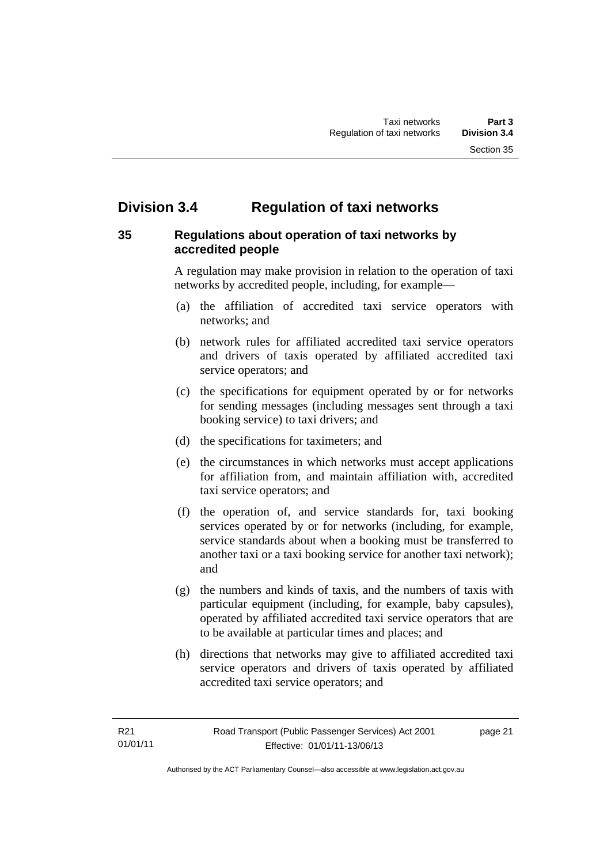# <span id="page-28-0"></span>**Division 3.4 Regulation of taxi networks**

# <span id="page-28-1"></span>**35 Regulations about operation of taxi networks by accredited people**

A regulation may make provision in relation to the operation of taxi networks by accredited people, including, for example—

- (a) the affiliation of accredited taxi service operators with networks; and
- (b) network rules for affiliated accredited taxi service operators and drivers of taxis operated by affiliated accredited taxi service operators; and
- (c) the specifications for equipment operated by or for networks for sending messages (including messages sent through a taxi booking service) to taxi drivers; and
- (d) the specifications for taximeters; and
- (e) the circumstances in which networks must accept applications for affiliation from, and maintain affiliation with, accredited taxi service operators; and
- (f) the operation of, and service standards for, taxi booking services operated by or for networks (including, for example, service standards about when a booking must be transferred to another taxi or a taxi booking service for another taxi network); and
- (g) the numbers and kinds of taxis, and the numbers of taxis with particular equipment (including, for example, baby capsules), operated by affiliated accredited taxi service operators that are to be available at particular times and places; and
- (h) directions that networks may give to affiliated accredited taxi service operators and drivers of taxis operated by affiliated accredited taxi service operators; and

page 21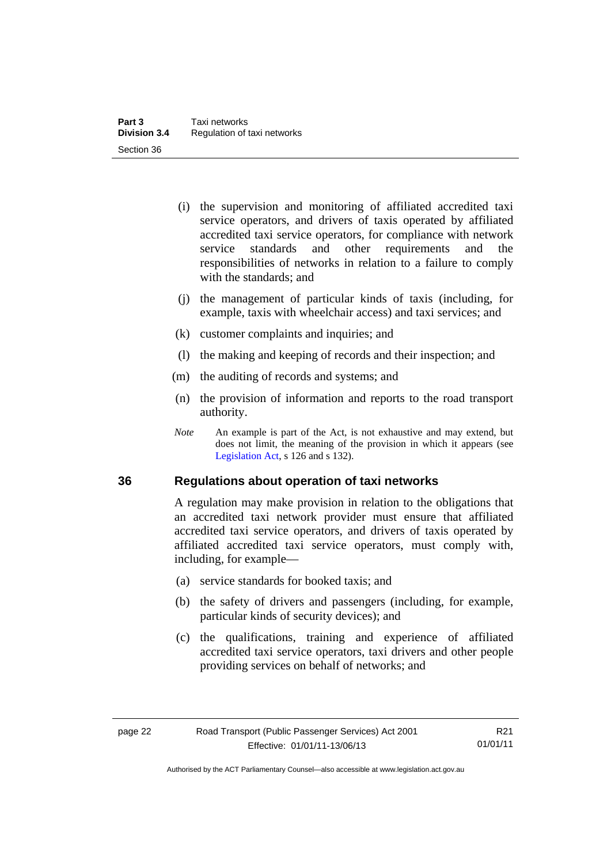- (i) the supervision and monitoring of affiliated accredited taxi service operators, and drivers of taxis operated by affiliated accredited taxi service operators, for compliance with network service standards and other requirements and the responsibilities of networks in relation to a failure to comply with the standards; and
- (j) the management of particular kinds of taxis (including, for example, taxis with wheelchair access) and taxi services; and
- (k) customer complaints and inquiries; and
- (l) the making and keeping of records and their inspection; and
- (m) the auditing of records and systems; and
- (n) the provision of information and reports to the road transport authority.
- *Note* An example is part of the Act, is not exhaustive and may extend, but does not limit, the meaning of the provision in which it appears (see [Legislation Act,](http://www.legislation.act.gov.au/a/2001-14) s 126 and s 132).

### <span id="page-29-0"></span>**36 Regulations about operation of taxi networks**

A regulation may make provision in relation to the obligations that an accredited taxi network provider must ensure that affiliated accredited taxi service operators, and drivers of taxis operated by affiliated accredited taxi service operators, must comply with, including, for example—

- (a) service standards for booked taxis; and
- (b) the safety of drivers and passengers (including, for example, particular kinds of security devices); and
- (c) the qualifications, training and experience of affiliated accredited taxi service operators, taxi drivers and other people providing services on behalf of networks; and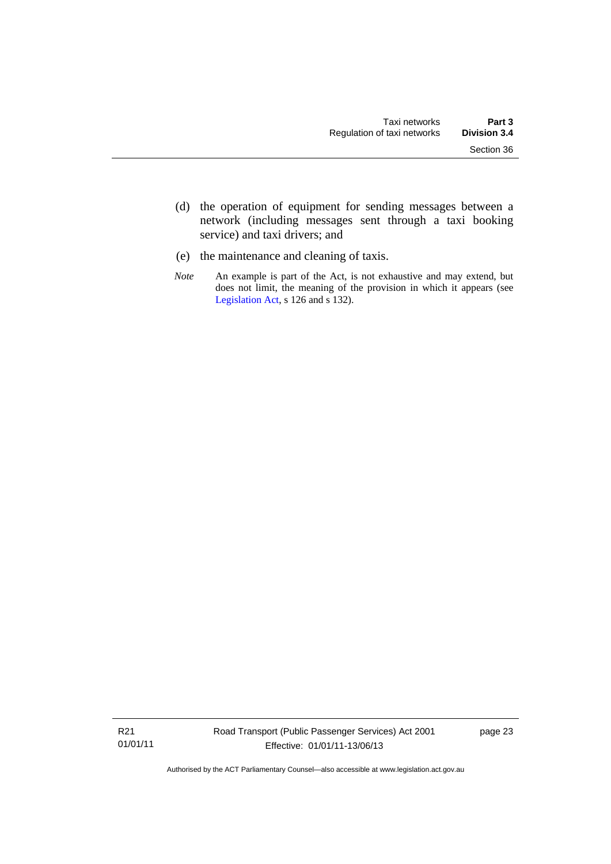- (d) the operation of equipment for sending messages between a network (including messages sent through a taxi booking service) and taxi drivers; and
- (e) the maintenance and cleaning of taxis.
- *Note* An example is part of the Act, is not exhaustive and may extend, but does not limit, the meaning of the provision in which it appears (see [Legislation Act,](http://www.legislation.act.gov.au/a/2001-14) s 126 and s 132).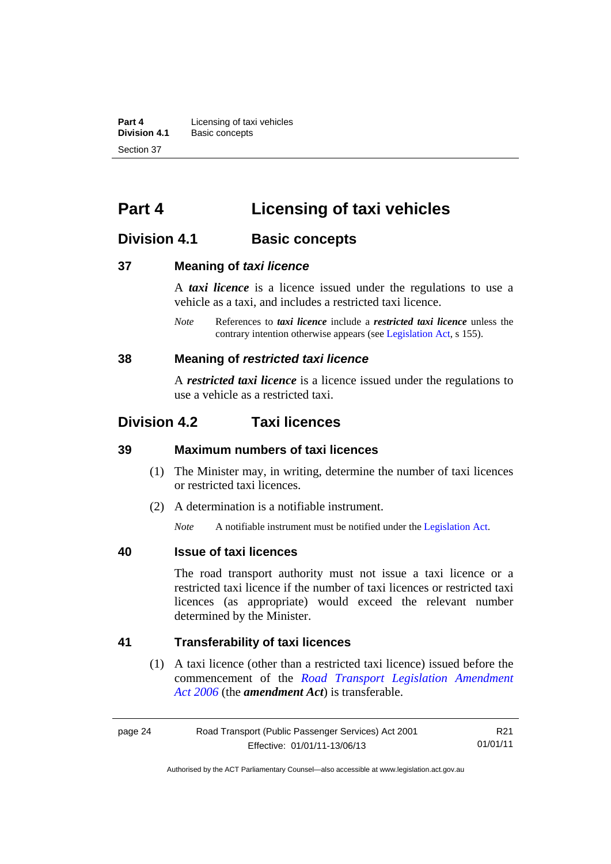**Part 4 Licensing of taxi vehicles**<br>**Division 4.1 Basic concepts Division 4.1** Basic concepts Section 37

# <span id="page-31-0"></span>**Part 4 Licensing of taxi vehicles**

# <span id="page-31-1"></span>**Division 4.1 Basic concepts**

### <span id="page-31-2"></span>**37 Meaning of** *taxi licence*

A *taxi licence* is a licence issued under the regulations to use a vehicle as a taxi, and includes a restricted taxi licence.

*Note* References to *taxi licence* include a *restricted taxi licence* unless the contrary intention otherwise appears (see [Legislation Act,](http://www.legislation.act.gov.au/a/2001-14) s 155).

### <span id="page-31-3"></span>**38 Meaning of** *restricted taxi licence*

A *restricted taxi licence* is a licence issued under the regulations to use a vehicle as a restricted taxi.

# <span id="page-31-4"></span>**Division 4.2 Taxi licences**

### <span id="page-31-5"></span>**39 Maximum numbers of taxi licences**

- (1) The Minister may, in writing, determine the number of taxi licences or restricted taxi licences.
- (2) A determination is a notifiable instrument.

*Note* A notifiable instrument must be notified under the [Legislation Act](http://www.legislation.act.gov.au/a/2001-14).

### <span id="page-31-6"></span>**40 Issue of taxi licences**

The road transport authority must not issue a taxi licence or a restricted taxi licence if the number of taxi licences or restricted taxi licences (as appropriate) would exceed the relevant number determined by the Minister.

### <span id="page-31-7"></span>**41 Transferability of taxi licences**

(1) A taxi licence (other than a restricted taxi licence) issued before the commencement of the *[Road Transport Legislation Amendment](http://www.legislation.act.gov.au/a/2006-26)  [Act 2006](http://www.legislation.act.gov.au/a/2006-26)* (the *amendment Act*) is transferable.

| page 24 | Road Transport (Public Passenger Services) Act 2001 | R21      |
|---------|-----------------------------------------------------|----------|
|         | Effective: 01/01/11-13/06/13                        | 01/01/11 |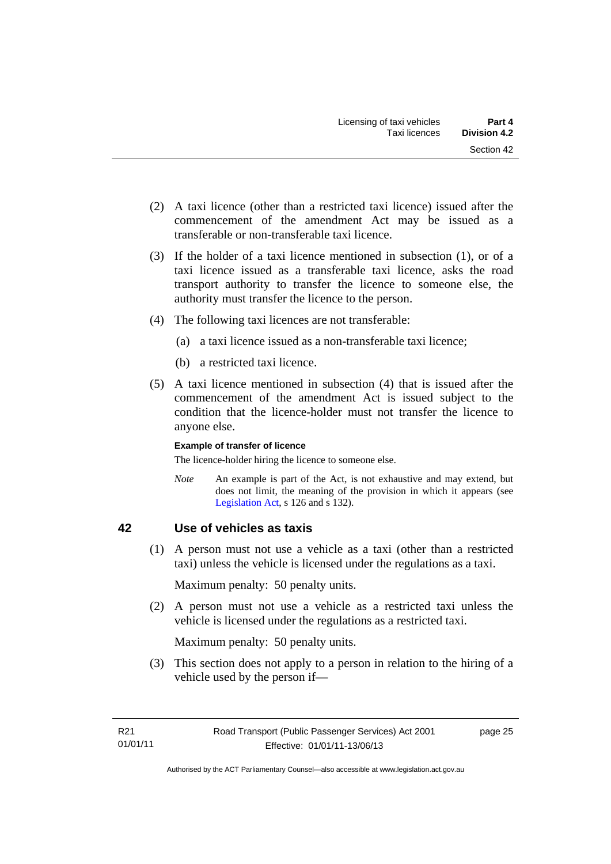- (2) A taxi licence (other than a restricted taxi licence) issued after the commencement of the amendment Act may be issued as a transferable or non-transferable taxi licence.
- (3) If the holder of a taxi licence mentioned in subsection (1), or of a taxi licence issued as a transferable taxi licence, asks the road transport authority to transfer the licence to someone else, the authority must transfer the licence to the person.
- (4) The following taxi licences are not transferable:
	- (a) a taxi licence issued as a non-transferable taxi licence;
	- (b) a restricted taxi licence.
- (5) A taxi licence mentioned in subsection (4) that is issued after the commencement of the amendment Act is issued subject to the condition that the licence-holder must not transfer the licence to anyone else.

### **Example of transfer of licence**

The licence-holder hiring the licence to someone else.

*Note* An example is part of the Act, is not exhaustive and may extend, but does not limit, the meaning of the provision in which it appears (see [Legislation Act,](http://www.legislation.act.gov.au/a/2001-14) s 126 and s 132).

## <span id="page-32-0"></span>**42 Use of vehicles as taxis**

 (1) A person must not use a vehicle as a taxi (other than a restricted taxi) unless the vehicle is licensed under the regulations as a taxi.

Maximum penalty: 50 penalty units.

 (2) A person must not use a vehicle as a restricted taxi unless the vehicle is licensed under the regulations as a restricted taxi.

Maximum penalty: 50 penalty units.

 (3) This section does not apply to a person in relation to the hiring of a vehicle used by the person if—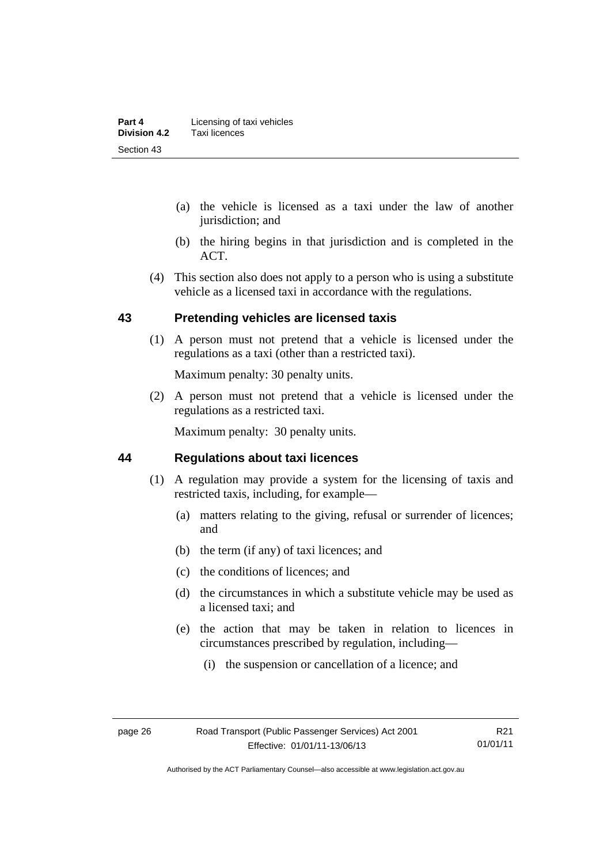- (a) the vehicle is licensed as a taxi under the law of another jurisdiction; and
- (b) the hiring begins in that jurisdiction and is completed in the ACT.
- (4) This section also does not apply to a person who is using a substitute vehicle as a licensed taxi in accordance with the regulations.

### <span id="page-33-0"></span>**43 Pretending vehicles are licensed taxis**

(1) A person must not pretend that a vehicle is licensed under the regulations as a taxi (other than a restricted taxi).

Maximum penalty: 30 penalty units.

 (2) A person must not pretend that a vehicle is licensed under the regulations as a restricted taxi.

Maximum penalty: 30 penalty units.

### <span id="page-33-1"></span>**44 Regulations about taxi licences**

- (1) A regulation may provide a system for the licensing of taxis and restricted taxis, including, for example—
	- (a) matters relating to the giving, refusal or surrender of licences; and
	- (b) the term (if any) of taxi licences; and
	- (c) the conditions of licences; and
	- (d) the circumstances in which a substitute vehicle may be used as a licensed taxi; and
	- (e) the action that may be taken in relation to licences in circumstances prescribed by regulation, including—
		- (i) the suspension or cancellation of a licence; and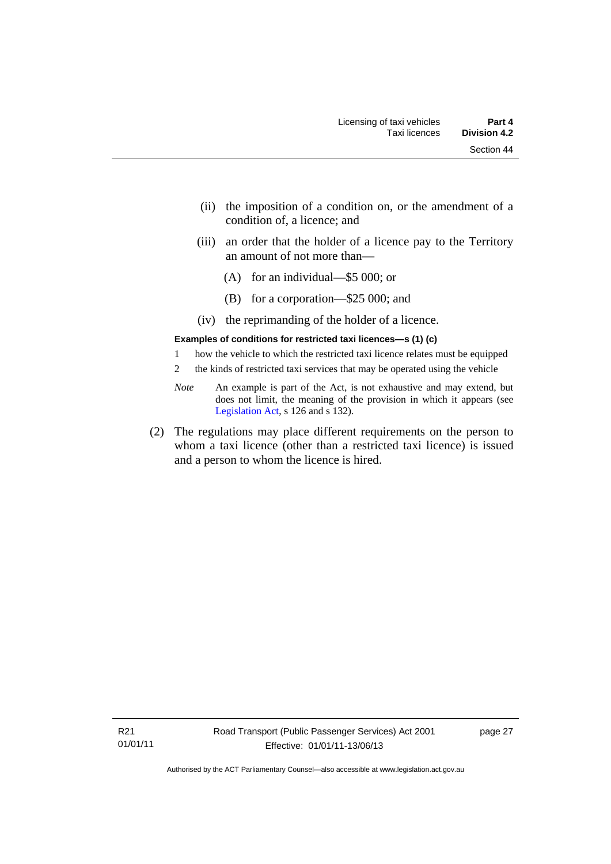- (ii) the imposition of a condition on, or the amendment of a condition of, a licence; and
- (iii) an order that the holder of a licence pay to the Territory an amount of not more than—
	- (A) for an individual—\$5 000; or
	- (B) for a corporation—\$25 000; and
- (iv) the reprimanding of the holder of a licence.

#### **Examples of conditions for restricted taxi licences—s (1) (c)**

- 1 how the vehicle to which the restricted taxi licence relates must be equipped
- 2 the kinds of restricted taxi services that may be operated using the vehicle
- *Note* An example is part of the Act, is not exhaustive and may extend, but does not limit, the meaning of the provision in which it appears (see [Legislation Act,](http://www.legislation.act.gov.au/a/2001-14) s 126 and s 132).
- (2) The regulations may place different requirements on the person to whom a taxi licence (other than a restricted taxi licence) is issued and a person to whom the licence is hired.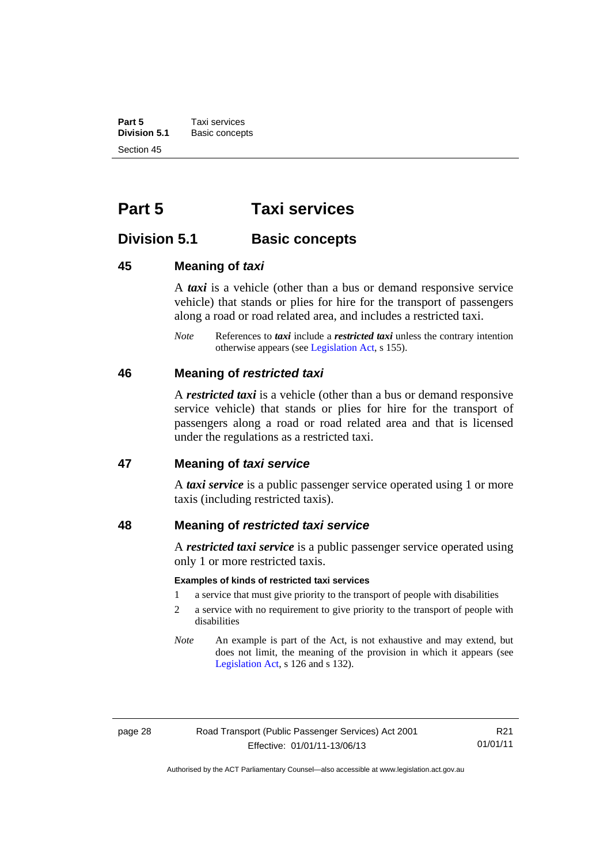**Part 5 Taxi services**<br>**Division 5.1 Basic concept Division 5.1** Basic concepts Section 45

# <span id="page-35-0"></span>**Part 5 Taxi services**

# <span id="page-35-1"></span>**Division 5.1 Basic concepts**

### <span id="page-35-2"></span>**45 Meaning of** *taxi*

A *taxi* is a vehicle (other than a bus or demand responsive service vehicle) that stands or plies for hire for the transport of passengers along a road or road related area, and includes a restricted taxi.

*Note* References to *taxi* include a *restricted taxi* unless the contrary intention otherwise appears (see [Legislation Act,](http://www.legislation.act.gov.au/a/2001-14) s 155).

### <span id="page-35-3"></span>**46 Meaning of** *restricted taxi*

A *restricted taxi* is a vehicle (other than a bus or demand responsive service vehicle) that stands or plies for hire for the transport of passengers along a road or road related area and that is licensed under the regulations as a restricted taxi.

### <span id="page-35-4"></span>**47 Meaning of** *taxi service*

A *taxi service* is a public passenger service operated using 1 or more taxis (including restricted taxis).

### <span id="page-35-5"></span>**48 Meaning of** *restricted taxi service*

A *restricted taxi service* is a public passenger service operated using only 1 or more restricted taxis.

#### **Examples of kinds of restricted taxi services**

- 1 a service that must give priority to the transport of people with disabilities
- 2 a service with no requirement to give priority to the transport of people with disabilities
- *Note* An example is part of the Act, is not exhaustive and may extend, but does not limit, the meaning of the provision in which it appears (see [Legislation Act,](http://www.legislation.act.gov.au/a/2001-14) s 126 and s 132).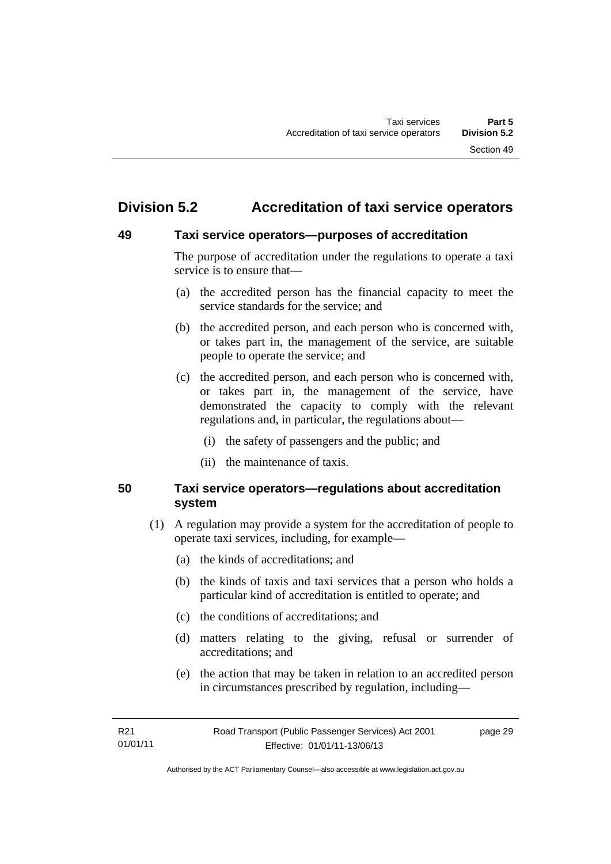## **Division 5.2 Accreditation of taxi service operators**

## **49 Taxi service operators—purposes of accreditation**

The purpose of accreditation under the regulations to operate a taxi service is to ensure that—

- (a) the accredited person has the financial capacity to meet the service standards for the service; and
- (b) the accredited person, and each person who is concerned with, or takes part in, the management of the service, are suitable people to operate the service; and
- (c) the accredited person, and each person who is concerned with, or takes part in, the management of the service, have demonstrated the capacity to comply with the relevant regulations and, in particular, the regulations about—
	- (i) the safety of passengers and the public; and
	- (ii) the maintenance of taxis.

## **50 Taxi service operators—regulations about accreditation system**

- (1) A regulation may provide a system for the accreditation of people to operate taxi services, including, for example—
	- (a) the kinds of accreditations; and
	- (b) the kinds of taxis and taxi services that a person who holds a particular kind of accreditation is entitled to operate; and
	- (c) the conditions of accreditations; and
	- (d) matters relating to the giving, refusal or surrender of accreditations; and
	- (e) the action that may be taken in relation to an accredited person in circumstances prescribed by regulation, including—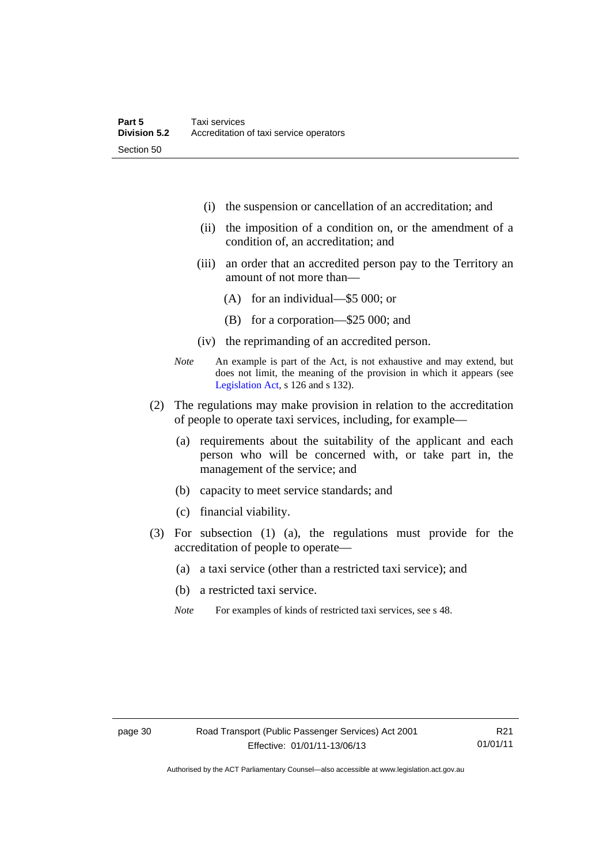- (i) the suspension or cancellation of an accreditation; and
- (ii) the imposition of a condition on, or the amendment of a condition of, an accreditation; and
- (iii) an order that an accredited person pay to the Territory an amount of not more than—
	- (A) for an individual—\$5 000; or
	- (B) for a corporation—\$25 000; and
- (iv) the reprimanding of an accredited person.
- *Note* An example is part of the Act, is not exhaustive and may extend, but does not limit, the meaning of the provision in which it appears (see [Legislation Act,](http://www.legislation.act.gov.au/a/2001-14) s 126 and s 132).
- (2) The regulations may make provision in relation to the accreditation of people to operate taxi services, including, for example—
	- (a) requirements about the suitability of the applicant and each person who will be concerned with, or take part in, the management of the service; and
	- (b) capacity to meet service standards; and
	- (c) financial viability.
- (3) For subsection (1) (a), the regulations must provide for the accreditation of people to operate—
	- (a) a taxi service (other than a restricted taxi service); and
	- (b) a restricted taxi service.
	- *Note* For examples of kinds of restricted taxi services, see s 48.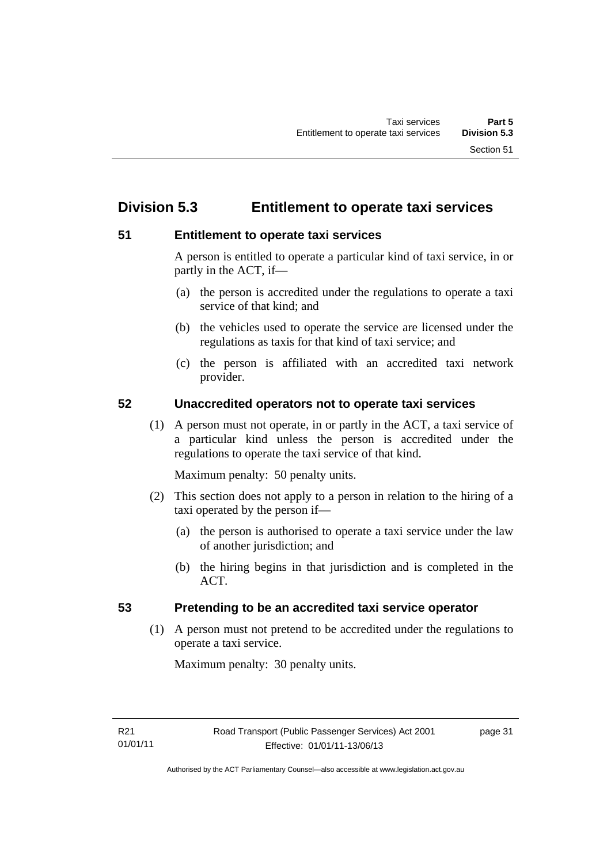## **Division 5.3 Entitlement to operate taxi services**

## **51 Entitlement to operate taxi services**

A person is entitled to operate a particular kind of taxi service, in or partly in the ACT, if—

- (a) the person is accredited under the regulations to operate a taxi service of that kind; and
- (b) the vehicles used to operate the service are licensed under the regulations as taxis for that kind of taxi service; and
- (c) the person is affiliated with an accredited taxi network provider.

## **52 Unaccredited operators not to operate taxi services**

(1) A person must not operate, in or partly in the ACT, a taxi service of a particular kind unless the person is accredited under the regulations to operate the taxi service of that kind.

Maximum penalty: 50 penalty units.

- (2) This section does not apply to a person in relation to the hiring of a taxi operated by the person if—
	- (a) the person is authorised to operate a taxi service under the law of another jurisdiction; and
	- (b) the hiring begins in that jurisdiction and is completed in the ACT.

## **53 Pretending to be an accredited taxi service operator**

(1) A person must not pretend to be accredited under the regulations to operate a taxi service.

Maximum penalty: 30 penalty units.

page 31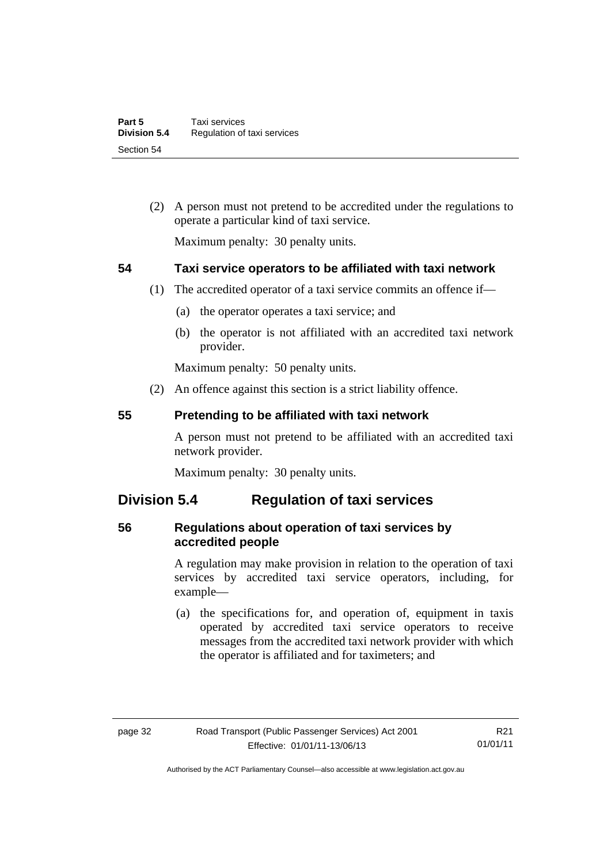(2) A person must not pretend to be accredited under the regulations to operate a particular kind of taxi service.

Maximum penalty: 30 penalty units.

## **54 Taxi service operators to be affiliated with taxi network**

- (1) The accredited operator of a taxi service commits an offence if—
	- (a) the operator operates a taxi service; and
	- (b) the operator is not affiliated with an accredited taxi network provider.

Maximum penalty: 50 penalty units.

(2) An offence against this section is a strict liability offence.

## **55 Pretending to be affiliated with taxi network**

A person must not pretend to be affiliated with an accredited taxi network provider.

Maximum penalty: 30 penalty units.

## **Division 5.4 Regulation of taxi services**

## **56 Regulations about operation of taxi services by accredited people**

A regulation may make provision in relation to the operation of taxi services by accredited taxi service operators, including, for example—

 (a) the specifications for, and operation of, equipment in taxis operated by accredited taxi service operators to receive messages from the accredited taxi network provider with which the operator is affiliated and for taximeters; and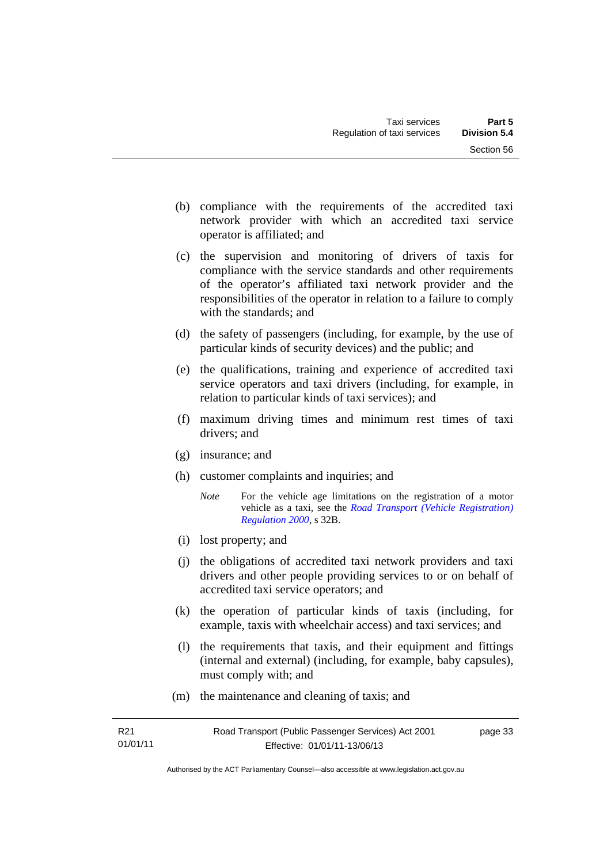- (b) compliance with the requirements of the accredited taxi network provider with which an accredited taxi service operator is affiliated; and
- (c) the supervision and monitoring of drivers of taxis for compliance with the service standards and other requirements of the operator's affiliated taxi network provider and the responsibilities of the operator in relation to a failure to comply with the standards; and
- (d) the safety of passengers (including, for example, by the use of particular kinds of security devices) and the public; and
- (e) the qualifications, training and experience of accredited taxi service operators and taxi drivers (including, for example, in relation to particular kinds of taxi services); and
- (f) maximum driving times and minimum rest times of taxi drivers; and
- (g) insurance; and
- (h) customer complaints and inquiries; and
	- *Note* For the vehicle age limitations on the registration of a motor vehicle as a taxi, see the *[Road Transport \(Vehicle Registration\)](http://www.legislation.act.gov.au/sl/2000-12)  [Regulation 2000](http://www.legislation.act.gov.au/sl/2000-12)*, s 32B.
- (i) lost property; and
- (j) the obligations of accredited taxi network providers and taxi drivers and other people providing services to or on behalf of accredited taxi service operators; and
- (k) the operation of particular kinds of taxis (including, for example, taxis with wheelchair access) and taxi services; and
- (l) the requirements that taxis, and their equipment and fittings (internal and external) (including, for example, baby capsules), must comply with; and
- (m) the maintenance and cleaning of taxis; and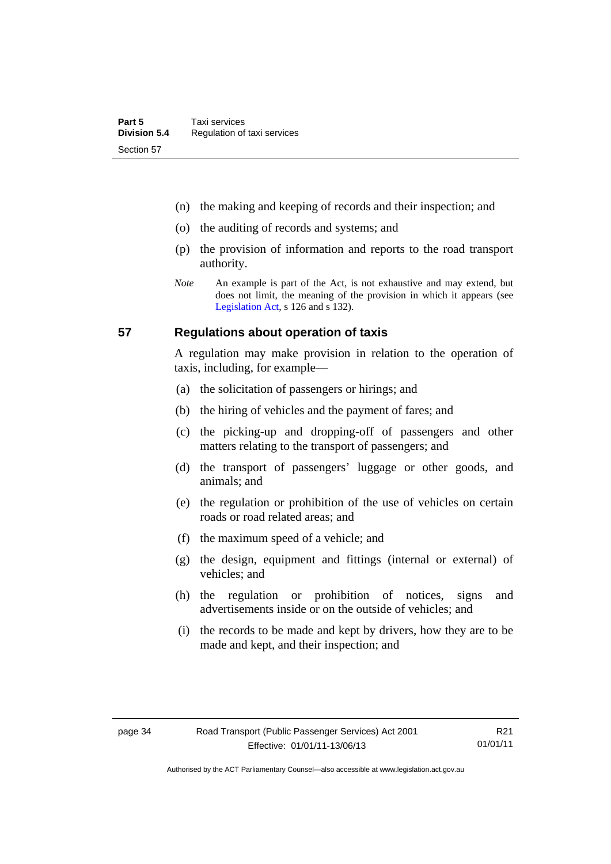- (n) the making and keeping of records and their inspection; and
- (o) the auditing of records and systems; and
- (p) the provision of information and reports to the road transport authority.
- *Note* An example is part of the Act, is not exhaustive and may extend, but does not limit, the meaning of the provision in which it appears (see [Legislation Act,](http://www.legislation.act.gov.au/a/2001-14) s 126 and s 132).

## **57 Regulations about operation of taxis**

A regulation may make provision in relation to the operation of taxis, including, for example—

- (a) the solicitation of passengers or hirings; and
- (b) the hiring of vehicles and the payment of fares; and
- (c) the picking-up and dropping-off of passengers and other matters relating to the transport of passengers; and
- (d) the transport of passengers' luggage or other goods, and animals; and
- (e) the regulation or prohibition of the use of vehicles on certain roads or road related areas; and
- (f) the maximum speed of a vehicle; and
- (g) the design, equipment and fittings (internal or external) of vehicles; and
- (h) the regulation or prohibition of notices, signs and advertisements inside or on the outside of vehicles; and
- (i) the records to be made and kept by drivers, how they are to be made and kept, and their inspection; and

Authorised by the ACT Parliamentary Counsel—also accessible at www.legislation.act.gov.au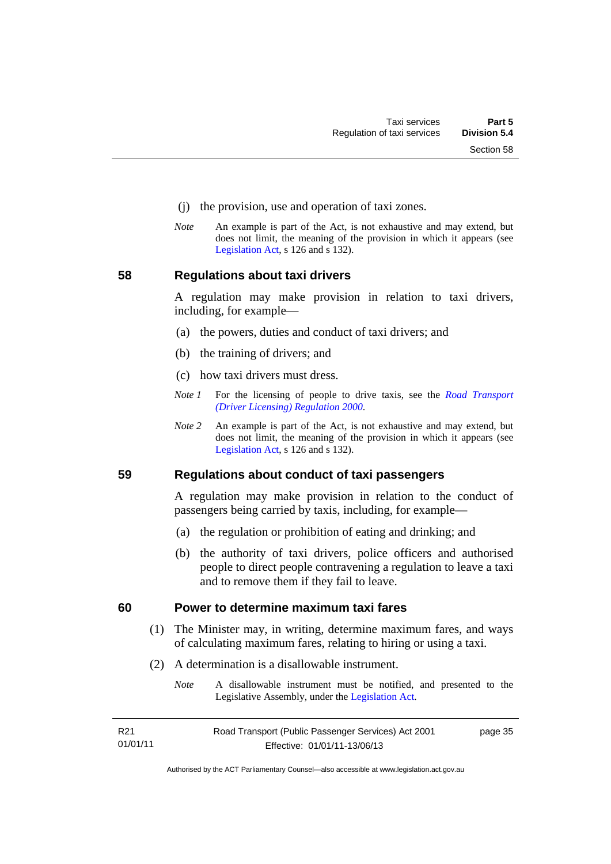- (j) the provision, use and operation of taxi zones.
- *Note* An example is part of the Act, is not exhaustive and may extend, but does not limit, the meaning of the provision in which it appears (see [Legislation Act,](http://www.legislation.act.gov.au/a/2001-14) s 126 and s 132).

#### **58 Regulations about taxi drivers**

A regulation may make provision in relation to taxi drivers, including, for example—

- (a) the powers, duties and conduct of taxi drivers; and
- (b) the training of drivers; and
- (c) how taxi drivers must dress.
- *Note 1* For the licensing of people to drive taxis, see the *[Road Transport](http://www.legislation.act.gov.au/sl/2000-14)  [\(Driver Licensing\) Regulation 2000](http://www.legislation.act.gov.au/sl/2000-14)*.
- *Note 2* An example is part of the Act, is not exhaustive and may extend, but does not limit, the meaning of the provision in which it appears (see [Legislation Act,](http://www.legislation.act.gov.au/a/2001-14) s 126 and s 132).

#### **59 Regulations about conduct of taxi passengers**

A regulation may make provision in relation to the conduct of passengers being carried by taxis, including, for example—

- (a) the regulation or prohibition of eating and drinking; and
- (b) the authority of taxi drivers, police officers and authorised people to direct people contravening a regulation to leave a taxi and to remove them if they fail to leave.

## **60 Power to determine maximum taxi fares**

- (1) The Minister may, in writing, determine maximum fares, and ways of calculating maximum fares, relating to hiring or using a taxi.
- (2) A determination is a disallowable instrument.
	- *Note* A disallowable instrument must be notified, and presented to the Legislative Assembly, under the [Legislation Act.](http://www.legislation.act.gov.au/a/2001-14)

| R21      | Road Transport (Public Passenger Services) Act 2001 | page 35 |
|----------|-----------------------------------------------------|---------|
| 01/01/11 | Effective: 01/01/11-13/06/13                        |         |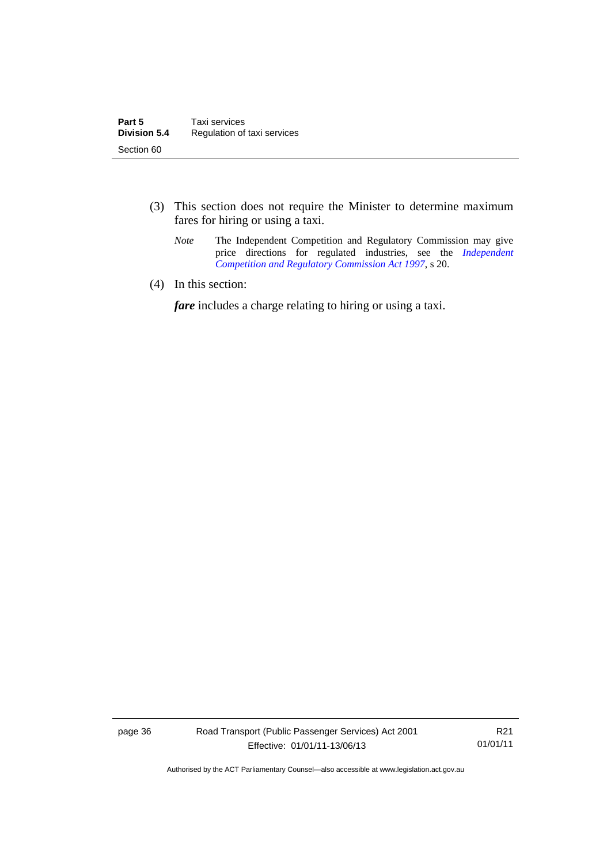- (3) This section does not require the Minister to determine maximum fares for hiring or using a taxi.
	- *Note* The Independent Competition and Regulatory Commission may give price directions for regulated industries, see the *Independent [Competition and Regulatory Commission Act 1997](http://www.legislation.act.gov.au/a/1997-77)*, s 20.
- (4) In this section:

*fare* includes a charge relating to hiring or using a taxi.

page 36 Road Transport (Public Passenger Services) Act 2001 Effective: 01/01/11-13/06/13

R21 01/01/11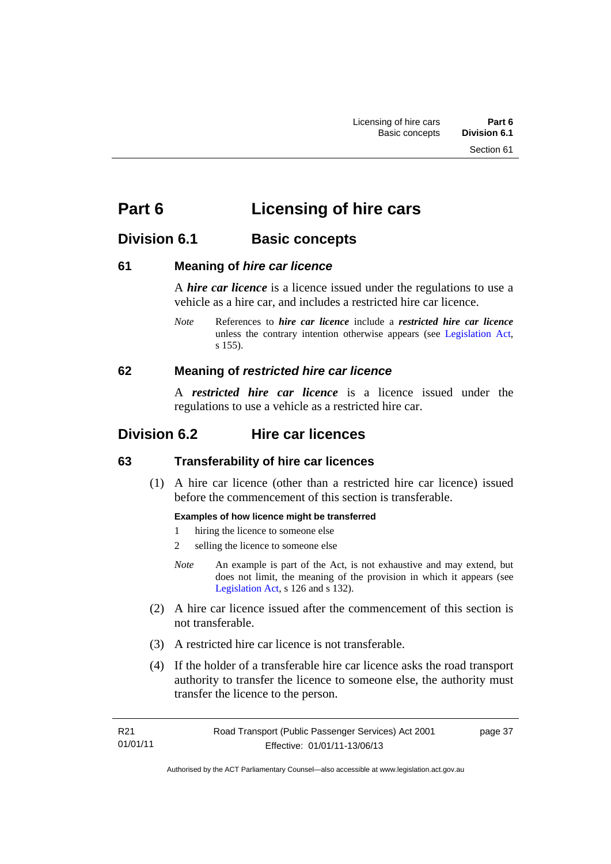# **Part 6 Licensing of hire cars**

## **Division 6.1 Basic concepts**

## **61 Meaning of** *hire car licence*

A *hire car licence* is a licence issued under the regulations to use a vehicle as a hire car, and includes a restricted hire car licence.

*Note* References to *hire car licence* include a *restricted hire car licence* unless the contrary intention otherwise appears (see [Legislation Act,](http://www.legislation.act.gov.au/a/2001-14) s 155).

## **62 Meaning of** *restricted hire car licence*

A *restricted hire car licence* is a licence issued under the regulations to use a vehicle as a restricted hire car.

## **Division 6.2 Hire car licences**

## **63 Transferability of hire car licences**

 (1) A hire car licence (other than a restricted hire car licence) issued before the commencement of this section is transferable.

## **Examples of how licence might be transferred**

- 1 hiring the licence to someone else
- 2 selling the licence to someone else
- *Note* An example is part of the Act, is not exhaustive and may extend, but does not limit, the meaning of the provision in which it appears (see [Legislation Act,](http://www.legislation.act.gov.au/a/2001-14) s 126 and s 132).
- (2) A hire car licence issued after the commencement of this section is not transferable.
- (3) A restricted hire car licence is not transferable.
- (4) If the holder of a transferable hire car licence asks the road transport authority to transfer the licence to someone else, the authority must transfer the licence to the person.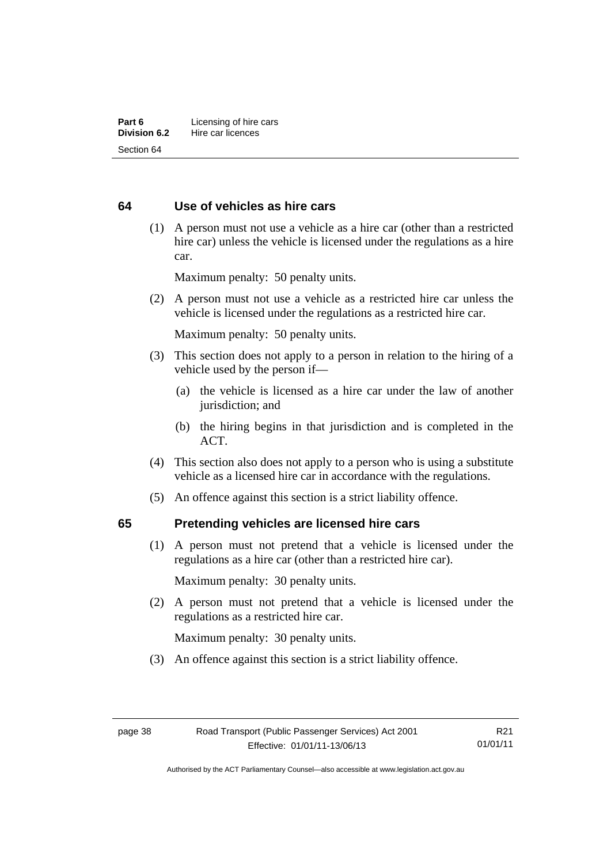## **64 Use of vehicles as hire cars**

 (1) A person must not use a vehicle as a hire car (other than a restricted hire car) unless the vehicle is licensed under the regulations as a hire car.

Maximum penalty: 50 penalty units.

 (2) A person must not use a vehicle as a restricted hire car unless the vehicle is licensed under the regulations as a restricted hire car.

Maximum penalty: 50 penalty units.

- (3) This section does not apply to a person in relation to the hiring of a vehicle used by the person if—
	- (a) the vehicle is licensed as a hire car under the law of another jurisdiction; and
	- (b) the hiring begins in that jurisdiction and is completed in the ACT.
- (4) This section also does not apply to a person who is using a substitute vehicle as a licensed hire car in accordance with the regulations.
- (5) An offence against this section is a strict liability offence.

#### **65 Pretending vehicles are licensed hire cars**

(1) A person must not pretend that a vehicle is licensed under the regulations as a hire car (other than a restricted hire car).

Maximum penalty: 30 penalty units.

 (2) A person must not pretend that a vehicle is licensed under the regulations as a restricted hire car.

Maximum penalty: 30 penalty units.

(3) An offence against this section is a strict liability offence.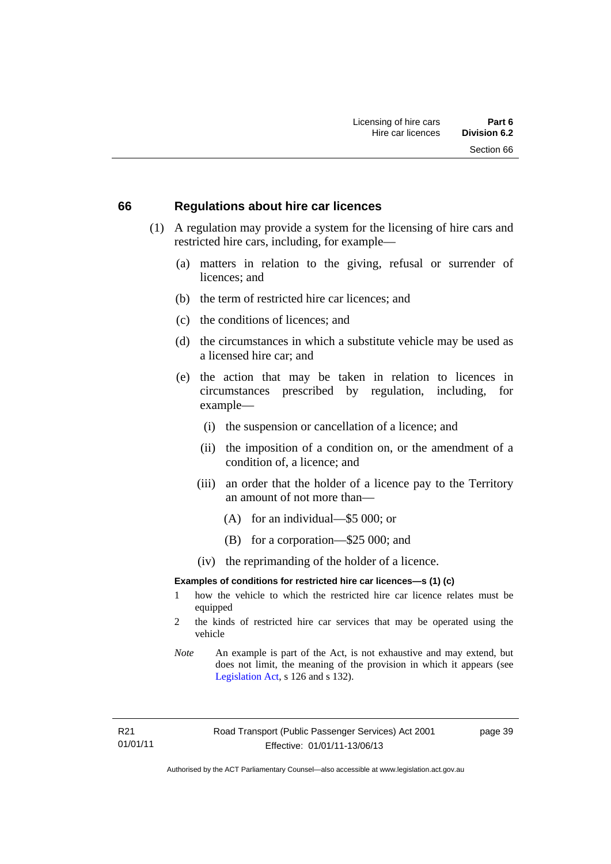#### **66 Regulations about hire car licences**

- (1) A regulation may provide a system for the licensing of hire cars and restricted hire cars, including, for example—
	- (a) matters in relation to the giving, refusal or surrender of licences; and
	- (b) the term of restricted hire car licences; and
	- (c) the conditions of licences; and
	- (d) the circumstances in which a substitute vehicle may be used as a licensed hire car; and
	- (e) the action that may be taken in relation to licences in circumstances prescribed by regulation, including, for example—
		- (i) the suspension or cancellation of a licence; and
		- (ii) the imposition of a condition on, or the amendment of a condition of, a licence; and
		- (iii) an order that the holder of a licence pay to the Territory an amount of not more than—
			- (A) for an individual—\$5 000; or
			- (B) for a corporation—\$25 000; and
		- (iv) the reprimanding of the holder of a licence.

#### **Examples of conditions for restricted hire car licences—s (1) (c)**

- 1 how the vehicle to which the restricted hire car licence relates must be equipped
- 2 the kinds of restricted hire car services that may be operated using the vehicle
- *Note* An example is part of the Act, is not exhaustive and may extend, but does not limit, the meaning of the provision in which it appears (see [Legislation Act,](http://www.legislation.act.gov.au/a/2001-14) s 126 and s 132).

R21 01/01/11 page 39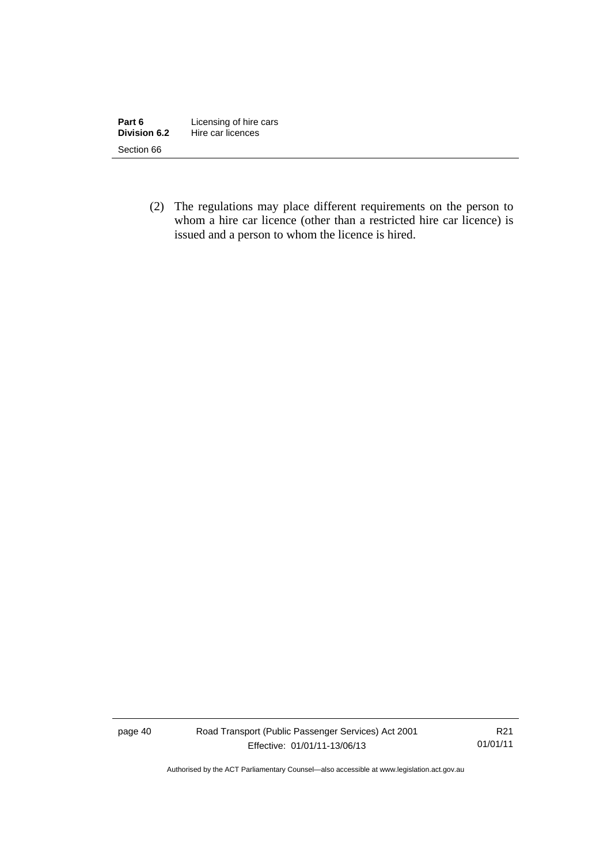| Part 6       | Licensing of hire cars |  |
|--------------|------------------------|--|
| Division 6.2 | Hire car licences      |  |
| Section 66   |                        |  |

 (2) The regulations may place different requirements on the person to whom a hire car licence (other than a restricted hire car licence) is issued and a person to whom the licence is hired.

page 40 Road Transport (Public Passenger Services) Act 2001 Effective: 01/01/11-13/06/13

R21 01/01/11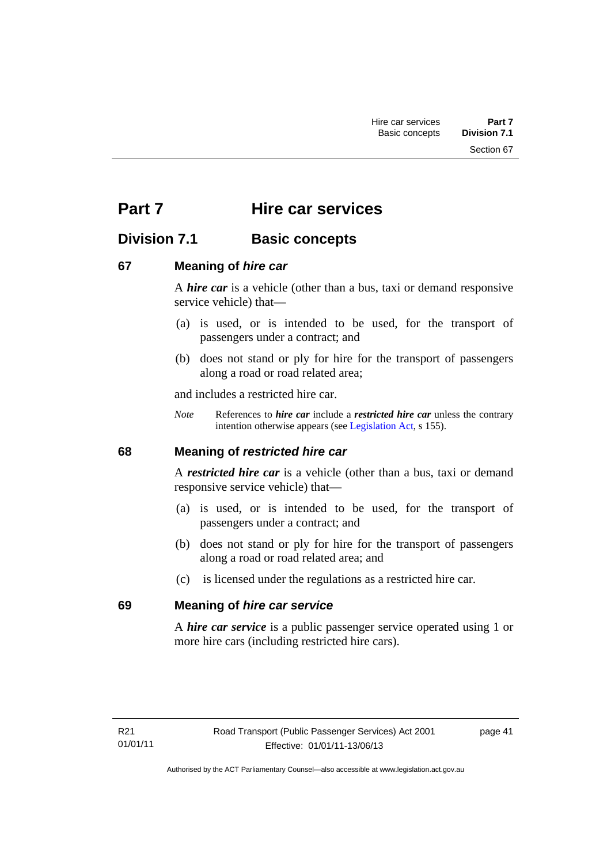Section 67

# **Part 7 Hire car services**

## **Division 7.1 Basic concepts**

## **67 Meaning of** *hire car*

A *hire car* is a vehicle (other than a bus, taxi or demand responsive service vehicle) that—

- (a) is used, or is intended to be used, for the transport of passengers under a contract; and
- (b) does not stand or ply for hire for the transport of passengers along a road or road related area;

and includes a restricted hire car.

*Note* References to *hire car* include a *restricted hire car* unless the contrary intention otherwise appears (see [Legislation Act](http://www.legislation.act.gov.au/a/2001-14), s 155).

## **68 Meaning of** *restricted hire car*

A *restricted hire car* is a vehicle (other than a bus, taxi or demand responsive service vehicle) that—

- (a) is used, or is intended to be used, for the transport of passengers under a contract; and
- (b) does not stand or ply for hire for the transport of passengers along a road or road related area; and
- (c) is licensed under the regulations as a restricted hire car.

## **69 Meaning of** *hire car service*

A *hire car service* is a public passenger service operated using 1 or more hire cars (including restricted hire cars).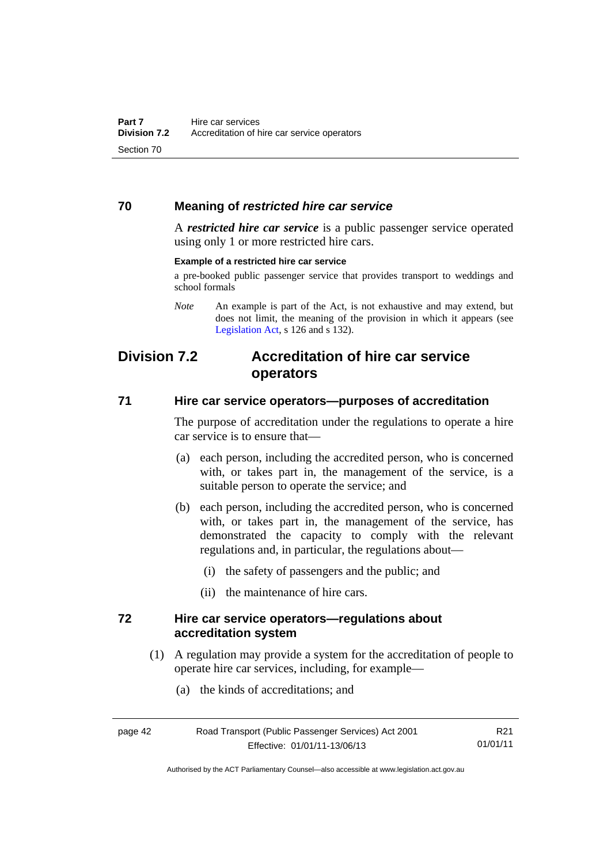## **70 Meaning of** *restricted hire car service*

A *restricted hire car service* is a public passenger service operated using only 1 or more restricted hire cars.

#### **Example of a restricted hire car service**

a pre-booked public passenger service that provides transport to weddings and school formals

## **Division 7.2 Accreditation of hire car service operators**

## **71 Hire car service operators—purposes of accreditation**

The purpose of accreditation under the regulations to operate a hire car service is to ensure that—

- (a) each person, including the accredited person, who is concerned with, or takes part in, the management of the service, is a suitable person to operate the service; and
- (b) each person, including the accredited person, who is concerned with, or takes part in, the management of the service, has demonstrated the capacity to comply with the relevant regulations and, in particular, the regulations about—
	- (i) the safety of passengers and the public; and
	- (ii) the maintenance of hire cars.

## **72 Hire car service operators—regulations about accreditation system**

- (1) A regulation may provide a system for the accreditation of people to operate hire car services, including, for example—
	- (a) the kinds of accreditations; and

| page 42 | Road Transport (Public Passenger Services) Act 2001 | R <sub>21</sub> |
|---------|-----------------------------------------------------|-----------------|
|         | Effective: 01/01/11-13/06/13                        | 01/01/11        |

Authorised by the ACT Parliamentary Counsel—also accessible at www.legislation.act.gov.au

*Note* An example is part of the Act, is not exhaustive and may extend, but does not limit, the meaning of the provision in which it appears (see [Legislation Act,](http://www.legislation.act.gov.au/a/2001-14) s 126 and s 132).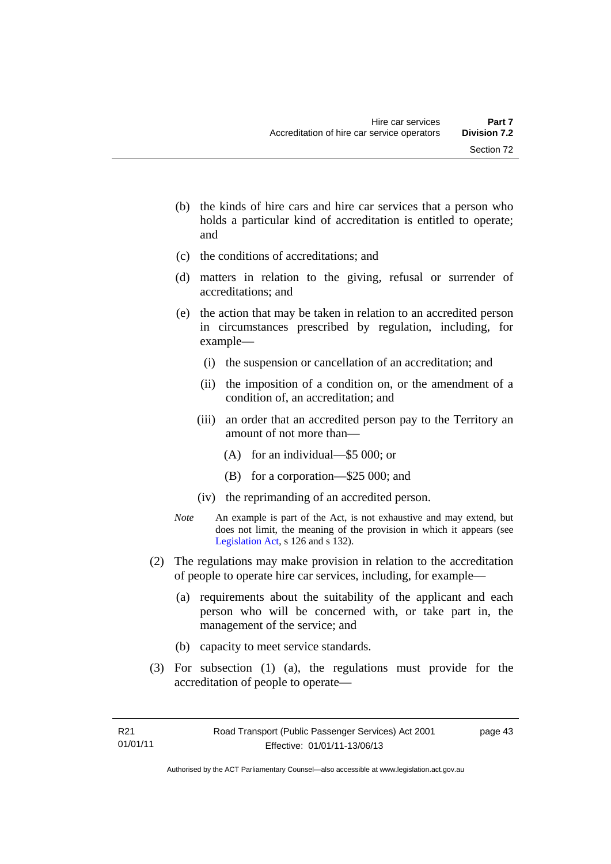- (b) the kinds of hire cars and hire car services that a person who holds a particular kind of accreditation is entitled to operate; and
- (c) the conditions of accreditations; and
- (d) matters in relation to the giving, refusal or surrender of accreditations; and
- (e) the action that may be taken in relation to an accredited person in circumstances prescribed by regulation, including, for example—
	- (i) the suspension or cancellation of an accreditation; and
	- (ii) the imposition of a condition on, or the amendment of a condition of, an accreditation; and
	- (iii) an order that an accredited person pay to the Territory an amount of not more than—
		- (A) for an individual—\$5 000; or
		- (B) for a corporation—\$25 000; and
	- (iv) the reprimanding of an accredited person.
- *Note* An example is part of the Act, is not exhaustive and may extend, but does not limit, the meaning of the provision in which it appears (see [Legislation Act,](http://www.legislation.act.gov.au/a/2001-14) s 126 and s 132).
- (2) The regulations may make provision in relation to the accreditation of people to operate hire car services, including, for example—
	- (a) requirements about the suitability of the applicant and each person who will be concerned with, or take part in, the management of the service; and
	- (b) capacity to meet service standards.
- (3) For subsection (1) (a), the regulations must provide for the accreditation of people to operate—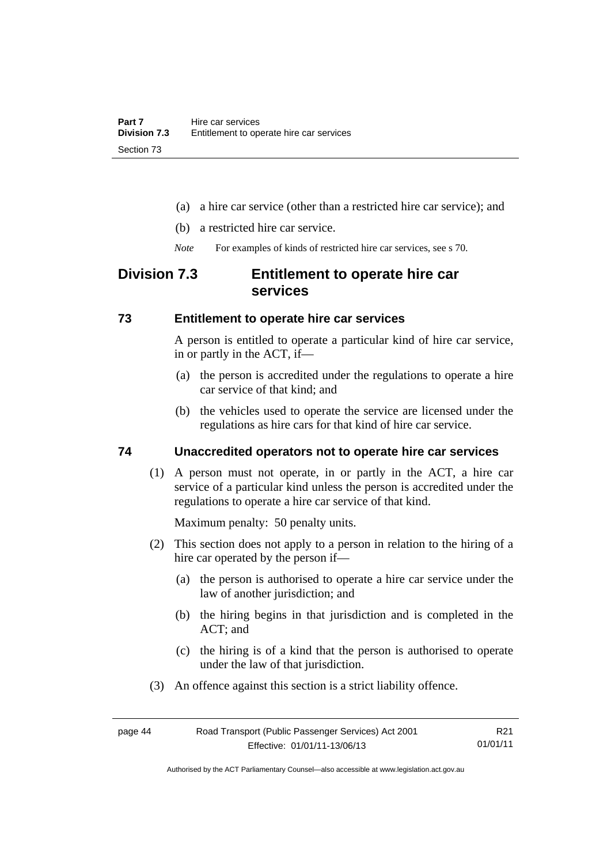- (a) a hire car service (other than a restricted hire car service); and
- (b) a restricted hire car service.
- *Note* For examples of kinds of restricted hire car services, see s 70.

## **Division 7.3 Entitlement to operate hire car services**

## **73 Entitlement to operate hire car services**

A person is entitled to operate a particular kind of hire car service, in or partly in the ACT, if—

- (a) the person is accredited under the regulations to operate a hire car service of that kind; and
- (b) the vehicles used to operate the service are licensed under the regulations as hire cars for that kind of hire car service.

## **74 Unaccredited operators not to operate hire car services**

(1) A person must not operate, in or partly in the ACT, a hire car service of a particular kind unless the person is accredited under the regulations to operate a hire car service of that kind.

Maximum penalty: 50 penalty units.

- (2) This section does not apply to a person in relation to the hiring of a hire car operated by the person if—
	- (a) the person is authorised to operate a hire car service under the law of another jurisdiction; and
	- (b) the hiring begins in that jurisdiction and is completed in the ACT; and
	- (c) the hiring is of a kind that the person is authorised to operate under the law of that jurisdiction.
- (3) An offence against this section is a strict liability offence.

page 44 Road Transport (Public Passenger Services) Act 2001 Effective: 01/01/11-13/06/13 R21 01/01/11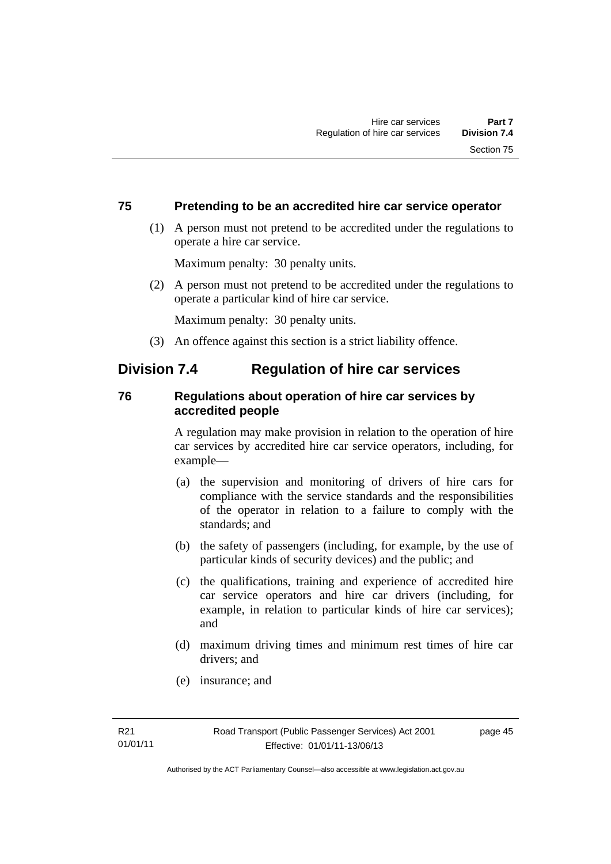## **75 Pretending to be an accredited hire car service operator**

 (1) A person must not pretend to be accredited under the regulations to operate a hire car service.

Maximum penalty: 30 penalty units.

 (2) A person must not pretend to be accredited under the regulations to operate a particular kind of hire car service.

Maximum penalty: 30 penalty units.

(3) An offence against this section is a strict liability offence.

## **Division 7.4 Regulation of hire car services**

## **76 Regulations about operation of hire car services by accredited people**

A regulation may make provision in relation to the operation of hire car services by accredited hire car service operators, including, for example—

- (a) the supervision and monitoring of drivers of hire cars for compliance with the service standards and the responsibilities of the operator in relation to a failure to comply with the standards; and
- (b) the safety of passengers (including, for example, by the use of particular kinds of security devices) and the public; and
- (c) the qualifications, training and experience of accredited hire car service operators and hire car drivers (including, for example, in relation to particular kinds of hire car services); and
- (d) maximum driving times and minimum rest times of hire car drivers; and
- (e) insurance; and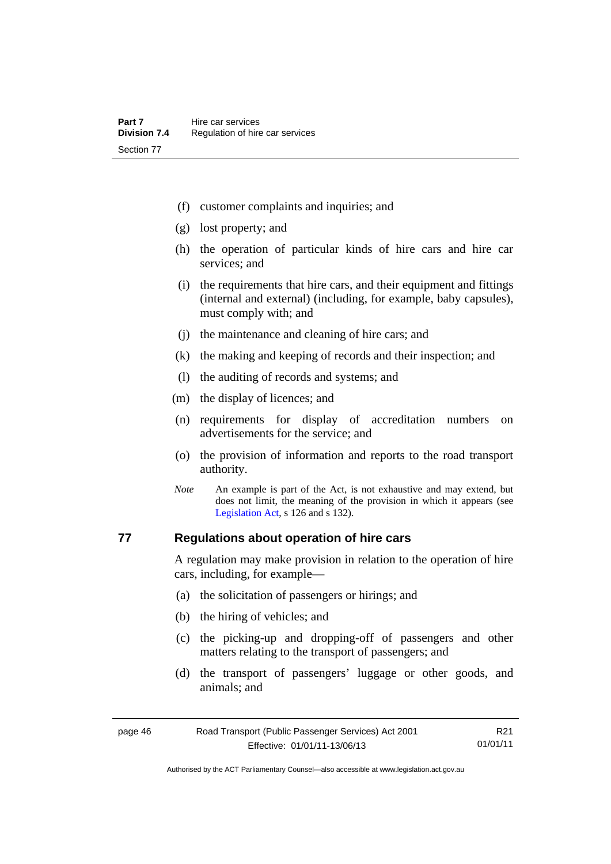- (f) customer complaints and inquiries; and
- (g) lost property; and
- (h) the operation of particular kinds of hire cars and hire car services; and
- (i) the requirements that hire cars, and their equipment and fittings (internal and external) (including, for example, baby capsules), must comply with; and
- (j) the maintenance and cleaning of hire cars; and
- (k) the making and keeping of records and their inspection; and
- (l) the auditing of records and systems; and
- (m) the display of licences; and
- (n) requirements for display of accreditation numbers on advertisements for the service; and
- (o) the provision of information and reports to the road transport authority.
- *Note* An example is part of the Act, is not exhaustive and may extend, but does not limit, the meaning of the provision in which it appears (see [Legislation Act,](http://www.legislation.act.gov.au/a/2001-14) s 126 and s 132).

## **77 Regulations about operation of hire cars**

A regulation may make provision in relation to the operation of hire cars, including, for example—

- (a) the solicitation of passengers or hirings; and
- (b) the hiring of vehicles; and
- (c) the picking-up and dropping-off of passengers and other matters relating to the transport of passengers; and
- (d) the transport of passengers' luggage or other goods, and animals; and

| page 46 | Road Transport (Public Passenger Services) Act 2001 | R21      |
|---------|-----------------------------------------------------|----------|
|         | Effective: 01/01/11-13/06/13                        | 01/01/11 |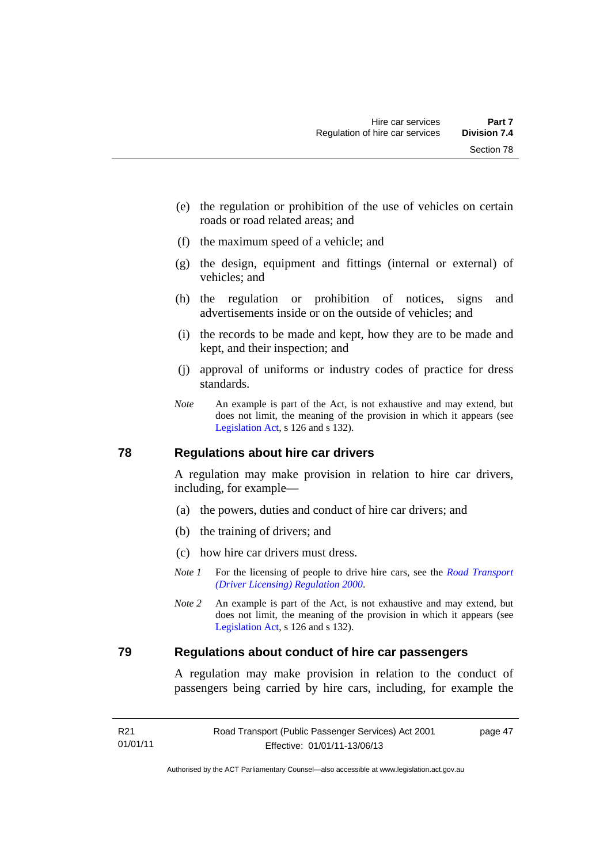- (e) the regulation or prohibition of the use of vehicles on certain roads or road related areas; and
- (f) the maximum speed of a vehicle; and
- (g) the design, equipment and fittings (internal or external) of vehicles; and
- (h) the regulation or prohibition of notices, signs and advertisements inside or on the outside of vehicles; and
- (i) the records to be made and kept, how they are to be made and kept, and their inspection; and
- (j) approval of uniforms or industry codes of practice for dress standards.
- *Note* An example is part of the Act, is not exhaustive and may extend, but does not limit, the meaning of the provision in which it appears (see [Legislation Act,](http://www.legislation.act.gov.au/a/2001-14) s 126 and s 132).

#### **78 Regulations about hire car drivers**

A regulation may make provision in relation to hire car drivers, including, for example—

- (a) the powers, duties and conduct of hire car drivers; and
- (b) the training of drivers; and
- (c) how hire car drivers must dress.
- *Note 1* For the licensing of people to drive hire cars, see the *Road Transport [\(Driver Licensing\) Regulation 2000](http://www.legislation.act.gov.au/sl/2000-14)*.
- *Note 2* An example is part of the Act, is not exhaustive and may extend, but does not limit, the meaning of the provision in which it appears (see [Legislation Act,](http://www.legislation.act.gov.au/a/2001-14) s 126 and s 132).

## **79 Regulations about conduct of hire car passengers**

A regulation may make provision in relation to the conduct of passengers being carried by hire cars, including, for example the

page 47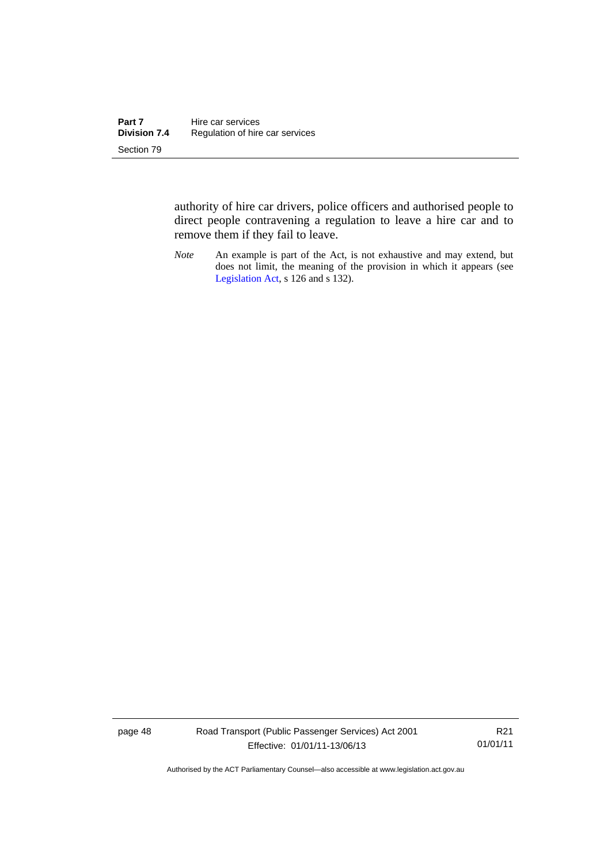authority of hire car drivers, police officers and authorised people to direct people contravening a regulation to leave a hire car and to remove them if they fail to leave.

*Note* An example is part of the Act, is not exhaustive and may extend, but does not limit, the meaning of the provision in which it appears (see [Legislation Act,](http://www.legislation.act.gov.au/a/2001-14) s 126 and s 132).

page 48 Road Transport (Public Passenger Services) Act 2001 Effective: 01/01/11-13/06/13

R21 01/01/11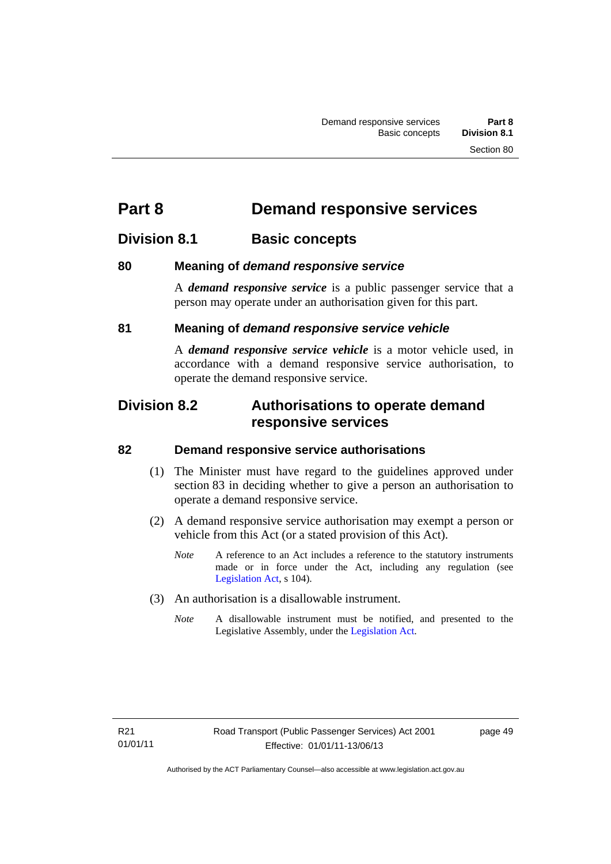# **Part 8 Demand responsive services**

## **Division 8.1 Basic concepts**

## **80 Meaning of** *demand responsive service*

A *demand responsive service* is a public passenger service that a person may operate under an authorisation given for this part.

## **81 Meaning of** *demand responsive service vehicle*

A *demand responsive service vehicle* is a motor vehicle used, in accordance with a demand responsive service authorisation, to operate the demand responsive service.

## **Division 8.2 Authorisations to operate demand responsive services**

## **82 Demand responsive service authorisations**

- (1) The Minister must have regard to the guidelines approved under section 83 in deciding whether to give a person an authorisation to operate a demand responsive service.
- (2) A demand responsive service authorisation may exempt a person or vehicle from this Act (or a stated provision of this Act).
	- *Note* A reference to an Act includes a reference to the statutory instruments made or in force under the Act, including any regulation (see [Legislation Act,](http://www.legislation.act.gov.au/a/2001-14) s 104).
- (3) An authorisation is a disallowable instrument.
	- *Note* A disallowable instrument must be notified, and presented to the Legislative Assembly, under the [Legislation Act.](http://www.legislation.act.gov.au/a/2001-14)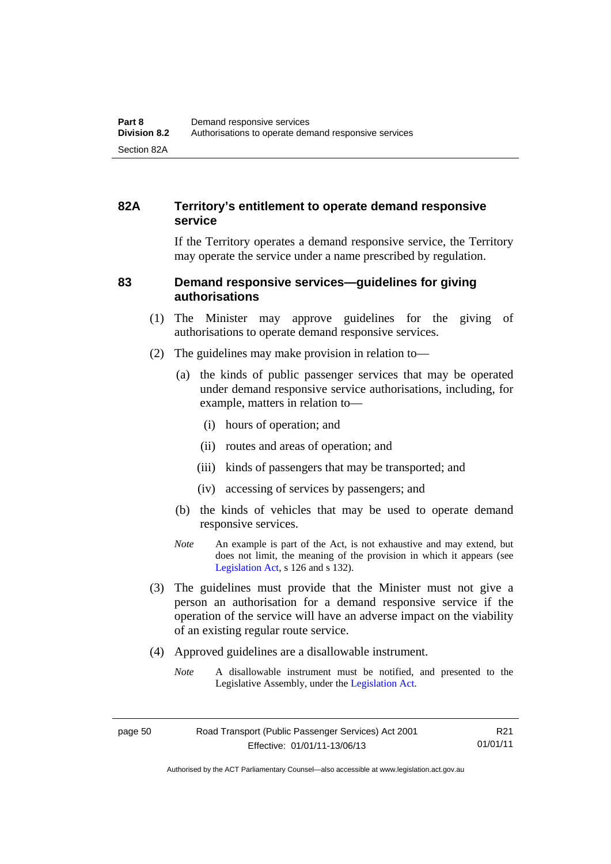## **82A Territory's entitlement to operate demand responsive service**

If the Territory operates a demand responsive service, the Territory may operate the service under a name prescribed by regulation.

## **83 Demand responsive services—guidelines for giving authorisations**

- (1) The Minister may approve guidelines for the giving of authorisations to operate demand responsive services.
- (2) The guidelines may make provision in relation to—
	- (a) the kinds of public passenger services that may be operated under demand responsive service authorisations, including, for example, matters in relation to—
		- (i) hours of operation; and
		- (ii) routes and areas of operation; and
		- (iii) kinds of passengers that may be transported; and
		- (iv) accessing of services by passengers; and
	- (b) the kinds of vehicles that may be used to operate demand responsive services.
	- *Note* An example is part of the Act, is not exhaustive and may extend, but does not limit, the meaning of the provision in which it appears (see [Legislation Act,](http://www.legislation.act.gov.au/a/2001-14) s 126 and s 132).
- (3) The guidelines must provide that the Minister must not give a person an authorisation for a demand responsive service if the operation of the service will have an adverse impact on the viability of an existing regular route service.
- (4) Approved guidelines are a disallowable instrument.
	- *Note* A disallowable instrument must be notified, and presented to the Legislative Assembly, under the [Legislation Act.](http://www.legislation.act.gov.au/a/2001-14)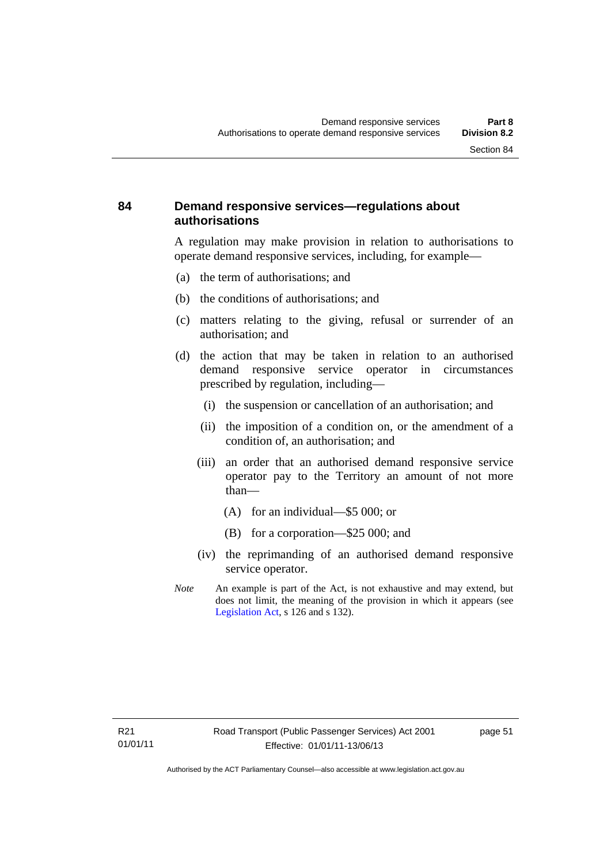## **84 Demand responsive services—regulations about authorisations**

A regulation may make provision in relation to authorisations to operate demand responsive services, including, for example—

- (a) the term of authorisations; and
- (b) the conditions of authorisations; and
- (c) matters relating to the giving, refusal or surrender of an authorisation; and
- (d) the action that may be taken in relation to an authorised demand responsive service operator in circumstances prescribed by regulation, including—
	- (i) the suspension or cancellation of an authorisation; and
	- (ii) the imposition of a condition on, or the amendment of a condition of, an authorisation; and
	- (iii) an order that an authorised demand responsive service operator pay to the Territory an amount of not more than—
		- (A) for an individual—\$5 000; or
		- (B) for a corporation—\$25 000; and
	- (iv) the reprimanding of an authorised demand responsive service operator.
- *Note* An example is part of the Act, is not exhaustive and may extend, but does not limit, the meaning of the provision in which it appears (see [Legislation Act,](http://www.legislation.act.gov.au/a/2001-14) s 126 and s 132).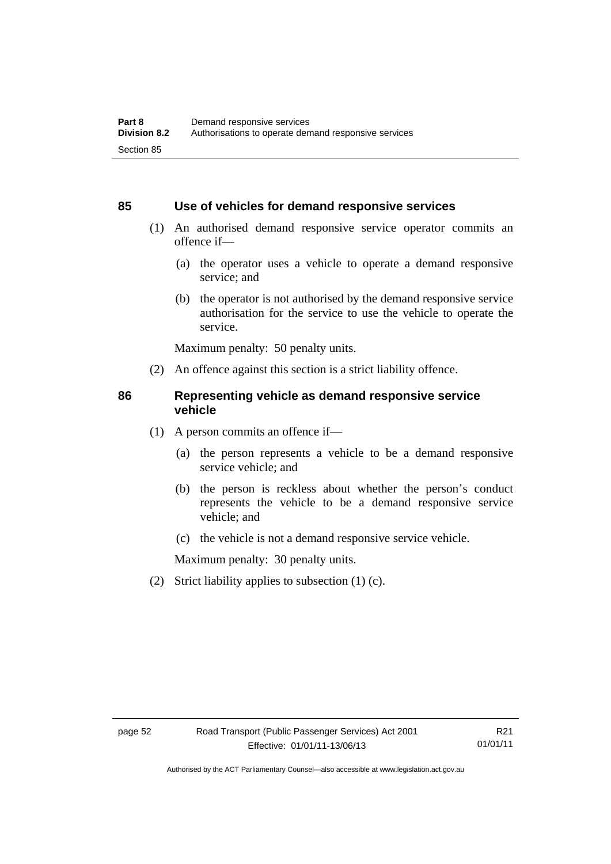## **85 Use of vehicles for demand responsive services**

- (1) An authorised demand responsive service operator commits an offence if—
	- (a) the operator uses a vehicle to operate a demand responsive service; and
	- (b) the operator is not authorised by the demand responsive service authorisation for the service to use the vehicle to operate the service.

Maximum penalty: 50 penalty units.

(2) An offence against this section is a strict liability offence.

## **86 Representing vehicle as demand responsive service vehicle**

- (1) A person commits an offence if—
	- (a) the person represents a vehicle to be a demand responsive service vehicle; and
	- (b) the person is reckless about whether the person's conduct represents the vehicle to be a demand responsive service vehicle; and
	- (c) the vehicle is not a demand responsive service vehicle.

Maximum penalty: 30 penalty units.

(2) Strict liability applies to subsection (1) (c).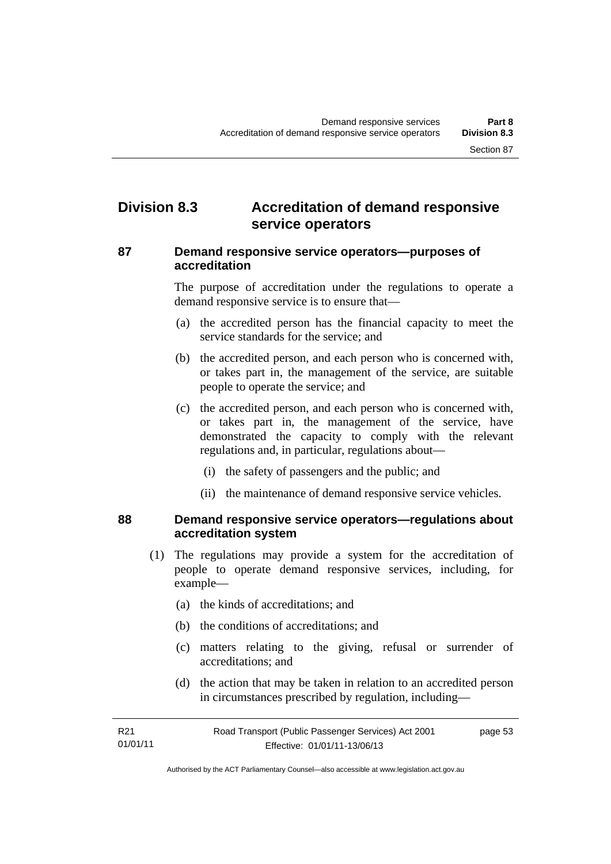## **Division 8.3 Accreditation of demand responsive service operators**

## **87 Demand responsive service operators—purposes of accreditation**

The purpose of accreditation under the regulations to operate a demand responsive service is to ensure that—

- (a) the accredited person has the financial capacity to meet the service standards for the service; and
- (b) the accredited person, and each person who is concerned with, or takes part in, the management of the service, are suitable people to operate the service; and
- (c) the accredited person, and each person who is concerned with, or takes part in, the management of the service, have demonstrated the capacity to comply with the relevant regulations and, in particular, regulations about—
	- (i) the safety of passengers and the public; and
	- (ii) the maintenance of demand responsive service vehicles.

## **88 Demand responsive service operators—regulations about accreditation system**

- (1) The regulations may provide a system for the accreditation of people to operate demand responsive services, including, for example—
	- (a) the kinds of accreditations; and
	- (b) the conditions of accreditations; and
	- (c) matters relating to the giving, refusal or surrender of accreditations; and
	- (d) the action that may be taken in relation to an accredited person in circumstances prescribed by regulation, including—

| R21      | Road Transport (Public Passenger Services) Act 2001 | page 53 |
|----------|-----------------------------------------------------|---------|
| 01/01/11 | Effective: 01/01/11-13/06/13                        |         |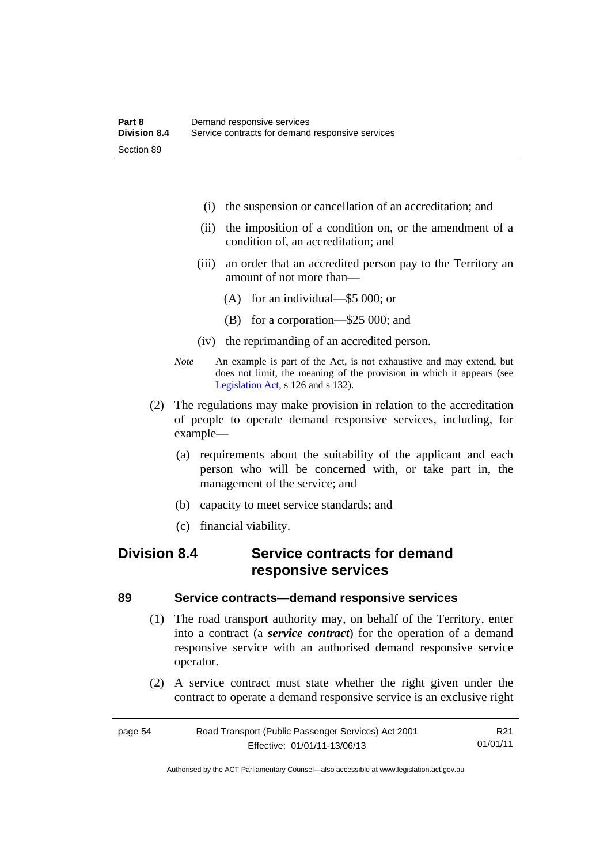- (i) the suspension or cancellation of an accreditation; and
- (ii) the imposition of a condition on, or the amendment of a condition of, an accreditation; and
- (iii) an order that an accredited person pay to the Territory an amount of not more than—
	- (A) for an individual—\$5 000; or
	- (B) for a corporation—\$25 000; and
- (iv) the reprimanding of an accredited person.
- *Note* An example is part of the Act, is not exhaustive and may extend, but does not limit, the meaning of the provision in which it appears (see [Legislation Act,](http://www.legislation.act.gov.au/a/2001-14) s 126 and s 132).
- (2) The regulations may make provision in relation to the accreditation of people to operate demand responsive services, including, for example—
	- (a) requirements about the suitability of the applicant and each person who will be concerned with, or take part in, the management of the service; and
	- (b) capacity to meet service standards; and
	- (c) financial viability.

## **Division 8.4 Service contracts for demand responsive services**

## **89 Service contracts—demand responsive services**

- (1) The road transport authority may, on behalf of the Territory, enter into a contract (a *service contract*) for the operation of a demand responsive service with an authorised demand responsive service operator.
- (2) A service contract must state whether the right given under the contract to operate a demand responsive service is an exclusive right

| page 54 | Road Transport (Public Passenger Services) Act 2001 | R21      |
|---------|-----------------------------------------------------|----------|
|         | Effective: 01/01/11-13/06/13                        | 01/01/11 |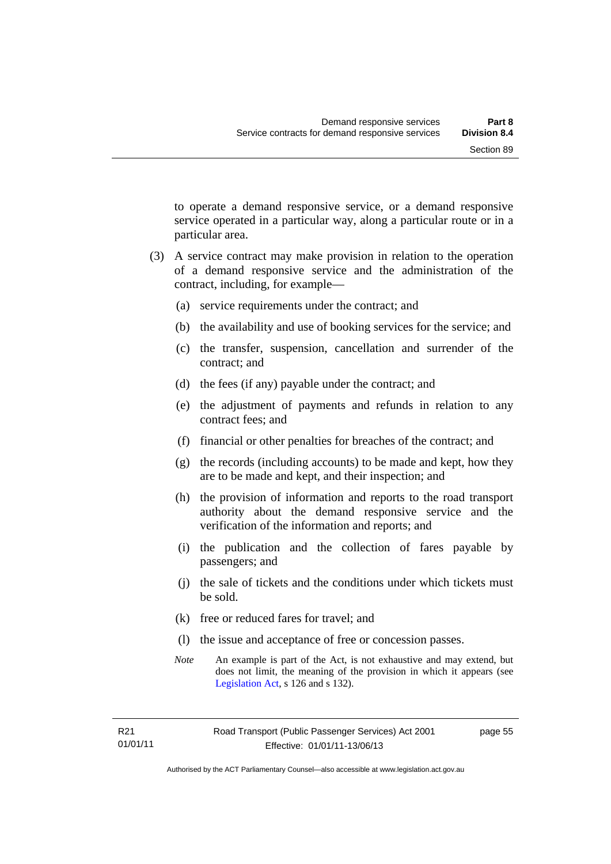to operate a demand responsive service, or a demand responsive service operated in a particular way, along a particular route or in a particular area.

- (3) A service contract may make provision in relation to the operation of a demand responsive service and the administration of the contract, including, for example—
	- (a) service requirements under the contract; and
	- (b) the availability and use of booking services for the service; and
	- (c) the transfer, suspension, cancellation and surrender of the contract; and
	- (d) the fees (if any) payable under the contract; and
	- (e) the adjustment of payments and refunds in relation to any contract fees; and
	- (f) financial or other penalties for breaches of the contract; and
	- (g) the records (including accounts) to be made and kept, how they are to be made and kept, and their inspection; and
	- (h) the provision of information and reports to the road transport authority about the demand responsive service and the verification of the information and reports; and
	- (i) the publication and the collection of fares payable by passengers; and
	- (j) the sale of tickets and the conditions under which tickets must be sold.
	- (k) free or reduced fares for travel; and
	- (l) the issue and acceptance of free or concession passes.
	- *Note* An example is part of the Act, is not exhaustive and may extend, but does not limit, the meaning of the provision in which it appears (see [Legislation Act,](http://www.legislation.act.gov.au/a/2001-14) s 126 and s 132).

page 55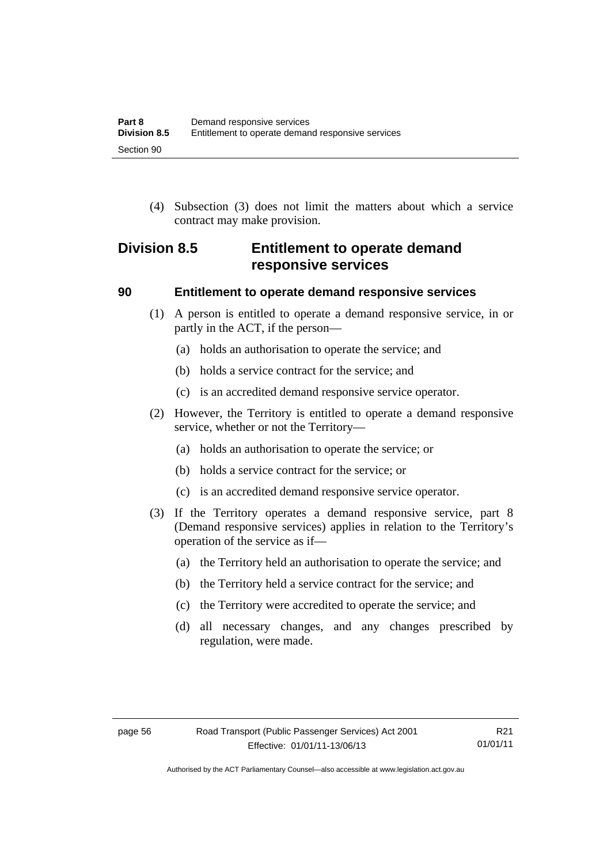(4) Subsection (3) does not limit the matters about which a service contract may make provision.

## **Division 8.5 Entitlement to operate demand responsive services**

#### **90 Entitlement to operate demand responsive services**

- (1) A person is entitled to operate a demand responsive service, in or partly in the ACT, if the person—
	- (a) holds an authorisation to operate the service; and
	- (b) holds a service contract for the service; and
	- (c) is an accredited demand responsive service operator.
- (2) However, the Territory is entitled to operate a demand responsive service, whether or not the Territory—
	- (a) holds an authorisation to operate the service; or
	- (b) holds a service contract for the service; or
	- (c) is an accredited demand responsive service operator.
- (3) If the Territory operates a demand responsive service, part 8 (Demand responsive services) applies in relation to the Territory's operation of the service as if—
	- (a) the Territory held an authorisation to operate the service; and
	- (b) the Territory held a service contract for the service; and
	- (c) the Territory were accredited to operate the service; and
	- (d) all necessary changes, and any changes prescribed by regulation, were made.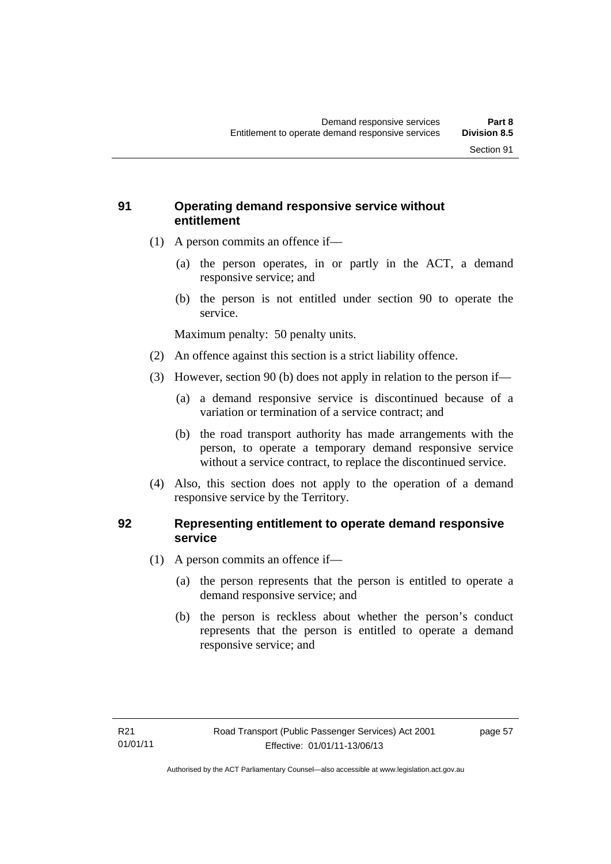## **91 Operating demand responsive service without entitlement**

- (1) A person commits an offence if—
	- (a) the person operates, in or partly in the ACT, a demand responsive service; and
	- (b) the person is not entitled under section 90 to operate the service.

Maximum penalty: 50 penalty units.

- (2) An offence against this section is a strict liability offence.
- (3) However, section 90 (b) does not apply in relation to the person if—
	- (a) a demand responsive service is discontinued because of a variation or termination of a service contract; and
	- (b) the road transport authority has made arrangements with the person, to operate a temporary demand responsive service without a service contract, to replace the discontinued service.
- (4) Also, this section does not apply to the operation of a demand responsive service by the Territory.

## **92 Representing entitlement to operate demand responsive service**

- (1) A person commits an offence if—
	- (a) the person represents that the person is entitled to operate a demand responsive service; and
	- (b) the person is reckless about whether the person's conduct represents that the person is entitled to operate a demand responsive service; and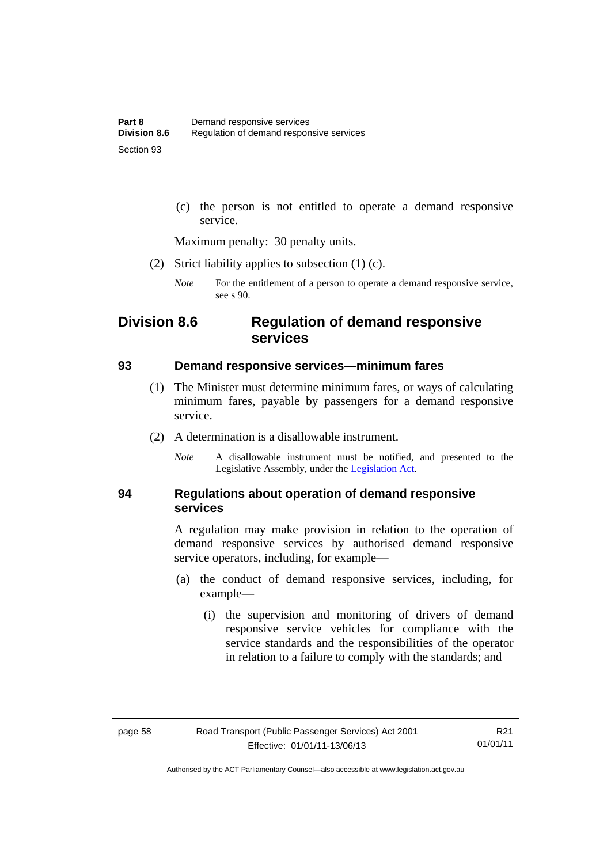(c) the person is not entitled to operate a demand responsive service.

Maximum penalty: 30 penalty units.

- (2) Strict liability applies to subsection (1) (c).
	- *Note* For the entitlement of a person to operate a demand responsive service, see s 90.

## **Division 8.6 Regulation of demand responsive services**

#### **93 Demand responsive services—minimum fares**

- (1) The Minister must determine minimum fares, or ways of calculating minimum fares, payable by passengers for a demand responsive service.
- (2) A determination is a disallowable instrument.
	- *Note* A disallowable instrument must be notified, and presented to the Legislative Assembly, under the [Legislation Act.](http://www.legislation.act.gov.au/a/2001-14)

## **94 Regulations about operation of demand responsive services**

A regulation may make provision in relation to the operation of demand responsive services by authorised demand responsive service operators, including, for example—

- (a) the conduct of demand responsive services, including, for example—
	- (i) the supervision and monitoring of drivers of demand responsive service vehicles for compliance with the service standards and the responsibilities of the operator in relation to a failure to comply with the standards; and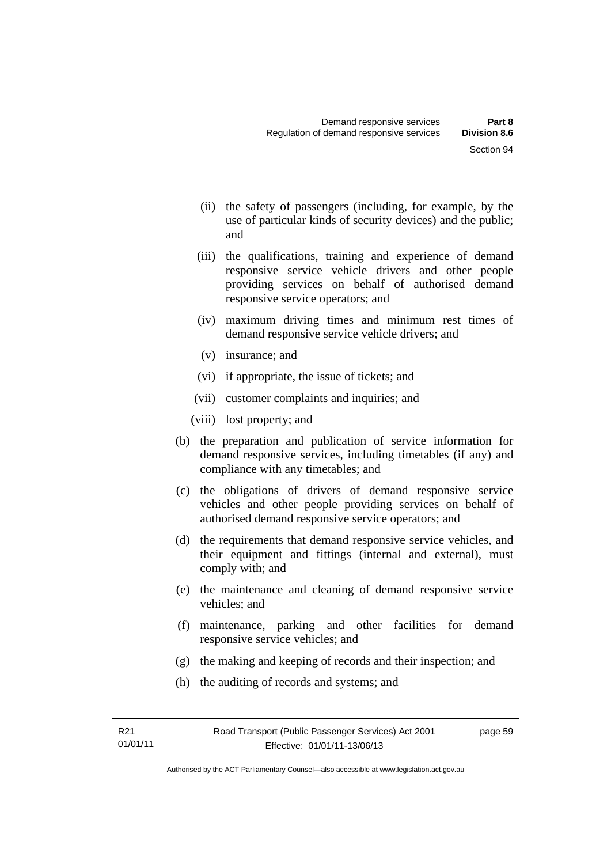- (ii) the safety of passengers (including, for example, by the use of particular kinds of security devices) and the public; and
- (iii) the qualifications, training and experience of demand responsive service vehicle drivers and other people providing services on behalf of authorised demand responsive service operators; and
- (iv) maximum driving times and minimum rest times of demand responsive service vehicle drivers; and
- (v) insurance; and
- (vi) if appropriate, the issue of tickets; and
- (vii) customer complaints and inquiries; and
- (viii) lost property; and
- (b) the preparation and publication of service information for demand responsive services, including timetables (if any) and compliance with any timetables; and
- (c) the obligations of drivers of demand responsive service vehicles and other people providing services on behalf of authorised demand responsive service operators; and
- (d) the requirements that demand responsive service vehicles, and their equipment and fittings (internal and external), must comply with; and
- (e) the maintenance and cleaning of demand responsive service vehicles; and
- (f) maintenance, parking and other facilities for demand responsive service vehicles; and
- (g) the making and keeping of records and their inspection; and
- (h) the auditing of records and systems; and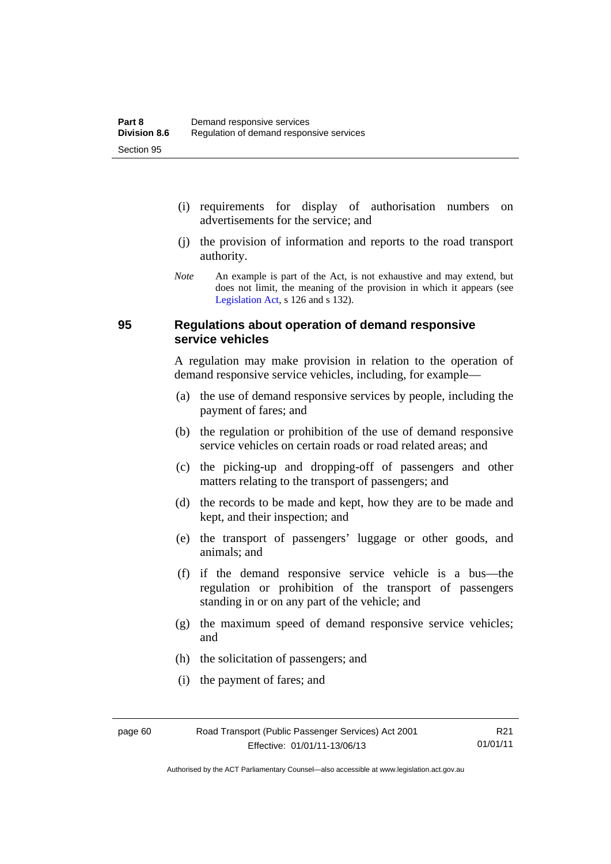- (i) requirements for display of authorisation numbers on advertisements for the service; and
- (j) the provision of information and reports to the road transport authority.
- *Note* An example is part of the Act, is not exhaustive and may extend, but does not limit, the meaning of the provision in which it appears (see [Legislation Act,](http://www.legislation.act.gov.au/a/2001-14) s 126 and s 132).

## **95 Regulations about operation of demand responsive service vehicles**

A regulation may make provision in relation to the operation of demand responsive service vehicles, including, for example—

- (a) the use of demand responsive services by people, including the payment of fares; and
- (b) the regulation or prohibition of the use of demand responsive service vehicles on certain roads or road related areas; and
- (c) the picking-up and dropping-off of passengers and other matters relating to the transport of passengers; and
- (d) the records to be made and kept, how they are to be made and kept, and their inspection; and
- (e) the transport of passengers' luggage or other goods, and animals; and
- (f) if the demand responsive service vehicle is a bus—the regulation or prohibition of the transport of passengers standing in or on any part of the vehicle; and
- (g) the maximum speed of demand responsive service vehicles; and
- (h) the solicitation of passengers; and
- (i) the payment of fares; and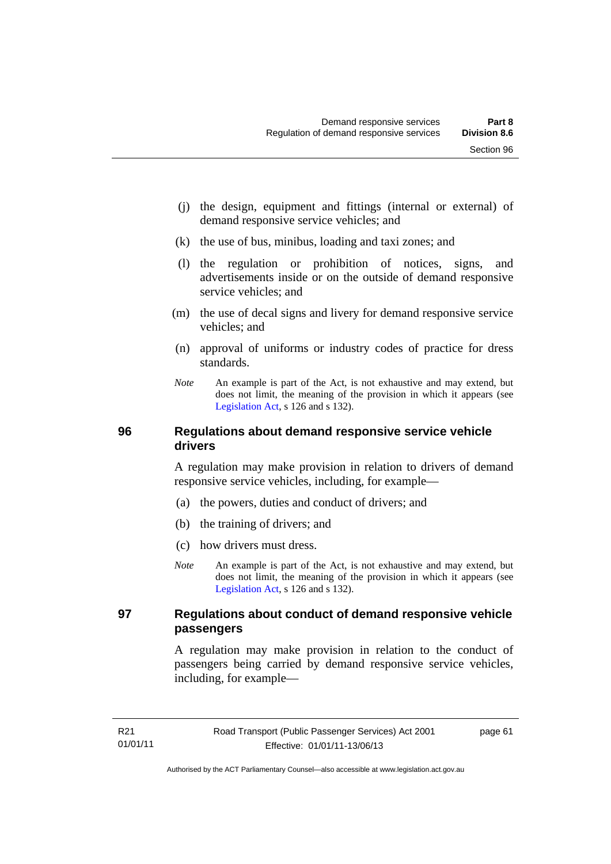- (j) the design, equipment and fittings (internal or external) of demand responsive service vehicles; and
- (k) the use of bus, minibus, loading and taxi zones; and
- (l) the regulation or prohibition of notices, signs, and advertisements inside or on the outside of demand responsive service vehicles; and
- (m) the use of decal signs and livery for demand responsive service vehicles; and
- (n) approval of uniforms or industry codes of practice for dress standards.
- *Note* An example is part of the Act, is not exhaustive and may extend, but does not limit, the meaning of the provision in which it appears (see [Legislation Act,](http://www.legislation.act.gov.au/a/2001-14) s 126 and s 132).

## **96 Regulations about demand responsive service vehicle drivers**

A regulation may make provision in relation to drivers of demand responsive service vehicles, including, for example—

- (a) the powers, duties and conduct of drivers; and
- (b) the training of drivers; and
- (c) how drivers must dress.
- *Note* An example is part of the Act, is not exhaustive and may extend, but does not limit, the meaning of the provision in which it appears (see [Legislation Act,](http://www.legislation.act.gov.au/a/2001-14) s 126 and s 132).

## **97 Regulations about conduct of demand responsive vehicle passengers**

A regulation may make provision in relation to the conduct of passengers being carried by demand responsive service vehicles, including, for example—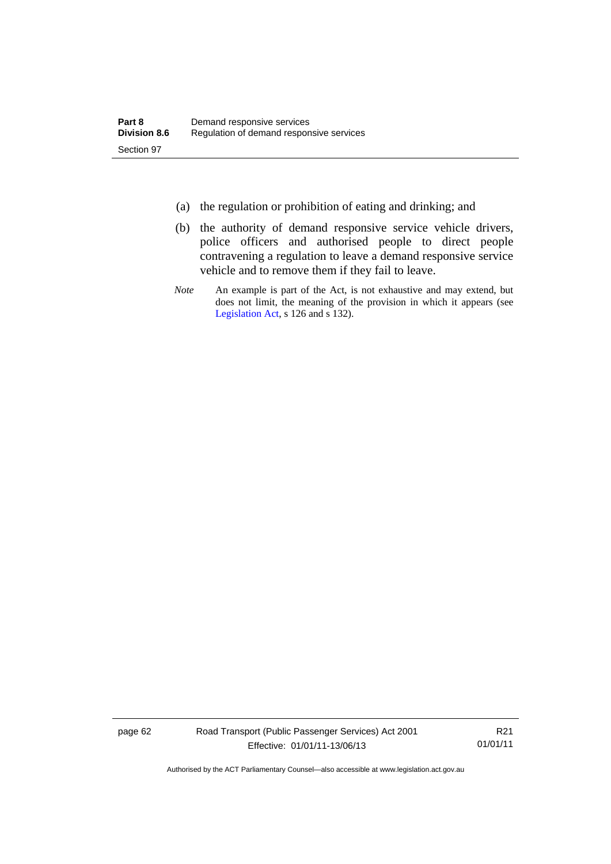- (a) the regulation or prohibition of eating and drinking; and
- (b) the authority of demand responsive service vehicle drivers, police officers and authorised people to direct people contravening a regulation to leave a demand responsive service vehicle and to remove them if they fail to leave.
- *Note* An example is part of the Act, is not exhaustive and may extend, but does not limit, the meaning of the provision in which it appears (see [Legislation Act,](http://www.legislation.act.gov.au/a/2001-14) s 126 and s 132).

page 62 Road Transport (Public Passenger Services) Act 2001 Effective: 01/01/11-13/06/13

R21 01/01/11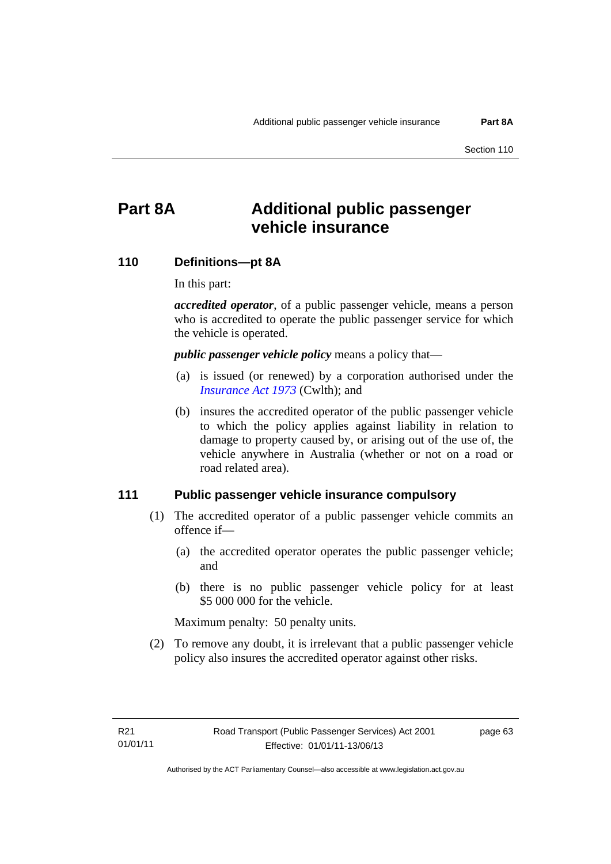# **Part 8A Additional public passenger vehicle insurance**

## **110 Definitions—pt 8A**

In this part:

*accredited operator*, of a public passenger vehicle, means a person who is accredited to operate the public passenger service for which the vehicle is operated.

*public passenger vehicle policy* means a policy that—

- (a) is issued (or renewed) by a corporation authorised under the *[Insurance Act 1973](http://www.comlaw.gov.au/Details/C2013C00019)* (Cwlth); and
- (b) insures the accredited operator of the public passenger vehicle to which the policy applies against liability in relation to damage to property caused by, or arising out of the use of, the vehicle anywhere in Australia (whether or not on a road or road related area).

## **111 Public passenger vehicle insurance compulsory**

- (1) The accredited operator of a public passenger vehicle commits an offence if—
	- (a) the accredited operator operates the public passenger vehicle; and
	- (b) there is no public passenger vehicle policy for at least \$5 000 000 for the vehicle.

Maximum penalty: 50 penalty units.

 (2) To remove any doubt, it is irrelevant that a public passenger vehicle policy also insures the accredited operator against other risks.

page 63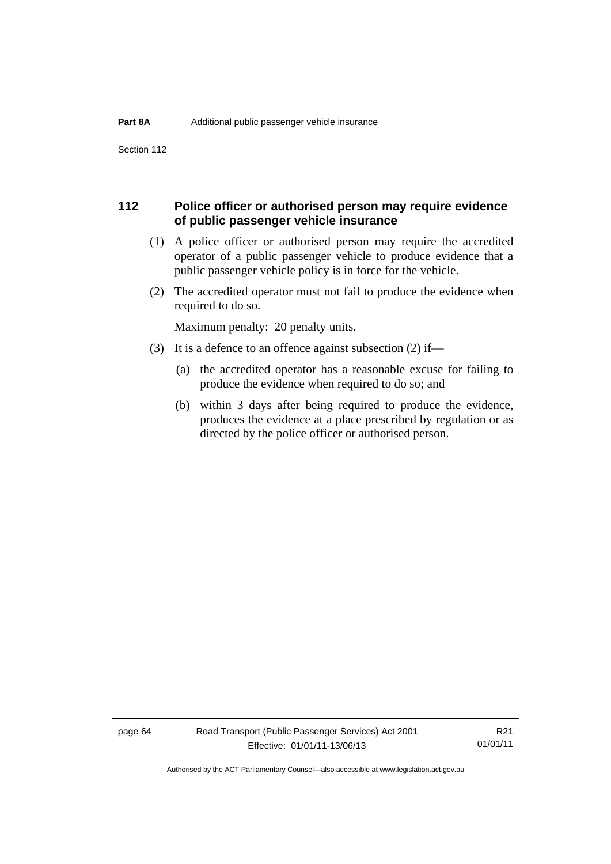Section 112

## **112 Police officer or authorised person may require evidence of public passenger vehicle insurance**

- (1) A police officer or authorised person may require the accredited operator of a public passenger vehicle to produce evidence that a public passenger vehicle policy is in force for the vehicle.
- (2) The accredited operator must not fail to produce the evidence when required to do so.

Maximum penalty: 20 penalty units.

- (3) It is a defence to an offence against subsection (2) if—
	- (a) the accredited operator has a reasonable excuse for failing to produce the evidence when required to do so; and
	- (b) within 3 days after being required to produce the evidence, produces the evidence at a place prescribed by regulation or as directed by the police officer or authorised person.

R21 01/01/11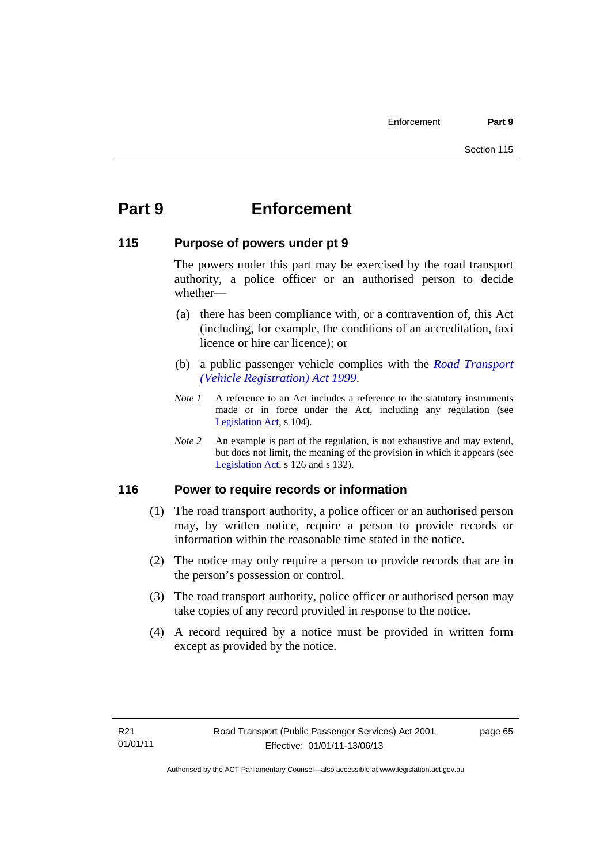# **Part 9 Enforcement**

# **115 Purpose of powers under pt 9**

The powers under this part may be exercised by the road transport authority, a police officer or an authorised person to decide whether—

- (a) there has been compliance with, or a contravention of, this Act (including, for example, the conditions of an accreditation, taxi licence or hire car licence); or
- (b) a public passenger vehicle complies with the *[Road Transport](http://www.legislation.act.gov.au/a/1999-81)  [\(Vehicle Registration\) Act 1999](http://www.legislation.act.gov.au/a/1999-81)*.
- *Note 1* A reference to an Act includes a reference to the statutory instruments made or in force under the Act, including any regulation (see [Legislation Act,](http://www.legislation.act.gov.au/a/2001-14) s 104).
- *Note 2* An example is part of the regulation, is not exhaustive and may extend, but does not limit, the meaning of the provision in which it appears (see [Legislation Act,](http://www.legislation.act.gov.au/a/2001-14) s 126 and s 132).

# **116 Power to require records or information**

- (1) The road transport authority, a police officer or an authorised person may, by written notice, require a person to provide records or information within the reasonable time stated in the notice.
- (2) The notice may only require a person to provide records that are in the person's possession or control.
- (3) The road transport authority, police officer or authorised person may take copies of any record provided in response to the notice.
- (4) A record required by a notice must be provided in written form except as provided by the notice.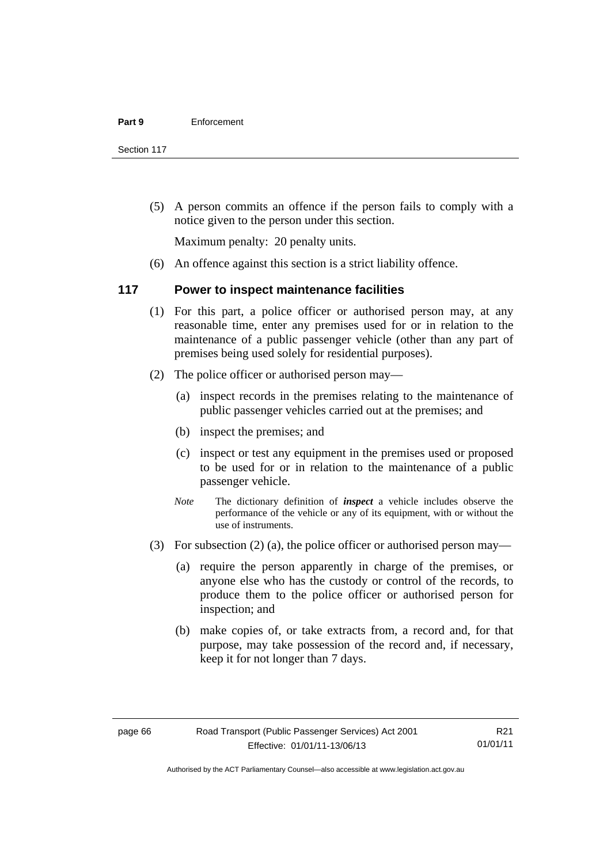Section 117

 (5) A person commits an offence if the person fails to comply with a notice given to the person under this section.

Maximum penalty: 20 penalty units.

(6) An offence against this section is a strict liability offence.

# **117 Power to inspect maintenance facilities**

- (1) For this part, a police officer or authorised person may, at any reasonable time, enter any premises used for or in relation to the maintenance of a public passenger vehicle (other than any part of premises being used solely for residential purposes).
- (2) The police officer or authorised person may—
	- (a) inspect records in the premises relating to the maintenance of public passenger vehicles carried out at the premises; and
	- (b) inspect the premises; and
	- (c) inspect or test any equipment in the premises used or proposed to be used for or in relation to the maintenance of a public passenger vehicle.
	- *Note* The dictionary definition of *inspect* a vehicle includes observe the performance of the vehicle or any of its equipment, with or without the use of instruments.
- (3) For subsection (2) (a), the police officer or authorised person may—
	- (a) require the person apparently in charge of the premises, or anyone else who has the custody or control of the records, to produce them to the police officer or authorised person for inspection; and
	- (b) make copies of, or take extracts from, a record and, for that purpose, may take possession of the record and, if necessary, keep it for not longer than 7 days.

R21 01/01/11

Authorised by the ACT Parliamentary Counsel—also accessible at www.legislation.act.gov.au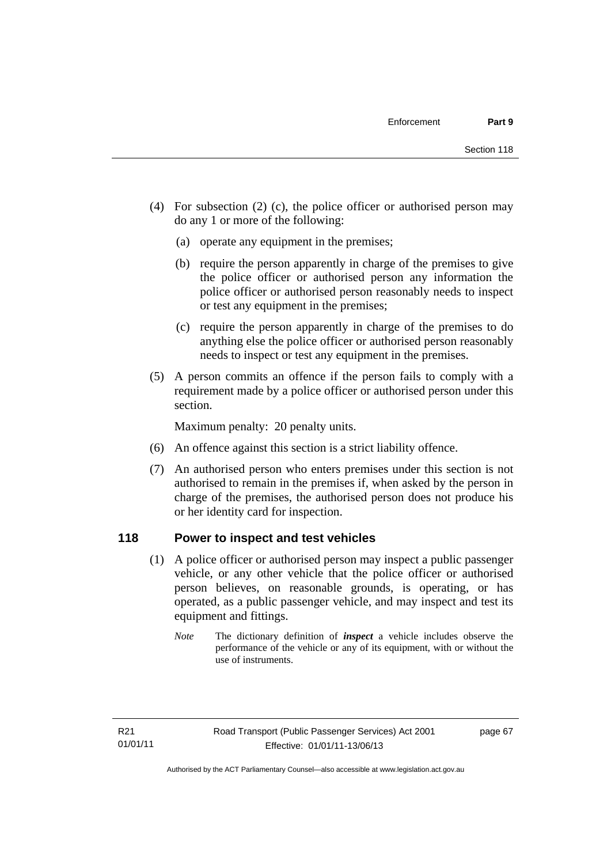- (4) For subsection (2) (c), the police officer or authorised person may do any 1 or more of the following:
	- (a) operate any equipment in the premises;
	- (b) require the person apparently in charge of the premises to give the police officer or authorised person any information the police officer or authorised person reasonably needs to inspect or test any equipment in the premises;
	- (c) require the person apparently in charge of the premises to do anything else the police officer or authorised person reasonably needs to inspect or test any equipment in the premises.
- (5) A person commits an offence if the person fails to comply with a requirement made by a police officer or authorised person under this section.

Maximum penalty: 20 penalty units.

- (6) An offence against this section is a strict liability offence.
- (7) An authorised person who enters premises under this section is not authorised to remain in the premises if, when asked by the person in charge of the premises, the authorised person does not produce his or her identity card for inspection.

# **118 Power to inspect and test vehicles**

- (1) A police officer or authorised person may inspect a public passenger vehicle, or any other vehicle that the police officer or authorised person believes, on reasonable grounds, is operating, or has operated, as a public passenger vehicle, and may inspect and test its equipment and fittings.
	- *Note* The dictionary definition of *inspect* a vehicle includes observe the performance of the vehicle or any of its equipment, with or without the use of instruments.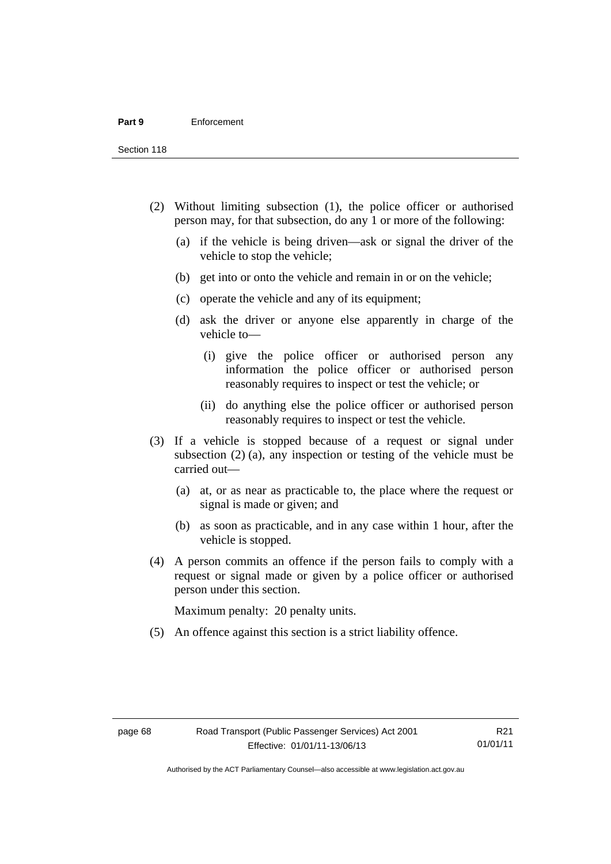Section 118

- (2) Without limiting subsection (1), the police officer or authorised person may, for that subsection, do any 1 or more of the following:
	- (a) if the vehicle is being driven—ask or signal the driver of the vehicle to stop the vehicle;
	- (b) get into or onto the vehicle and remain in or on the vehicle;
	- (c) operate the vehicle and any of its equipment;
	- (d) ask the driver or anyone else apparently in charge of the vehicle to—
		- (i) give the police officer or authorised person any information the police officer or authorised person reasonably requires to inspect or test the vehicle; or
		- (ii) do anything else the police officer or authorised person reasonably requires to inspect or test the vehicle.
- (3) If a vehicle is stopped because of a request or signal under subsection (2) (a), any inspection or testing of the vehicle must be carried out—
	- (a) at, or as near as practicable to, the place where the request or signal is made or given; and
	- (b) as soon as practicable, and in any case within 1 hour, after the vehicle is stopped.
- (4) A person commits an offence if the person fails to comply with a request or signal made or given by a police officer or authorised person under this section.

Maximum penalty: 20 penalty units.

(5) An offence against this section is a strict liability offence.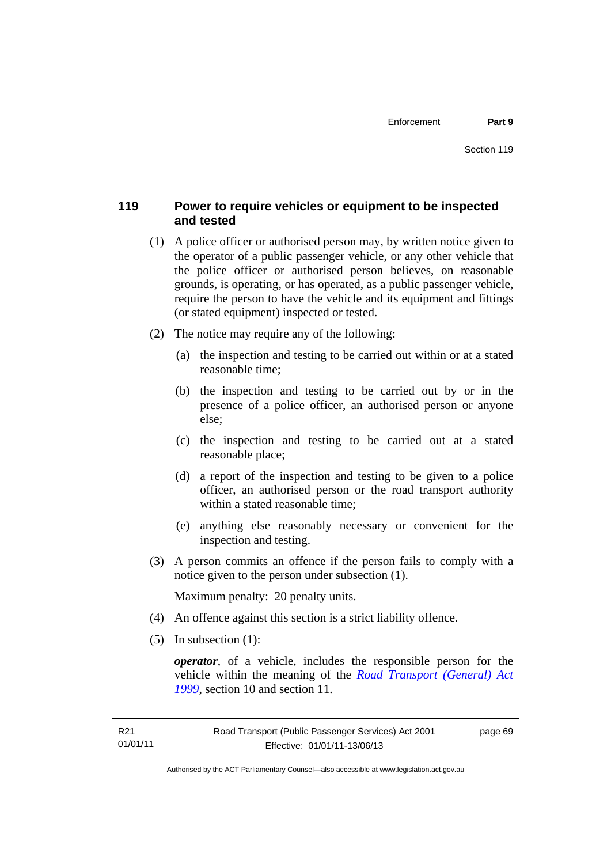# **119 Power to require vehicles or equipment to be inspected and tested**

- (1) A police officer or authorised person may, by written notice given to the operator of a public passenger vehicle, or any other vehicle that the police officer or authorised person believes, on reasonable grounds, is operating, or has operated, as a public passenger vehicle, require the person to have the vehicle and its equipment and fittings (or stated equipment) inspected or tested.
- (2) The notice may require any of the following:
	- (a) the inspection and testing to be carried out within or at a stated reasonable time;
	- (b) the inspection and testing to be carried out by or in the presence of a police officer, an authorised person or anyone else;
	- (c) the inspection and testing to be carried out at a stated reasonable place;
	- (d) a report of the inspection and testing to be given to a police officer, an authorised person or the road transport authority within a stated reasonable time;
	- (e) anything else reasonably necessary or convenient for the inspection and testing.
- (3) A person commits an offence if the person fails to comply with a notice given to the person under subsection (1).

Maximum penalty: 20 penalty units.

- (4) An offence against this section is a strict liability offence.
- (5) In subsection (1):

*operator*, of a vehicle, includes the responsible person for the vehicle within the meaning of the *[Road Transport \(General\) Act](http://www.legislation.act.gov.au/a/1999-77)  [1999](http://www.legislation.act.gov.au/a/1999-77)*, section 10 and section 11.

page 69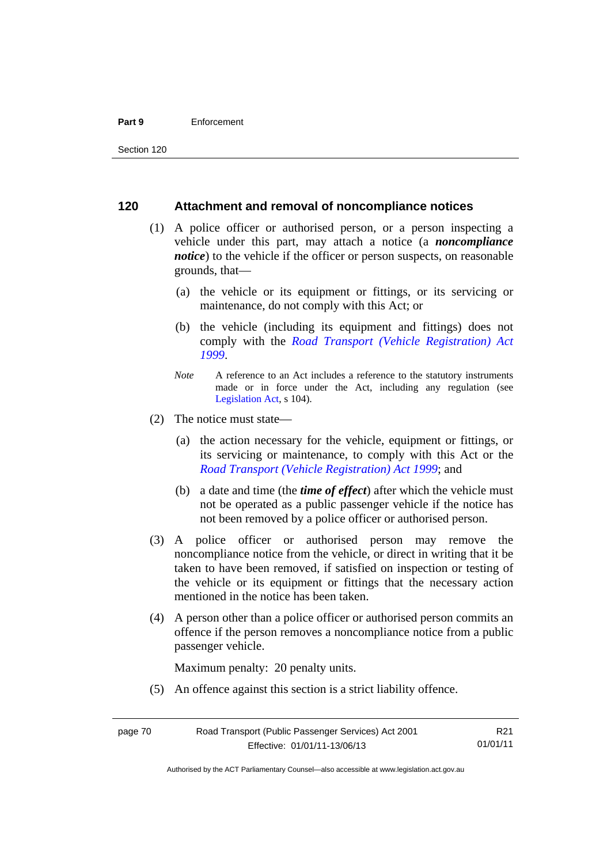### **Part 9** Enforcement

# **120 Attachment and removal of noncompliance notices**

- (1) A police officer or authorised person, or a person inspecting a vehicle under this part, may attach a notice (a *noncompliance notice*) to the vehicle if the officer or person suspects, on reasonable grounds, that—
	- (a) the vehicle or its equipment or fittings, or its servicing or maintenance, do not comply with this Act; or
	- (b) the vehicle (including its equipment and fittings) does not comply with the *[Road Transport \(Vehicle Registration\) Act](http://www.legislation.act.gov.au/a/1999-81)  [1999](http://www.legislation.act.gov.au/a/1999-81)*.
	- *Note* A reference to an Act includes a reference to the statutory instruments made or in force under the Act, including any regulation (see [Legislation Act,](http://www.legislation.act.gov.au/a/2001-14) s 104).
- (2) The notice must state—
	- (a) the action necessary for the vehicle, equipment or fittings, or its servicing or maintenance, to comply with this Act or the *[Road Transport \(Vehicle Registration\) Act 1999](http://www.legislation.act.gov.au/a/1999-81)*; and
	- (b) a date and time (the *time of effect*) after which the vehicle must not be operated as a public passenger vehicle if the notice has not been removed by a police officer or authorised person.
- (3) A police officer or authorised person may remove the noncompliance notice from the vehicle, or direct in writing that it be taken to have been removed, if satisfied on inspection or testing of the vehicle or its equipment or fittings that the necessary action mentioned in the notice has been taken.
- (4) A person other than a police officer or authorised person commits an offence if the person removes a noncompliance notice from a public passenger vehicle.

Maximum penalty: 20 penalty units.

(5) An offence against this section is a strict liability offence.

R21 01/01/11

Authorised by the ACT Parliamentary Counsel—also accessible at www.legislation.act.gov.au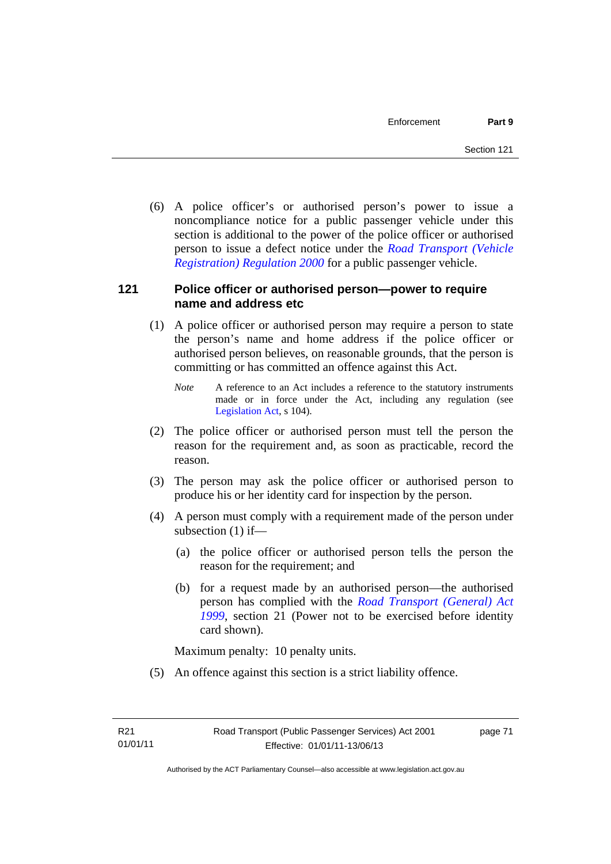(6) A police officer's or authorised person's power to issue a noncompliance notice for a public passenger vehicle under this section is additional to the power of the police officer or authorised person to issue a defect notice under the *[Road Transport \(Vehicle](http://www.legislation.act.gov.au/sl/2000-12)  [Registration\) Regulation 2000](http://www.legislation.act.gov.au/sl/2000-12)* for a public passenger vehicle.

# **121 Police officer or authorised person—power to require name and address etc**

- (1) A police officer or authorised person may require a person to state the person's name and home address if the police officer or authorised person believes, on reasonable grounds, that the person is committing or has committed an offence against this Act.
	- *Note* A reference to an Act includes a reference to the statutory instruments made or in force under the Act, including any regulation (see [Legislation Act,](http://www.legislation.act.gov.au/a/2001-14) s 104).
- (2) The police officer or authorised person must tell the person the reason for the requirement and, as soon as practicable, record the reason.
- (3) The person may ask the police officer or authorised person to produce his or her identity card for inspection by the person.
- (4) A person must comply with a requirement made of the person under subsection (1) if—
	- (a) the police officer or authorised person tells the person the reason for the requirement; and
	- (b) for a request made by an authorised person—the authorised person has complied with the *[Road Transport \(General\) Act](http://www.legislation.act.gov.au/a/1999-77)  [1999](http://www.legislation.act.gov.au/a/1999-77)*, section 21 (Power not to be exercised before identity card shown).

Maximum penalty: 10 penalty units.

(5) An offence against this section is a strict liability offence.

page 71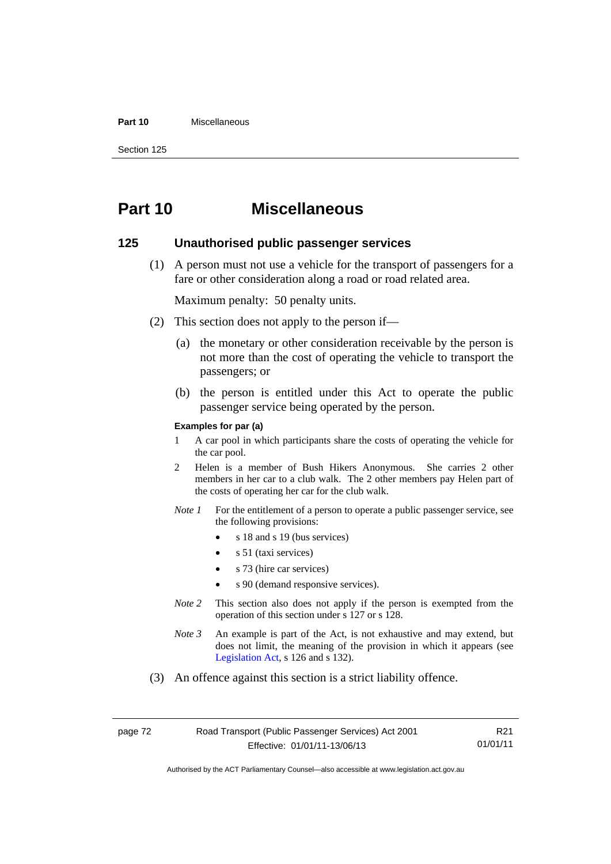### **Part 10** Miscellaneous

Section 125

# **Part 10 Miscellaneous**

## **125 Unauthorised public passenger services**

 (1) A person must not use a vehicle for the transport of passengers for a fare or other consideration along a road or road related area.

Maximum penalty: 50 penalty units.

- (2) This section does not apply to the person if—
	- (a) the monetary or other consideration receivable by the person is not more than the cost of operating the vehicle to transport the passengers; or
	- (b) the person is entitled under this Act to operate the public passenger service being operated by the person.

### **Examples for par (a)**

- 1 A car pool in which participants share the costs of operating the vehicle for the car pool.
- 2 Helen is a member of Bush Hikers Anonymous. She carries 2 other members in her car to a club walk. The 2 other members pay Helen part of the costs of operating her car for the club walk.
- *Note 1* For the entitlement of a person to operate a public passenger service, see the following provisions:
	- $\bullet$  s 18 and s 19 (bus services)
	- s 51 (taxi services)
	- s 73 (hire car services)
	- s 90 (demand responsive services).
- *Note* 2 This section also does not apply if the person is exempted from the operation of this section under s 127 or s 128.
- *Note 3* An example is part of the Act, is not exhaustive and may extend, but does not limit, the meaning of the provision in which it appears (see [Legislation Act,](http://www.legislation.act.gov.au/a/2001-14) s 126 and s 132).
- (3) An offence against this section is a strict liability offence.

R21 01/01/11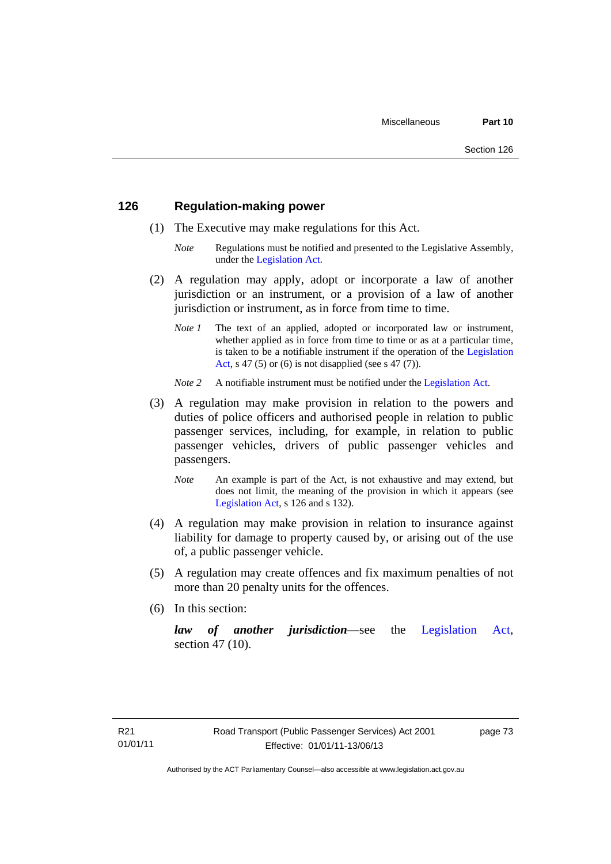# **126 Regulation-making power**

- (1) The Executive may make regulations for this Act.
	- *Note* Regulations must be notified and presented to the Legislative Assembly, under the [Legislation Act.](http://www.legislation.act.gov.au/a/2001-14)
- (2) A regulation may apply, adopt or incorporate a law of another jurisdiction or an instrument, or a provision of a law of another jurisdiction or instrument, as in force from time to time.
	- *Note 1* The text of an applied, adopted or incorporated law or instrument, whether applied as in force from time to time or as at a particular time. is taken to be a notifiable instrument if the operation of the [Legislation](http://www.legislation.act.gov.au/a/2001-14)  [Act](http://www.legislation.act.gov.au/a/2001-14), s 47 (5) or (6) is not disapplied (see s 47 (7)).
	- *Note 2* A notifiable instrument must be notified under the [Legislation Act](http://www.legislation.act.gov.au/a/2001-14).
- (3) A regulation may make provision in relation to the powers and duties of police officers and authorised people in relation to public passenger services, including, for example, in relation to public passenger vehicles, drivers of public passenger vehicles and passengers.
	- *Note* An example is part of the Act, is not exhaustive and may extend, but does not limit, the meaning of the provision in which it appears (see [Legislation Act,](http://www.legislation.act.gov.au/a/2001-14) s 126 and s 132).
- (4) A regulation may make provision in relation to insurance against liability for damage to property caused by, or arising out of the use of, a public passenger vehicle.
- (5) A regulation may create offences and fix maximum penalties of not more than 20 penalty units for the offences.
- (6) In this section:

*law of another jurisdiction*—see the [Legislation Act](http://www.legislation.act.gov.au/a/2001-14), section 47 (10).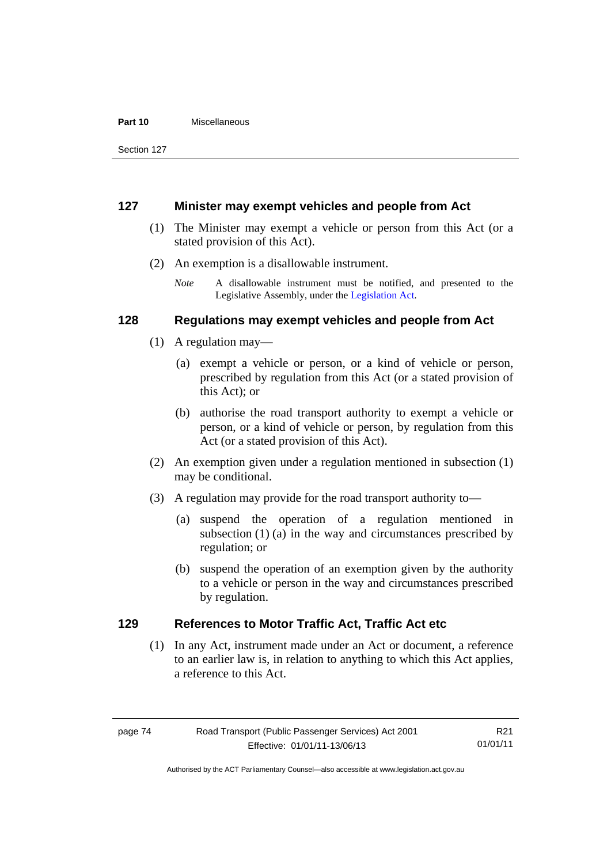### **Part 10** Miscellaneous

Section 127

# **127 Minister may exempt vehicles and people from Act**

- (1) The Minister may exempt a vehicle or person from this Act (or a stated provision of this Act).
- (2) An exemption is a disallowable instrument.
	- *Note* A disallowable instrument must be notified, and presented to the Legislative Assembly, under the [Legislation Act.](http://www.legislation.act.gov.au/a/2001-14)

# **128 Regulations may exempt vehicles and people from Act**

- (1) A regulation may—
	- (a) exempt a vehicle or person, or a kind of vehicle or person, prescribed by regulation from this Act (or a stated provision of this Act); or
	- (b) authorise the road transport authority to exempt a vehicle or person, or a kind of vehicle or person, by regulation from this Act (or a stated provision of this Act).
- (2) An exemption given under a regulation mentioned in subsection (1) may be conditional.
- (3) A regulation may provide for the road transport authority to—
	- (a) suspend the operation of a regulation mentioned in subsection (1) (a) in the way and circumstances prescribed by regulation; or
	- (b) suspend the operation of an exemption given by the authority to a vehicle or person in the way and circumstances prescribed by regulation.

# **129 References to Motor Traffic Act, Traffic Act etc**

(1) In any Act, instrument made under an Act or document, a reference to an earlier law is, in relation to anything to which this Act applies, a reference to this Act.

Authorised by the ACT Parliamentary Counsel—also accessible at www.legislation.act.gov.au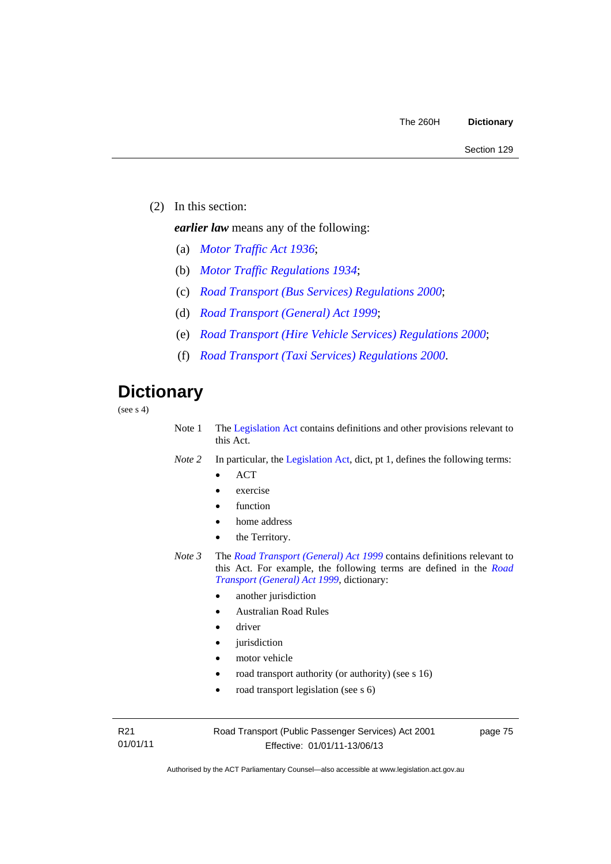(2) In this section:

*earlier law* means any of the following:

- (a) *[Motor Traffic Act 1936](http://www.legislation.act.gov.au/a/1936-45)*;
- (b) *[Motor Traffic Regulations 1934](http://www.legislation.act.gov.au/sl/1934-6)*;
- (c) *[Road Transport \(Bus Services\) Regulations 2000](http://www.legislation.act.gov.au/sl/2000-9)*;
- (d) *[Road Transport \(General\) Act 1999](http://www.legislation.act.gov.au/a/1999-77)*;
- (e) *[Road Transport \(Hire Vehicle Services\) Regulations 2000](http://www.legislation.act.gov.au/sl/2000-4)*;
- (f) *[Road Transport \(Taxi Services\) Regulations 2000](http://www.legislation.act.gov.au/sl/2000-5)*.

# **Dictionary**

(see s 4)

- Note 1 The [Legislation Act](http://www.legislation.act.gov.au/a/2001-14) contains definitions and other provisions relevant to this Act.
- *Note 2* In particular, the [Legislation Act,](http://www.legislation.act.gov.au/a/2001-14) dict, pt 1, defines the following terms:
	- ACT
	- exercise
	- function
	- home address
	- the Territory.
- *Note 3* The *[Road Transport \(General\) Act 1999](http://www.legislation.act.gov.au/a/1999-77)* contains definitions relevant to this Act. For example, the following terms are defined in the *[Road](http://www.legislation.act.gov.au/a/1999-77)  [Transport \(General\) Act 1999](http://www.legislation.act.gov.au/a/1999-77)*, dictionary:
	- another jurisdiction
	- Australian Road Rules
	- driver
	- jurisdiction
	- motor vehicle
	- road transport authority (or authority) (see s 16)
	- road transport legislation (see s 6)

R21 01/01/11 Road Transport (Public Passenger Services) Act 2001 Effective: 01/01/11-13/06/13

page 75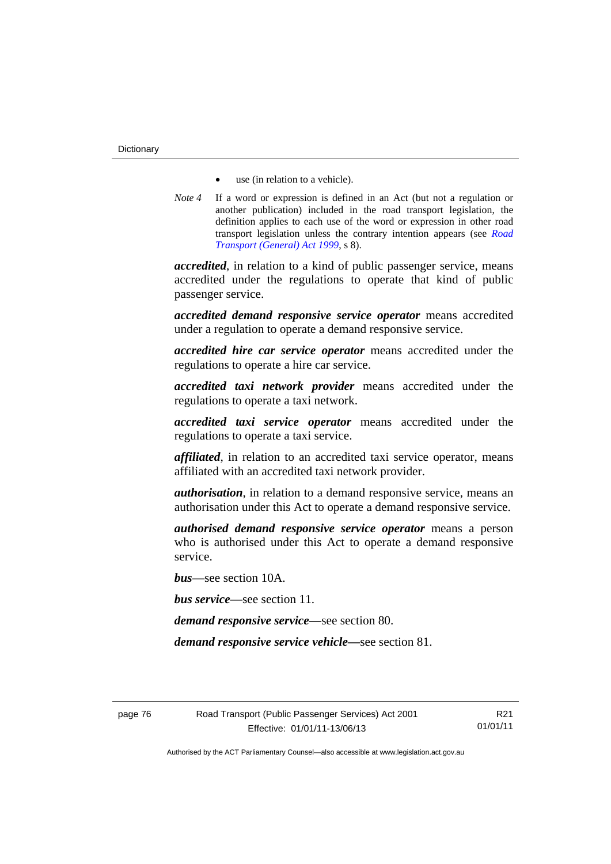- use (in relation to a vehicle).
- *Note 4* If a word or expression is defined in an Act (but not a regulation or another publication) included in the road transport legislation, the definition applies to each use of the word or expression in other road transport legislation unless the contrary intention appears (see *[Road](http://www.legislation.act.gov.au/a/1999-77)  [Transport \(General\) Act 1999](http://www.legislation.act.gov.au/a/1999-77)*, s 8).

*accredited*, in relation to a kind of public passenger service, means accredited under the regulations to operate that kind of public passenger service.

*accredited demand responsive service operator* means accredited under a regulation to operate a demand responsive service.

*accredited hire car service operator* means accredited under the regulations to operate a hire car service.

*accredited taxi network provider* means accredited under the regulations to operate a taxi network.

*accredited taxi service operator* means accredited under the regulations to operate a taxi service.

*affiliated*, in relation to an accredited taxi service operator, means affiliated with an accredited taxi network provider.

*authorisation*, in relation to a demand responsive service, means an authorisation under this Act to operate a demand responsive service.

*authorised demand responsive service operator* means a person who is authorised under this Act to operate a demand responsive service.

*bus*—see section 10A.

*bus service*—see section 11.

*demand responsive service—*see section 80.

*demand responsive service vehicle—*see section 81.

R21 01/01/11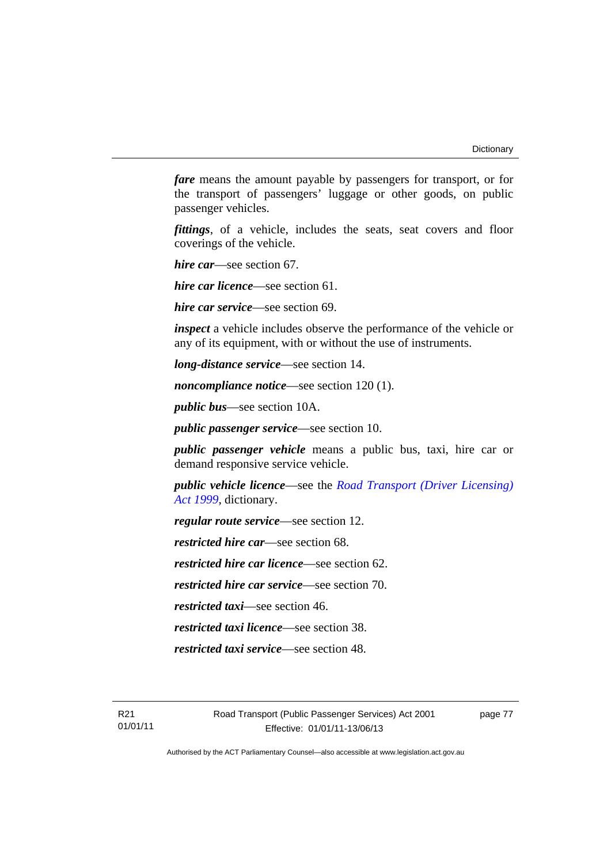*fare* means the amount payable by passengers for transport, or for the transport of passengers' luggage or other goods, on public passenger vehicles.

*fittings*, of a vehicle, includes the seats, seat covers and floor coverings of the vehicle.

*hire car*—see section 67.

*hire car licence*—see section 61.

*hire car service*—see section 69.

*inspect* a vehicle includes observe the performance of the vehicle or any of its equipment, with or without the use of instruments.

*long-distance service*—see section 14.

*noncompliance notice*—see section 120 (1).

*public bus*—see section 10A.

*public passenger service*—see section 10.

*public passenger vehicle* means a public bus, taxi, hire car or demand responsive service vehicle.

*public vehicle licence*—see the *[Road Transport \(Driver Licensing\)](http://www.legislation.act.gov.au/a/1999-78)  [Act 1999](http://www.legislation.act.gov.au/a/1999-78)*, dictionary.

*regular route service*—see section 12.

*restricted hire car*—see section 68.

*restricted hire car licence*—see section 62.

*restricted hire car service*—see section 70.

*restricted taxi*—see section 46.

*restricted taxi licence*—see section 38.

*restricted taxi service*—see section 48.

R21 01/01/11 page 77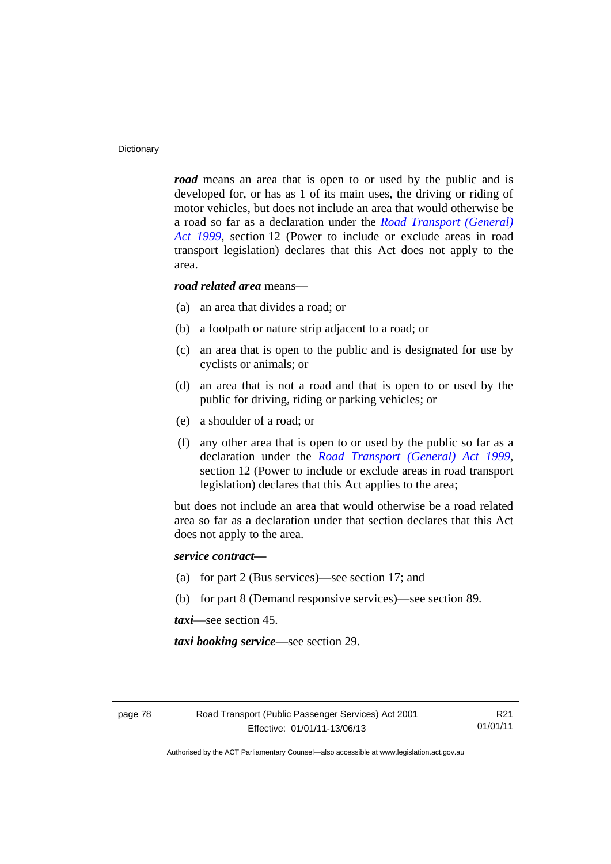*road* means an area that is open to or used by the public and is developed for, or has as 1 of its main uses, the driving or riding of motor vehicles, but does not include an area that would otherwise be a road so far as a declaration under the *[Road Transport \(General\)](http://www.legislation.act.gov.au/a/1999-77)  [Act 1999](http://www.legislation.act.gov.au/a/1999-77)*, section 12 (Power to include or exclude areas in road transport legislation) declares that this Act does not apply to the area.

# *road related area* means—

- (a) an area that divides a road; or
- (b) a footpath or nature strip adjacent to a road; or
- (c) an area that is open to the public and is designated for use by cyclists or animals; or
- (d) an area that is not a road and that is open to or used by the public for driving, riding or parking vehicles; or
- (e) a shoulder of a road; or
- (f) any other area that is open to or used by the public so far as a declaration under the *[Road Transport \(General\) Act 1999](http://www.legislation.act.gov.au/a/1999-77)*, section 12 (Power to include or exclude areas in road transport legislation) declares that this Act applies to the area;

but does not include an area that would otherwise be a road related area so far as a declaration under that section declares that this Act does not apply to the area.

## *service contract—*

- (a) for part 2 (Bus services)—see section 17; and
- (b) for part 8 (Demand responsive services)—see section 89.

*taxi*—see section 45.

*taxi booking service*—see section 29.

R21 01/01/11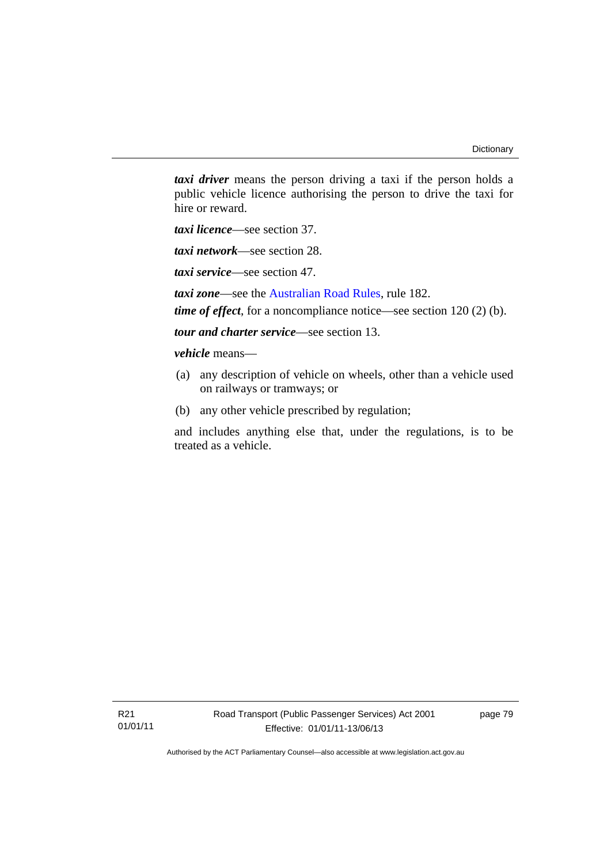*taxi driver* means the person driving a taxi if the person holds a public vehicle licence authorising the person to drive the taxi for hire or reward.

*taxi licence*—see section 37.

*taxi network*—see section 28.

*taxi service*—see section 47.

*taxi zone*—see the [Australian Road Rules](http://www.legislation.act.gov.au//ni/db_37271/default.asp), rule 182.

*time of effect*, for a noncompliance notice—see section 120 (2) (b).

*tour and charter service*—see section 13.

*vehicle* means—

- (a) any description of vehicle on wheels, other than a vehicle used on railways or tramways; or
- (b) any other vehicle prescribed by regulation;

and includes anything else that, under the regulations, is to be treated as a vehicle.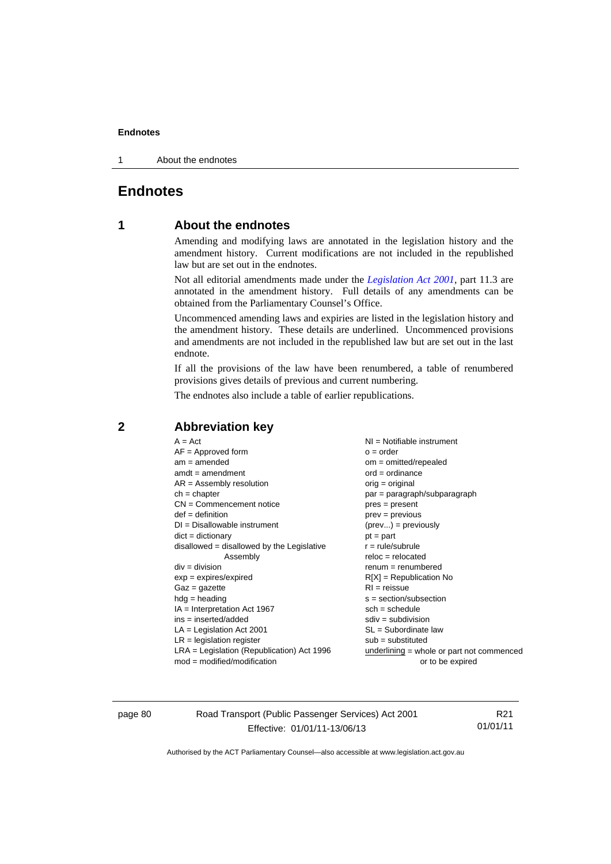1 About the endnotes

# **Endnotes**

# **1 About the endnotes**

Amending and modifying laws are annotated in the legislation history and the amendment history. Current modifications are not included in the republished law but are set out in the endnotes.

Not all editorial amendments made under the *[Legislation Act 2001](http://www.legislation.act.gov.au/a/2001-14)*, part 11.3 are annotated in the amendment history. Full details of any amendments can be obtained from the Parliamentary Counsel's Office.

Uncommenced amending laws and expiries are listed in the legislation history and the amendment history. These details are underlined. Uncommenced provisions and amendments are not included in the republished law but are set out in the last endnote.

If all the provisions of the law have been renumbered, a table of renumbered provisions gives details of previous and current numbering.

The endnotes also include a table of earlier republications.

| $A = Act$<br>$AF =$ Approved form<br>$am = amended$<br>$amdt = amendment$<br>$AR = Assembly resolution$<br>$ch = chapter$<br>$CN =$ Commencement notice<br>$def = definition$<br>$DI = Disallowable instrument$<br>$dict = dictionary$<br>$disallowed = disallowed by the Legislative$<br>Assembly<br>$div = division$<br>$exp = expires/expired$ | $NI =$ Notifiable instrument<br>$o = order$<br>om = omitted/repealed<br>$ord = ordinance$<br>orig = original<br>par = paragraph/subparagraph<br>pres = present<br>$prev = previous$<br>$(\text{prev}) = \text{previously}$<br>$pt = part$<br>$r = rule/subrule$<br>$reloc = relocated$<br>$renum = renumbered$<br>$R[X]$ = Republication No |
|---------------------------------------------------------------------------------------------------------------------------------------------------------------------------------------------------------------------------------------------------------------------------------------------------------------------------------------------------|---------------------------------------------------------------------------------------------------------------------------------------------------------------------------------------------------------------------------------------------------------------------------------------------------------------------------------------------|
| $Gaz = gazette$<br>$hdg =$ heading                                                                                                                                                                                                                                                                                                                | $RI = reissue$<br>$s = section/subsection$<br>$sch = schedule$                                                                                                                                                                                                                                                                              |
| $IA = Interpretation Act 1967$<br>$ins = inserted/added$                                                                                                                                                                                                                                                                                          | $sdiv = subdivision$                                                                                                                                                                                                                                                                                                                        |
| $LA =$ Legislation Act 2001                                                                                                                                                                                                                                                                                                                       | $SL = Subordinate$ law                                                                                                                                                                                                                                                                                                                      |
| $LR =$ legislation register<br>$LRA =$ Legislation (Republication) Act 1996<br>$mod = modified/modification$                                                                                                                                                                                                                                      | $sub =$ substituted<br>underlining = whole or part not commenced<br>or to be expired                                                                                                                                                                                                                                                        |

# **2 Abbreviation key**

page 80 Road Transport (Public Passenger Services) Act 2001 Effective: 01/01/11-13/06/13

R21 01/01/11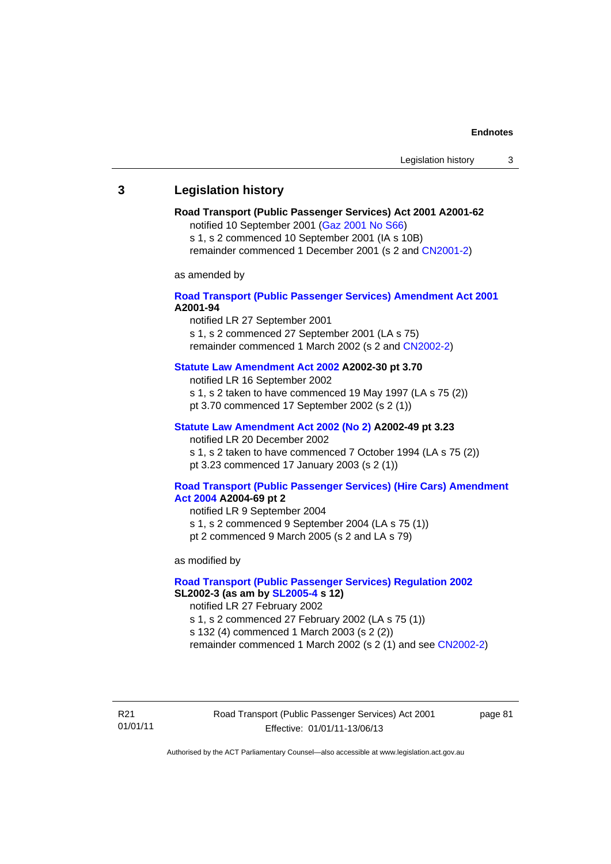## **3 Legislation history**

# **Road Transport (Public Passenger Services) Act 2001 A2001-62**

notified 10 September 2001 [\(Gaz 2001 No S66\)](http://www.legislation.act.gov.au/gaz/2001-S66/default.asp)

s 1, s 2 commenced 10 September 2001 (IA s 10B) remainder commenced 1 December 2001 (s 2 and [CN2001-2\)](http://www.legislation.act.gov.au/cn/2001-2/default.asp)

as amended by

### **[Road Transport \(Public Passenger Services\) Amendment Act 2001](http://www.legislation.act.gov.au/a/2001-94) A2001-94**

notified LR 27 September 2001

s 1, s 2 commenced 27 September 2001 (LA s 75) remainder commenced 1 March 2002 (s 2 and [CN2002-2\)](http://www.legislation.act.gov.au/cn/2002-2/default.asp)

### **[Statute Law Amendment Act 2002](http://www.legislation.act.gov.au/a/2002-30) A2002-30 pt 3.70**

notified LR 16 September 2002

s 1, s 2 taken to have commenced 19 May 1997 (LA s 75 (2))

pt 3.70 commenced 17 September 2002 (s 2 (1))

### **[Statute Law Amendment Act 2002 \(No 2\)](http://www.legislation.act.gov.au/a/2002-49) A2002-49 pt 3.23**

notified LR 20 December 2002 s 1, s 2 taken to have commenced 7 October 1994 (LA s 75 (2)) pt 3.23 commenced 17 January 2003 (s 2 (1))

### **[Road Transport \(Public Passenger Services\) \(Hire Cars\) Amendment](http://www.legislation.act.gov.au/a/2004-69)  [Act 2004](http://www.legislation.act.gov.au/a/2004-69) A2004-69 pt 2**

notified LR 9 September 2004 s 1, s 2 commenced 9 September 2004 (LA s 75 (1)) pt 2 commenced 9 March 2005 (s 2 and LA s 79)

as modified by

### **[Road Transport \(Public Passenger Services\) Regulation 2002](http://www.legislation.act.gov.au/sl/2002-3) SL2002-3 (as am by [SL2005-4](http://www.legislation.act.gov.au/sl/2005-4) s 12)**

notified LR 27 February 2002

s 1, s 2 commenced 27 February 2002 (LA s 75 (1))

s 132 (4) commenced 1 March 2003 (s 2 (2))

remainder commenced 1 March 2002 (s 2 (1) and see [CN2002-2](http://www.legislation.act.gov.au/cn/2002-2/default.asp))

R21 01/01/11 Road Transport (Public Passenger Services) Act 2001 Effective: 01/01/11-13/06/13

page 81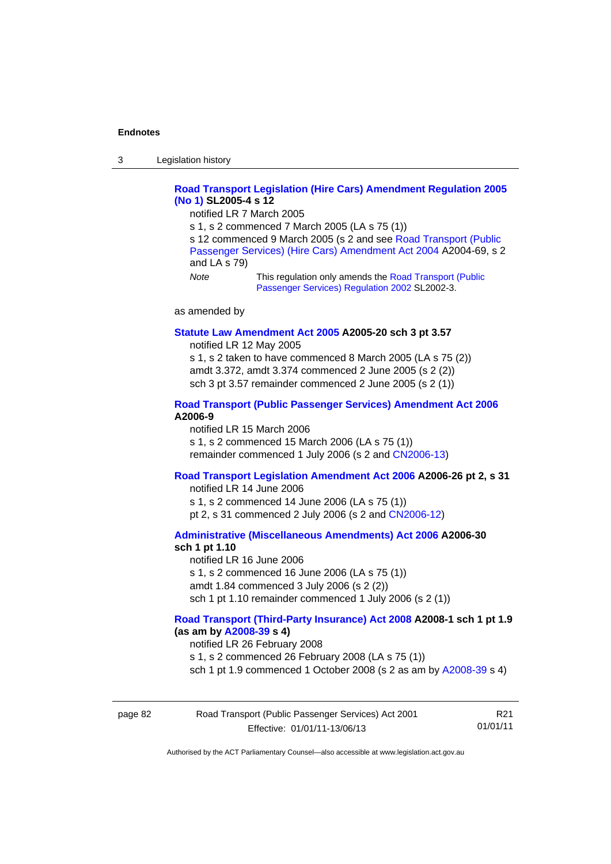3 Legislation history

### **[Road Transport Legislation \(Hire Cars\) Amendment Regulation 2005](http://www.legislation.act.gov.au/sl/2005-4)  [\(No 1\)](http://www.legislation.act.gov.au/sl/2005-4) SL2005-4 s 12**

notified LR 7 March 2005

s 1, s 2 commenced 7 March 2005 (LA s 75 (1))

s 12 commenced 9 March 2005 (s 2 and see [Road Transport \(Public](http://www.legislation.act.gov.au/a/2004-69)  [Passenger Services\) \(Hire Cars\) Amendment Act 2004](http://www.legislation.act.gov.au/a/2004-69) A2004-69, s 2 and LA s 79)

*Note* This regulation only amends the [Road Transport \(Public](http://www.legislation.act.gov.au/sl/2002-3)  [Passenger Services\) Regulation 2002](http://www.legislation.act.gov.au/sl/2002-3) SL2002-3.

as amended by

### **[Statute Law Amendment Act 2005](http://www.legislation.act.gov.au/a/2005-20) A2005-20 sch 3 pt 3.57**

notified LR 12 May 2005

s 1, s 2 taken to have commenced 8 March 2005 (LA s 75 (2)) amdt 3.372, amdt 3.374 commenced 2 June 2005 (s 2 (2)) sch 3 pt 3.57 remainder commenced 2 June 2005 (s 2 (1))

### **[Road Transport \(Public Passenger Services\) Amendment Act 2006](http://www.legislation.act.gov.au/a/2006-9) A2006-9**

notified LR 15 March 2006 s 1, s 2 commenced 15 March 2006 (LA s 75 (1)) remainder commenced 1 July 2006 (s 2 and [CN2006-13](http://www.legislation.act.gov.au/cn/2006-13/default.asp))

### **[Road Transport Legislation Amendment Act 2006](http://www.legislation.act.gov.au/a/2006-26) A2006-26 pt 2, s 31**

notified LR 14 June 2006 s 1, s 2 commenced 14 June 2006 (LA s 75 (1)) pt 2, s 31 commenced 2 July 2006 (s 2 and [CN2006-12](http://www.legislation.act.gov.au/cn/2006-12/default.asp))

**[Administrative \(Miscellaneous Amendments\) Act 2006](http://www.legislation.act.gov.au/a/2006-30) A2006-30 sch 1 pt 1.10** 

notified LR 16 June 2006 s 1, s 2 commenced 16 June 2006 (LA s 75 (1)) amdt 1.84 commenced 3 July 2006 (s 2 (2)) sch 1 pt 1.10 remainder commenced 1 July 2006 (s 2 (1))

### **[Road Transport \(Third-Party Insurance\) Act 2008](http://www.legislation.act.gov.au/a/2008-1) A2008-1 sch 1 pt 1.9 (as am by [A2008-39](http://www.legislation.act.gov.au/a/2008-39) s 4)**

notified LR 26 February 2008

s 1, s 2 commenced 26 February 2008 (LA s 75 (1))

sch 1 pt 1.9 commenced 1 October 2008 (s 2 as am by [A2008-39](http://www.legislation.act.gov.au/a/2008-39) s 4)

| page 82 | Road Transport (Public Passenger Services) Act 2001 | R <sub>21</sub> |
|---------|-----------------------------------------------------|-----------------|
|         | Effective: 01/01/11-13/06/13                        | 01/01/11        |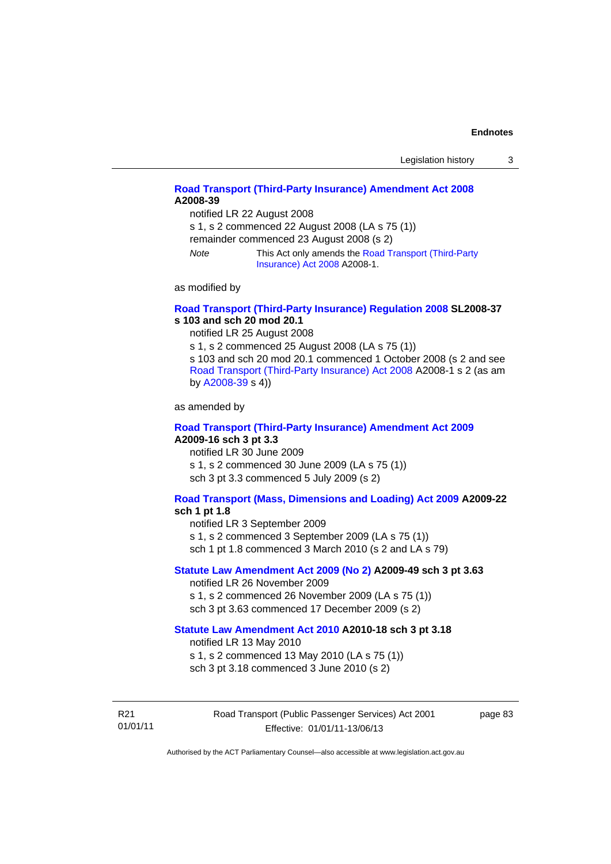# **[Road Transport \(Third-Party Insurance\) Amendment Act 2008](http://www.legislation.act.gov.au/a/2008-39) A2008-39**

notified LR 22 August 2008

s 1, s 2 commenced 22 August 2008 (LA s 75 (1))

remainder commenced 23 August 2008 (s 2)

*Note* This Act only amends the [Road Transport \(Third-Party](http://www.legislation.act.gov.au/a/2008-1)  [Insurance\) Act 2008](http://www.legislation.act.gov.au/a/2008-1) A2008-1.

as modified by

### **[Road Transport \(Third-Party Insurance\) Regulation 2008](http://www.legislation.act.gov.au/sl/2008-37) SL2008-37 s 103 and sch 20 mod 20.1**

notified LR 25 August 2008

s 1, s 2 commenced 25 August 2008 (LA s 75 (1)) s 103 and sch 20 mod 20.1 commenced 1 October 2008 (s 2 and see [Road Transport \(Third-Party Insurance\) Act 2008](http://www.legislation.act.gov.au/a/2008-1) A2008-1 s 2 (as am by [A2008-39](http://www.legislation.act.gov.au/a/2008-39) s 4))

as amended by

### **[Road Transport \(Third-Party Insurance\) Amendment Act 2009](http://www.legislation.act.gov.au/a/2009-16) A2009-16 sch 3 pt 3.3**

notified LR 30 June 2009 s 1, s 2 commenced 30 June 2009 (LA s 75 (1)) sch 3 pt 3.3 commenced 5 July 2009 (s 2)

### **[Road Transport \(Mass, Dimensions and Loading\) Act 2009](http://www.legislation.act.gov.au/a/2009-22/default.asp) A2009-22**

### **sch 1 pt 1.8**

notified LR 3 September 2009

s 1, s 2 commenced 3 September 2009 (LA s 75 (1))

sch 1 pt 1.8 commenced 3 March 2010 (s 2 and LA s 79)

### **[Statute Law Amendment Act 2009 \(No 2\)](http://www.legislation.act.gov.au/a/2009-49) A2009-49 sch 3 pt 3.63**

notified LR 26 November 2009 s 1, s 2 commenced 26 November 2009 (LA s 75 (1)) sch 3 pt 3.63 commenced 17 December 2009 (s 2)

#### **[Statute Law Amendment Act 2010](http://www.legislation.act.gov.au/a/2010-18) A2010-18 sch 3 pt 3.18**

notified LR 13 May 2010

s 1, s 2 commenced 13 May 2010 (LA s 75 (1))

sch 3 pt 3.18 commenced 3 June 2010 (s 2)

R21 01/01/11 Road Transport (Public Passenger Services) Act 2001 Effective: 01/01/11-13/06/13

page 83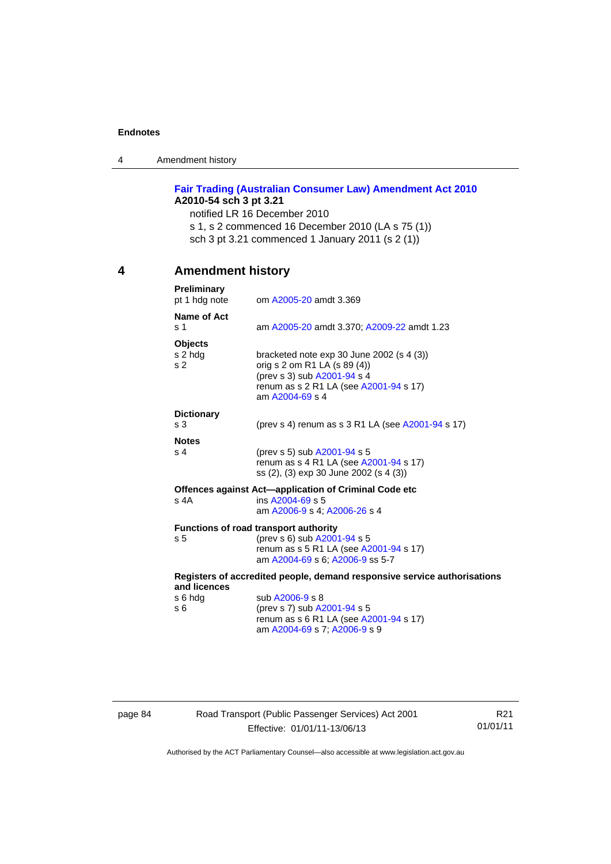4 Amendment history

# **[Fair Trading \(Australian Consumer Law\) Amendment Act 2010](http://www.legislation.act.gov.au/a/2010-54) A2010-54 sch 3 pt 3.21**

notified LR 16 December 2010 s 1, s 2 commenced 16 December 2010 (LA s 75 (1)) sch 3 pt 3.21 commenced 1 January 2011 (s 2 (1))

# **4 Amendment history**

| <b>Preliminary</b><br>pt 1 hdg note | om A2005-20 amdt 3.369                                                           |
|-------------------------------------|----------------------------------------------------------------------------------|
| Name of Act                         |                                                                                  |
| s <sub>1</sub>                      | am A2005-20 amdt 3.370; A2009-22 amdt 1.23                                       |
| <b>Objects</b>                      |                                                                                  |
| s 2 hdg<br>s <sub>2</sub>           | bracketed note $exp 30$ June 2002 (s 4 (3))<br>orig s 2 om R1 LA (s 89 (4))      |
|                                     | (prev s 3) sub A2001-94 s 4                                                      |
|                                     | renum as s 2 R1 LA (see A2001-94 s 17)<br>am A2004-69 s 4                        |
| <b>Dictionary</b>                   |                                                                                  |
| s <sub>3</sub>                      | (prev s 4) renum as s 3 R1 LA (see A2001-94 s 17)                                |
| <b>Notes</b>                        |                                                                                  |
| s <sub>4</sub>                      | (prev s 5) sub A2001-94 s 5                                                      |
|                                     | renum as s 4 R1 LA (see A2001-94 s 17)<br>ss (2), (3) exp 30 June 2002 (s 4 (3)) |
|                                     | Offences against Act-application of Criminal Code etc                            |
| $s$ 4A                              | ins A2004-69 s 5                                                                 |
|                                     | am A2006-9 s 4; A2006-26 s 4                                                     |
| s 5                                 | <b>Functions of road transport authority</b><br>(prev s 6) sub A2001-94 s 5      |
|                                     | renum as s 5 R1 LA (see A2001-94 s 17)                                           |
|                                     | am A2004-69 s 6; A2006-9 ss 5-7                                                  |
| and licences                        | Registers of accredited people, demand responsive service authorisations         |
| s 6 hdg                             | sub A2006-9 s 8                                                                  |
| s 6                                 | (prev s 7) sub A2001-94 s 5                                                      |
|                                     | renum as s 6 R1 LA (see A2001-94 s 17)                                           |

page 84 Road Transport (Public Passenger Services) Act 2001 Effective: 01/01/11-13/06/13

R21 01/01/11

Authorised by the ACT Parliamentary Counsel—also accessible at www.legislation.act.gov.au

am [A2004-69](http://www.legislation.act.gov.au/a/2004-69) s 7; [A2006-9](http://www.legislation.act.gov.au/a/2006-9) s 9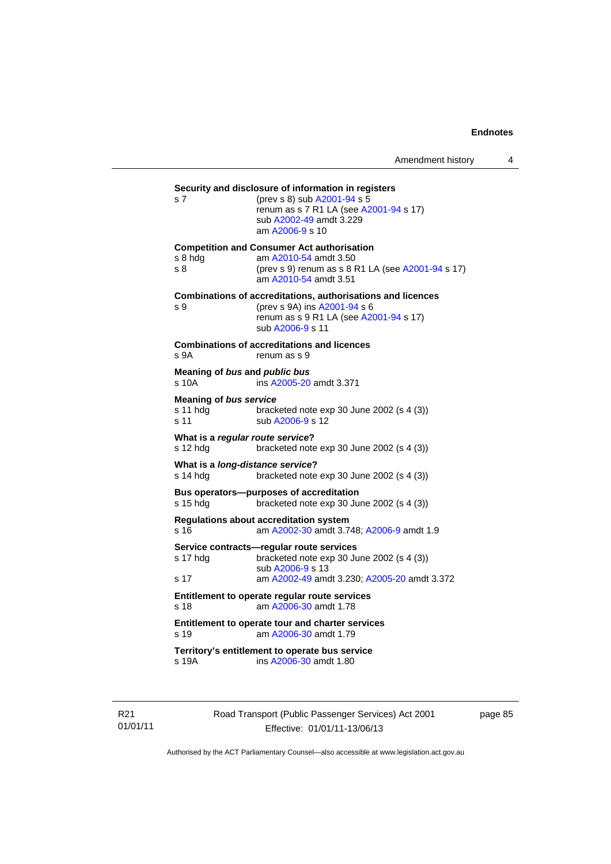# **Security and disclosure of information in registers**  s 7 (prev s 8) sub [A2001-94](http://www.legislation.act.gov.au/a/2001-94) s 5 renum as s 7 R1 LA (see [A2001-94](http://www.legislation.act.gov.au/a/2001-94) s 17) sub [A2002-49](http://www.legislation.act.gov.au/a/2002-49) amdt 3.229 am [A2006-9](http://www.legislation.act.gov.au/a/2006-9) s 10 **Competition and Consumer Act authorisation**  s 8 hdg am [A2010-54](http://www.legislation.act.gov.au/a/2010-54) amdt 3.50<br>s 8 (prev s 9) renum as s 8 l (prev s 9) renum as s 8 R1 LA (see [A2001-94](http://www.legislation.act.gov.au/a/2001-94) s 17) am [A2010-54](http://www.legislation.act.gov.au/a/2010-54) amdt 3.51 **Combinations of accreditations, authorisations and licences**  s 9 (prev s 9A) ins [A2001-94](http://www.legislation.act.gov.au/a/2001-94) s 6 renum as s 9 R1 LA (see [A2001-94](http://www.legislation.act.gov.au/a/2001-94) s 17) sub [A2006-9](http://www.legislation.act.gov.au/a/2006-9) s 11 **Combinations of accreditations and licences**  s 9A renum as s 9 **Meaning of** *bus* **and** *public bus* s 10A ins [A2005-20](http://www.legislation.act.gov.au/a/2005-20) amdt 3.371 **Meaning of** *bus service*<br>s 11 hda brack s 11 hdg bracketed note exp 30 June 2002 (s 4 (3))<br>s 11 sub A2006-9 s 12 sub [A2006-9](http://www.legislation.act.gov.au/a/2006-9) s 12 **What is a** *regular route service***?**  s 12 hdg bracketed note exp 30 June 2002 (s 4 (3)) **What is a** *long-distance service***?**  s 14 hdg bracketed note exp 30 June 2002 (s 4 (3)) **Bus operators—purposes of accreditation**  s 15 hdg bracketed note exp 30 June 2002 (s 4 (3)) **Regulations about accreditation system**  s 16 am [A2002-30](http://www.legislation.act.gov.au/a/2002-30) amdt 3.748; [A2006-9](http://www.legislation.act.gov.au/a/2006-9) amdt 1.9 **Service contracts—regular route services**  s 17 hdg bracketed note exp 30 June 2002 (s 4 (3)) sub [A2006-9](http://www.legislation.act.gov.au/a/2006-9) s 13 s 17 am [A2002-49](http://www.legislation.act.gov.au/a/2002-49) amdt 3.230; [A2005-20](http://www.legislation.act.gov.au/a/2005-20) amdt 3.372 **Entitlement to operate regular route services**  s 18 am [A2006-30](http://www.legislation.act.gov.au/a/2006-30) amdt 1.78 **Entitlement to operate tour and charter services**  s 19 am [A2006-30](http://www.legislation.act.gov.au/a/2006-30) amdt 1.79 **Territory's entitlement to operate bus service**  s 19A ins [A2006-30](http://www.legislation.act.gov.au/a/2006-30) amdt 1.80

R21 01/01/11 Road Transport (Public Passenger Services) Act 2001 Effective: 01/01/11-13/06/13

page 85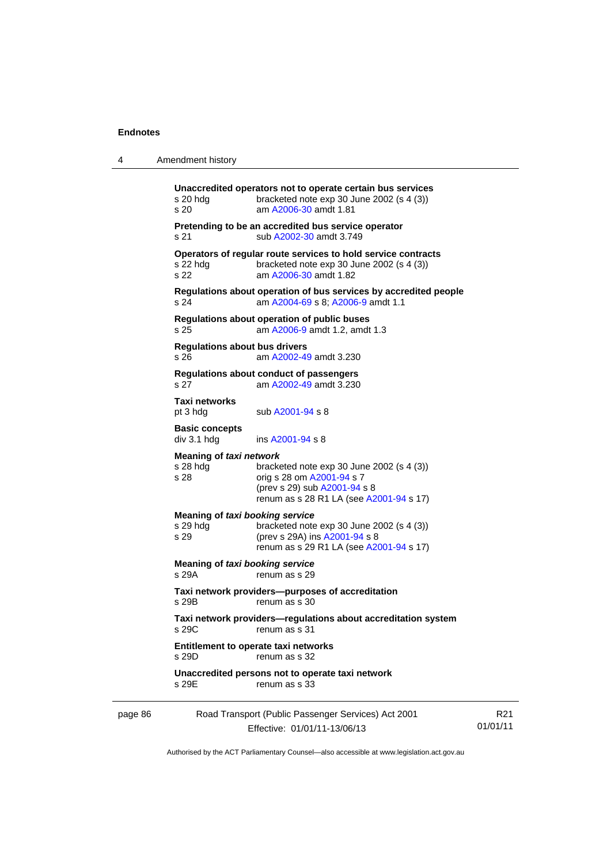4 Amendment history

|         | s 20 hdg<br>s <sub>20</sub>                         | Unaccredited operators not to operate certain bus services<br>bracketed note $exp 30$ June 2002 (s 4 (3))<br>am A2006-30 amdt 1.81                |
|---------|-----------------------------------------------------|---------------------------------------------------------------------------------------------------------------------------------------------------|
|         | s 21                                                | Pretending to be an accredited bus service operator<br>sub A2002-30 amdt 3.749                                                                    |
|         | s 22 hdg<br>s 22                                    | Operators of regular route services to hold service contracts<br>bracketed note $exp 30$ June 2002 (s 4 (3))<br>am A2006-30 amdt 1.82             |
|         | s 24                                                | Regulations about operation of bus services by accredited people<br>am A2004-69 s 8; A2006-9 amdt 1.1                                             |
|         | s 25                                                | Regulations about operation of public buses<br>am A2006-9 amdt 1.2, amdt 1.3                                                                      |
|         | <b>Regulations about bus drivers</b><br>s 26        | am A2002-49 amdt 3.230                                                                                                                            |
|         | s 27                                                | Regulations about conduct of passengers<br>am A2002-49 amdt 3.230                                                                                 |
|         | Taxi networks<br>pt 3 hdg                           | sub A2001-94 s 8                                                                                                                                  |
|         | <b>Basic concepts</b><br>div 3.1 hdg                | ins A2001-94 s 8                                                                                                                                  |
|         | Meaning of taxi network<br>s 28 hdg<br>s 28         | bracketed note exp 30 June 2002 (s 4 (3))<br>orig s 28 om A2001-94 s 7<br>(prev s 29) sub A2001-94 s 8<br>renum as s 28 R1 LA (see A2001-94 s 17) |
|         | Meaning of taxi booking service<br>s 29 hdg<br>s 29 | bracketed note exp 30 June 2002 (s 4 (3))<br>(prev s 29A) ins A2001-94 s 8<br>renum as s 29 R1 LA (see A2001-94 s 17)                             |
|         | Meaning of taxi booking service<br>s 29A            | renum as s 29                                                                                                                                     |
|         | s 29B                                               | Taxi network providers--purposes of accreditation<br>renum as s 30                                                                                |
|         | S 29C                                               | Taxi network providers-regulations about accreditation system<br>renum as s 31                                                                    |
|         | s 29D                                               | Entitlement to operate taxi networks<br>renum as s 32                                                                                             |
|         | s 29E                                               | Unaccredited persons not to operate taxi network<br>renum as s 33                                                                                 |
| page 86 |                                                     | Road Transport (Public Passenger Services) Act 2001                                                                                               |

Authorised by the ACT Parliamentary Counsel—also accessible at www.legislation.act.gov.au

R21 01/01/11

Effective: 01/01/11-13/06/13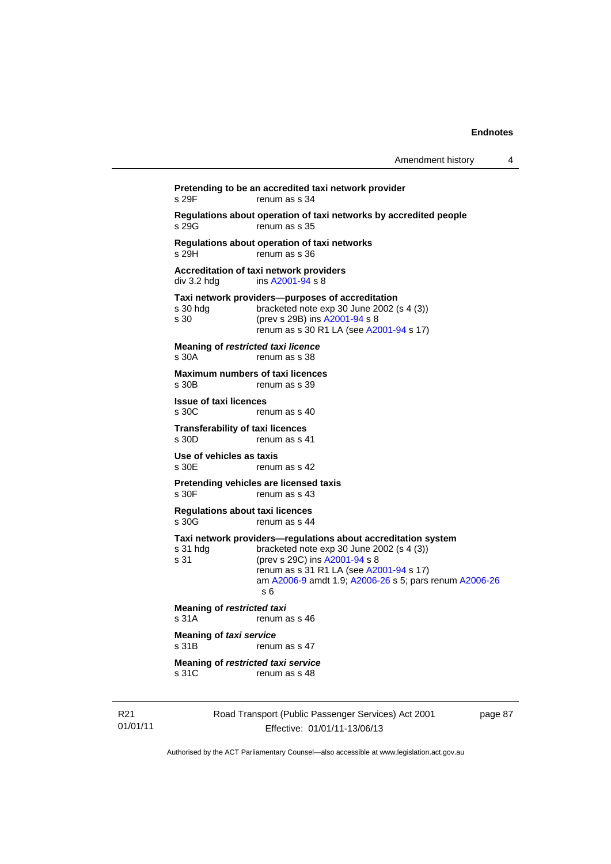| Amendment history |  |  |
|-------------------|--|--|
|-------------------|--|--|

Road Transport (Public Passenger Services) Act 2001 **Pretending to be an accredited taxi network provider**  s 29F renum as s 34 **Regulations about operation of taxi networks by accredited people**  s 29G renum as s 35 **Regulations about operation of taxi networks**  s 29H renum as s 36 **Accreditation of taxi network providers**  div 3.2 hdg ins [A2001-94](http://www.legislation.act.gov.au/a/2001-94) s 8 **Taxi network providers—purposes of accreditation**  bracketed note exp 30 June 2002 (s  $4$  (3)) s 30 (prev s 29B) ins [A2001-94](http://www.legislation.act.gov.au/a/2001-94) s 8 renum as s 30 R1 LA (see [A2001-94](http://www.legislation.act.gov.au/a/2001-94) s 17) **Meaning of** *restricted taxi licence*  s 30A renum as s 38 **Maximum numbers of taxi licences**<br>s 30B renum as s 39 renum as s 39 **Issue of taxi licences**  s 30C renum as s 40 **Transferability of taxi licences**  s 30D renum as s 41 **Use of vehicles as taxis**  renum as s 42 **Pretending vehicles are licensed taxis**  s 30F renum as s 43 **Regulations about taxi licences**  renum as s 44 **Taxi network providers—regulations about accreditation system**  s 31 hdg bracketed note exp 30 June 2002 (s 4 (3))<br>s 31 (prev s 29C) ins A2001-94 s 8 (prev s 29C) ins [A2001-94](http://www.legislation.act.gov.au/a/2001-94) s 8 renum as s 31 R1 LA (see [A2001-94](http://www.legislation.act.gov.au/a/2001-94) s 17) am [A2006-9](http://www.legislation.act.gov.au/a/2006-9) amdt 1.9; [A2006-26](http://www.legislation.act.gov.au/a/2006-26) s 5; pars renum [A2006-26](http://www.legislation.act.gov.au/a/2006-26) s 6 **Meaning of** *restricted taxi*  s 31A renum as s 46 **Meaning of** *taxi service*  s 31B renum as s 47 **Meaning of** *restricted taxi service*  s 31C renum as s 48

page 87

Authorised by the ACT Parliamentary Counsel—also accessible at www.legislation.act.gov.au

Effective: 01/01/11-13/06/13

R21 01/01/11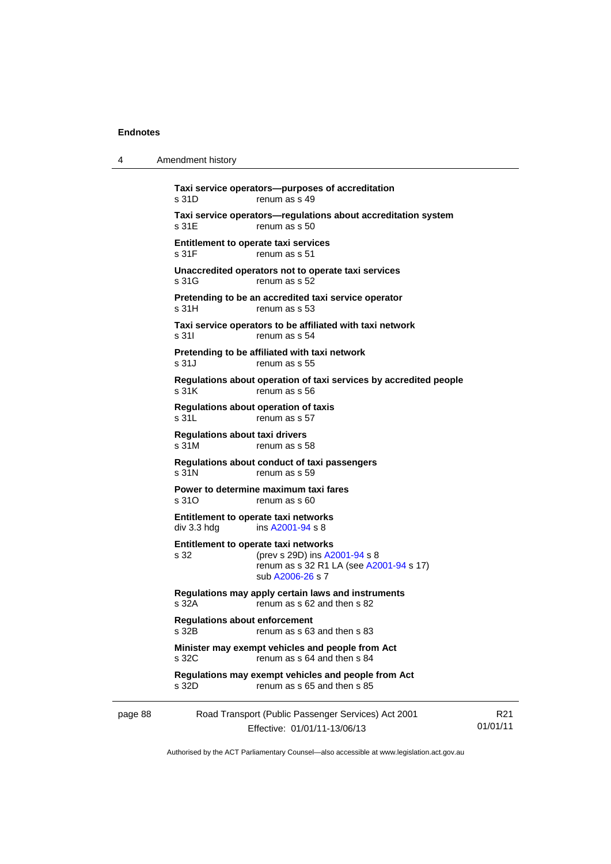4 Amendment history

|         | s 31D                                                    | Taxi service operators-purposes of accreditation<br>renum as s 49                            |                             |
|---------|----------------------------------------------------------|----------------------------------------------------------------------------------------------|-----------------------------|
|         | s 31E                                                    | Taxi service operators-regulations about accreditation system<br>renum as s 50               |                             |
|         | Entitlement to operate taxi services<br>s 31F            | renum as s 51                                                                                |                             |
|         | s.31G                                                    | Unaccredited operators not to operate taxi services<br>renum as s 52                         |                             |
|         | s.31H                                                    | Pretending to be an accredited taxi service operator<br>renum as s 53                        |                             |
|         | s 31l                                                    | Taxi service operators to be affiliated with taxi network<br>renum as s 54                   |                             |
|         | s 31 J                                                   | Pretending to be affiliated with taxi network<br>renum as s 55                               |                             |
|         | s 31K                                                    | Regulations about operation of taxi services by accredited people<br>renum as s 56           |                             |
|         | Regulations about operation of taxis<br>s <sub>31L</sub> | renum as s 57                                                                                |                             |
|         | <b>Regulations about taxi drivers</b><br>s 31M           | renum as s 58                                                                                |                             |
|         | s 31N                                                    | Regulations about conduct of taxi passengers<br>renum as s 59                                |                             |
|         | Power to determine maximum taxi fares<br>s 310           | renum as s 60                                                                                |                             |
|         | Entitlement to operate taxi networks<br>div 3.3 hdg      | ins A2001-94 s 8                                                                             |                             |
|         | Entitlement to operate taxi networks<br>s 32             | (prev s 29D) ins A2001-94 s 8<br>renum as s 32 R1 LA (see A2001-94 s 17)<br>sub A2006-26 s 7 |                             |
|         | s 32A                                                    | Regulations may apply certain laws and instruments<br>renum as s 62 and then s 82            |                             |
|         | Regulations about enforcement<br>s 32B                   | renum as s 63 and then s 83                                                                  |                             |
|         | s 32C                                                    | Minister may exempt vehicles and people from Act<br>renum as s 64 and then s 84              |                             |
|         | s 32D                                                    | Regulations may exempt vehicles and people from Act<br>renum as s 65 and then s 85           |                             |
| page 88 |                                                          | Road Transport (Public Passenger Services) Act 2001<br>Effective: 01/01/11-13/06/13          | R <sub>21</sub><br>01/01/11 |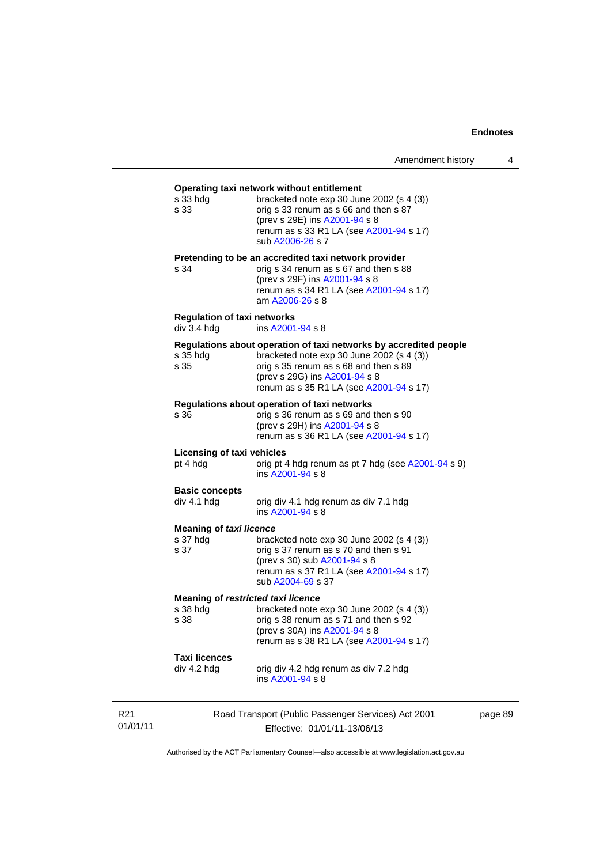# Road Transport (Public Passenger Services) Act 2001 **Operating taxi network without entitlement**  s 33 hdg bracketed note exp 30 June 2002 (s 4 (3)) s 33 orig s 33 renum as s 66 and then s 87 (prev s 29E) ins [A2001-94](http://www.legislation.act.gov.au/a/2001-94) s 8 renum as s 33 R1 LA (see [A2001-94](http://www.legislation.act.gov.au/a/2001-94) s 17) sub [A2006-26](http://www.legislation.act.gov.au/a/2006-26) s 7 **Pretending to be an accredited taxi network provider**  s 34 orig s 34 renum as s 67 and then s 88 (prev s 29F) ins [A2001-94](http://www.legislation.act.gov.au/a/2001-94) s 8 renum as s 34 R1 LA (see [A2001-94](http://www.legislation.act.gov.au/a/2001-94) s 17) am [A2006-26](http://www.legislation.act.gov.au/a/2006-26) s 8 **Regulation of taxi networks**  div 3.4 hdg ins [A2001-94](http://www.legislation.act.gov.au/a/2001-94) s 8 **Regulations about operation of taxi networks by accredited people**  s  $35$  hdg bracketed note exp  $30$  June 2002 (s  $4$  (3)) s  $35$  corig s  $35$  renum as s  $68$  and then s  $89$ orig s 35 renum as s 68 and then s 89 (prev s 29G) ins [A2001-94](http://www.legislation.act.gov.au/a/2001-94) s 8 renum as s 35 R1 LA (see [A2001-94](http://www.legislation.act.gov.au/a/2001-94) s 17) **Regulations about operation of taxi networks**  s 36 orig s 36 renum as s 69 and then s 90 (prev s 29H) ins [A2001-94](http://www.legislation.act.gov.au/a/2001-94) s 8 renum as s 36 R1 LA (see [A2001-94](http://www.legislation.act.gov.au/a/2001-94) s 17) **Licensing of taxi vehicles**  pt 4 hdg orig pt 4 hdg renum as pt 7 hdg (see [A2001-94](http://www.legislation.act.gov.au/a/2001-94) s 9) ins [A2001-94](http://www.legislation.act.gov.au/a/2001-94) s 8 **Basic concepts**<br>div 4.1 hdg orig div 4.1 hdg renum as div 7.1 hdg ins [A2001-94](http://www.legislation.act.gov.au/a/2001-94) s 8 **Meaning of** *taxi licence*  s 37 hdg bracketed note exp 30 June 2002 (s 4 (3)) s 37 orig s 37 renum as s 70 and then s 91 (prev s 30) sub [A2001-94](http://www.legislation.act.gov.au/a/2001-94) s 8 renum as s 37 R1 LA (see [A2001-94](http://www.legislation.act.gov.au/a/2001-94) s 17) sub [A2004-69](http://www.legislation.act.gov.au/a/2004-69) s 37 **Meaning of** *restricted taxi licence*<br>s 38 hdg bracketed note s 38 hdg bracketed note exp 30 June 2002 (s 4 (3))<br>s 38 borig s 38 renum as s 71 and then s 92 orig s 38 renum as s 71 and then s 92 (prev s 30A) ins [A2001-94](http://www.legislation.act.gov.au/a/2001-94) s 8 renum as s 38 R1 LA (see [A2001-94](http://www.legislation.act.gov.au/a/2001-94) s 17) **Taxi licences**  orig div 4.2 hdg renum as div 7.2 hdg ins [A2001-94](http://www.legislation.act.gov.au/a/2001-94) s 8

page 89

Authorised by the ACT Parliamentary Counsel—also accessible at www.legislation.act.gov.au

Effective: 01/01/11-13/06/13

R21 01/01/11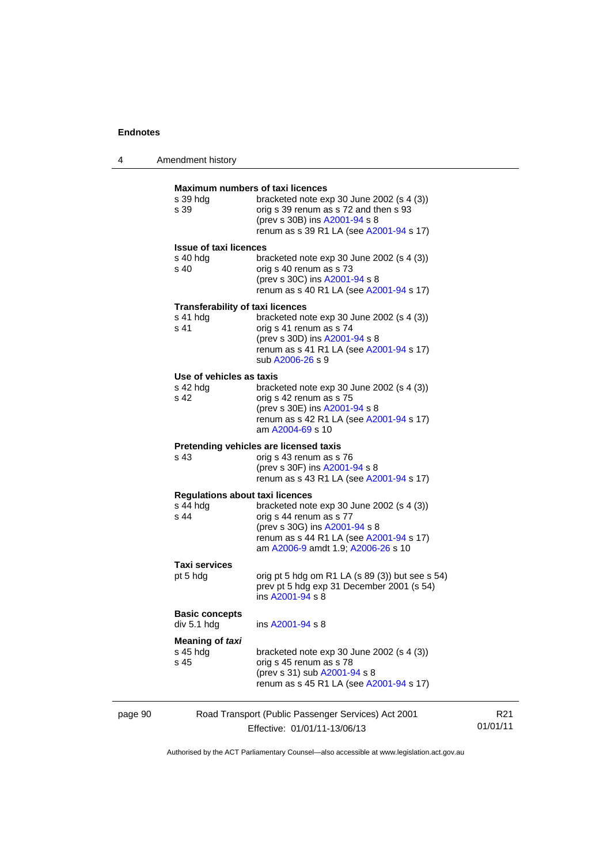| Amendment history |  |
|-------------------|--|
|                   |  |

| <b>Maximum numbers of taxi licences</b><br>s 39 hda<br>s 39 | bracketed note exp 30 June 2002 (s 4 (3))<br>orig s 39 renum as s 72 and then s 93<br>(prev s 30B) ins A2001-94 s 8<br>renum as s 39 R1 LA (see A2001-94 s 17)       |
|-------------------------------------------------------------|----------------------------------------------------------------------------------------------------------------------------------------------------------------------|
| <b>Issue of taxi licences</b>                               |                                                                                                                                                                      |
| s 40 hdg<br>s 40                                            | bracketed note exp 30 June 2002 (s 4 (3))<br>orig s 40 renum as s 73<br>(prev s 30C) ins A2001-94 s 8<br>renum as s 40 R1 LA (see A2001-94 s 17)                     |
| <b>Transferability of taxi licences</b>                     |                                                                                                                                                                      |
| s 41 hdg<br>s 41                                            | bracketed note exp 30 June 2002 (s 4 (3))<br>orig s 41 renum as s 74<br>(prev s 30D) ins A2001-94 s 8<br>renum as s 41 R1 LA (see A2001-94 s 17)<br>sub A2006-26 s 9 |
| Use of vehicles as taxis                                    |                                                                                                                                                                      |
| s 42 hdg                                                    | bracketed note exp 30 June 2002 (s 4 (3))                                                                                                                            |
| s 42                                                        | orig s 42 renum as s 75<br>(prev s 30E) ins A2001-94 s 8                                                                                                             |
|                                                             | renum as s 42 R1 LA (see A2001-94 s 17)<br>am A2004-69 s 10                                                                                                          |
|                                                             | Pretending vehicles are licensed taxis                                                                                                                               |
| s 43                                                        | orig s 43 renum as s 76<br>(prev s 30F) ins A2001-94 s 8<br>renum as s 43 R1 LA (see A2001-94 s 17)                                                                  |
| <b>Regulations about taxi licences</b>                      |                                                                                                                                                                      |
| s 44 hdg<br>s 44                                            | bracketed note exp 30 June 2002 (s 4 (3))<br>orig s 44 renum as s 77                                                                                                 |
|                                                             | (prev s 30G) ins A2001-94 s 8                                                                                                                                        |
|                                                             | renum as s 44 R1 LA (see A2001-94 s 17)<br>am A2006-9 amdt 1.9; A2006-26 s 10                                                                                        |
| <b>Taxi services</b>                                        |                                                                                                                                                                      |
| pt 5 hdg                                                    | orig pt 5 hdg om R1 LA (s 89 (3)) but see s 54)<br>prev pt 5 hdg exp 31 December 2001 (s 54)<br>ins A2001-94 s 8                                                     |
| <b>Basic concepts</b><br>div 5.1 hdg                        | ins A2001-94 s 8                                                                                                                                                     |
| <b>Meaning of taxi</b>                                      |                                                                                                                                                                      |
| s 45 hda<br>s 45                                            | bracketed note exp 30 June 2002 (s 4 (3))<br>orig s 45 renum as s 78                                                                                                 |
|                                                             | (prev s 31) sub A2001-94 s 8                                                                                                                                         |
|                                                             | renum as s 45 R1 LA (see A2001-94 s 17)                                                                                                                              |
|                                                             |                                                                                                                                                                      |

page 90 Road Transport (Public Passenger Services) Act 2001 Effective: 01/01/11-13/06/13

R21 01/01/11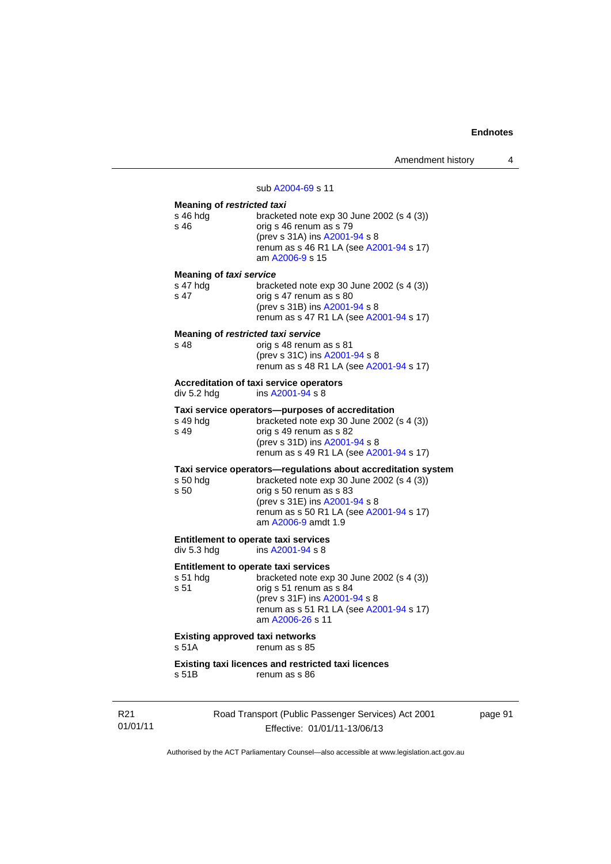#### sub [A2004-69](http://www.legislation.act.gov.au/a/2004-69) s 11

#### **Meaning of** *restricted taxi*  s 46 hdg bracketed note exp 30 June 2002 (s 4 (3)) s 46 orig s 46 renum as s 79 (prev s 31A) ins [A2001-94](http://www.legislation.act.gov.au/a/2001-94) s 8 renum as s 46 R1 LA (see [A2001-94](http://www.legislation.act.gov.au/a/2001-94) s 17) am [A2006-9](http://www.legislation.act.gov.au/a/2006-9) s 15

#### **Meaning of** *taxi service*

| s 47 hdq | bracketed note $exp 30$ June 2002 (s 4 (3)) |
|----------|---------------------------------------------|
| s 47     | orig s 47 renum as s 80                     |
|          | (prev s 31B) ins A2001-94 s 8               |
|          | renum as s 47 R1 LA (see A2001-94 s 17)     |

#### **Meaning of** *restricted taxi service*

| s 48 | orig s 48 renum as s 81                 |
|------|-----------------------------------------|
|      | (prev s 31C) ins A2001-94 s 8           |
|      | renum as s 48 R1 LA (see A2001-94 s 17) |

#### **Accreditation of taxi service operators**

div 5.2 hdg ins [A2001-94](http://www.legislation.act.gov.au/a/2001-94) s 8

### **Taxi service operators—purposes of accreditation**

| s 49 hda | bracketed note exp 30 June 2002 (s 4 (3)) |
|----------|-------------------------------------------|
| s 49     | orig s 49 renum as s 82                   |
|          | (prev s $31D$ ) ins $A2001 - 94$ s 8      |
|          | renum as s 49 R1 LA (see A2001-94 s 17)   |

### **Taxi service operators—regulations about accreditation system**

| s 50 hda | bracketed note exp 30 June 2002 (s 4 (3)) |
|----------|-------------------------------------------|
| s 50     | orig s 50 renum as s 83                   |
|          | (prev s 31E) ins A2001-94 s 8             |
|          | renum as s 50 R1 LA (see A2001-94 s 17)   |
|          | am A2006-9 amdt 1.9                       |
|          |                                           |

**Entitlement to operate taxi services**  div 5.3 hdg ins [A2001-94](http://www.legislation.act.gov.au/a/2001-94) s 8

#### **Entitlement to operate taxi services**

s 51 hdg bracketed note exp 30 June 2002 (s 4 (3)) s 51 orig s 51 renum as s 84 (prev s 31F) ins [A2001-94](http://www.legislation.act.gov.au/a/2001-94) s 8 renum as s 51 R1 LA (see [A2001-94](http://www.legislation.act.gov.au/a/2001-94) s 17) am [A2006-26](http://www.legislation.act.gov.au/a/2006-26) s 11

### **Existing approved taxi networks**

s 51A renum as s 85

#### **Existing taxi licences and restricted taxi licences**  s 51B renum as s 86

R21 01/01/11 Road Transport (Public Passenger Services) Act 2001 Effective: 01/01/11-13/06/13

page 91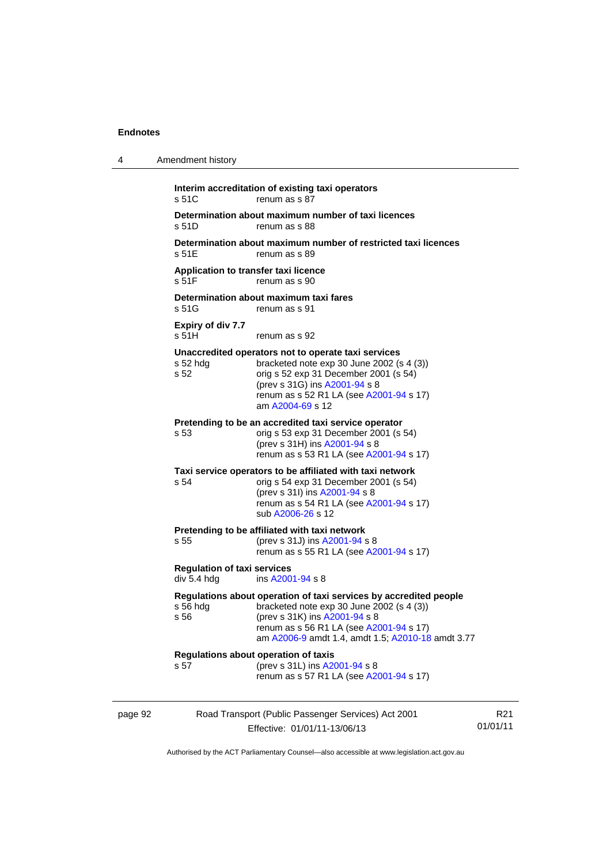| 4       | Amendment history                                 |                                                                                                                                                                                                                                                          |                 |
|---------|---------------------------------------------------|----------------------------------------------------------------------------------------------------------------------------------------------------------------------------------------------------------------------------------------------------------|-----------------|
|         | s 51C                                             | Interim accreditation of existing taxi operators<br>renum as s 87                                                                                                                                                                                        |                 |
|         | s 51D                                             | Determination about maximum number of taxi licences<br>renum as s 88                                                                                                                                                                                     |                 |
|         | s 51E                                             | Determination about maximum number of restricted taxi licences<br>renum as s 89                                                                                                                                                                          |                 |
|         | Application to transfer taxi licence<br>s 51F     | renum as s 90                                                                                                                                                                                                                                            |                 |
|         | s 51G                                             | Determination about maximum taxi fares<br>renum as s 91                                                                                                                                                                                                  |                 |
|         | Expiry of div 7.7<br>s 51H                        | renum as s 92                                                                                                                                                                                                                                            |                 |
|         | s 52 hdg<br>s 52                                  | Unaccredited operators not to operate taxi services<br>bracketed note exp 30 June 2002 (s 4 (3))<br>orig s 52 exp 31 December 2001 (s 54)<br>(prev s 31G) ins A2001-94 s 8<br>renum as s 52 R1 LA (see A2001-94 s 17)<br>am A2004-69 s 12                |                 |
|         | s 53                                              | Pretending to be an accredited taxi service operator<br>orig s 53 exp 31 December 2001 (s 54)<br>(prev s 31H) ins A2001-94 s 8<br>renum as s 53 R1 LA (see A2001-94 s 17)                                                                                |                 |
|         | s 54                                              | Taxi service operators to be affiliated with taxi network<br>orig s 54 exp 31 December 2001 (s 54)<br>(prev s 31l) ins A2001-94 s 8<br>renum as s 54 R1 LA (see A2001-94 s 17)<br>sub A2006-26 s 12                                                      |                 |
|         | s 55                                              | Pretending to be affiliated with taxi network<br>(prev s 31J) ins A2001-94 s 8<br>renum as s 55 R1 LA (see A2001-94 s 17)                                                                                                                                |                 |
|         | <b>Regulation of taxi services</b><br>div 5.4 hdg | ins A2001-94 s 8                                                                                                                                                                                                                                         |                 |
|         | s 56                                              | Regulations about operation of taxi services by accredited people<br>s 56 hdg bracketed note exp 30 June 2002 (s 4 (3))<br>(prev s 31K) ins A2001-94 s 8<br>renum as s 56 R1 LA (see A2001-94 s 17)<br>am A2006-9 amdt 1.4, amdt 1.5; A2010-18 amdt 3.77 |                 |
|         | s 57                                              | Regulations about operation of taxis<br>(prev s 31L) ins A2001-94 s 8<br>renum as s 57 R1 LA (see A2001-94 s 17)                                                                                                                                         |                 |
| page 92 |                                                   | Road Transport (Public Passenger Services) Act 2001<br>Effective: 01/01/11-13/06/13                                                                                                                                                                      | R21<br>01/01/11 |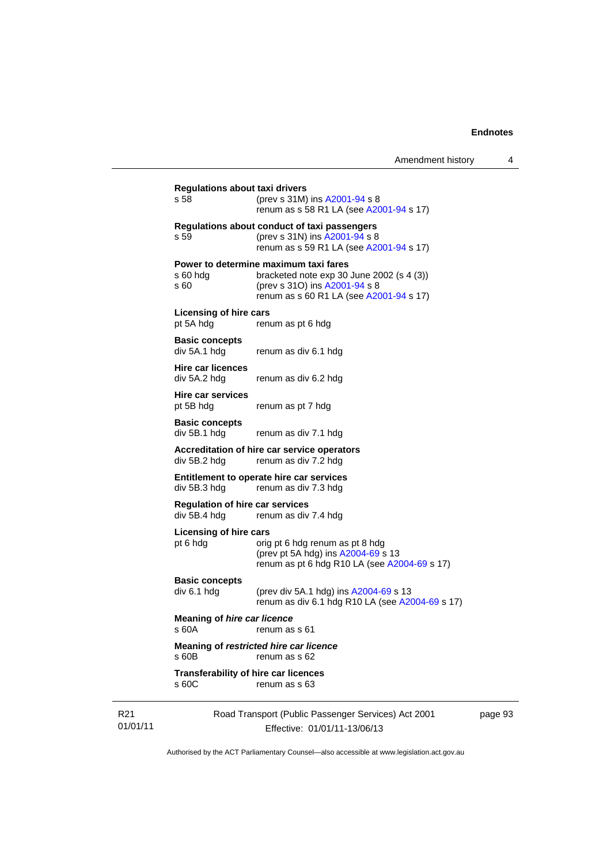| Amendment history |  |
|-------------------|--|
|-------------------|--|

|                             | <b>Regulations about taxi drivers</b><br>s 58          | (prev s 31M) ins A2001-94 s 8<br>renum as s 58 R1 LA (see A2001-94 s 17)                                                                                         |
|-----------------------------|--------------------------------------------------------|------------------------------------------------------------------------------------------------------------------------------------------------------------------|
|                             | s 59                                                   | Regulations about conduct of taxi passengers<br>(prev s 31N) ins A2001-94 s 8<br>renum as s 59 R1 LA (see A2001-94 s 17)                                         |
|                             | s 60 hda<br>s 60                                       | Power to determine maximum taxi fares<br>bracketed note $exp 30$ June 2002 (s 4 (3))<br>(prev s 310) ins A2001-94 s 8<br>renum as s 60 R1 LA (see A2001-94 s 17) |
|                             | <b>Licensing of hire cars</b><br>pt 5A hdg             | renum as pt 6 hdg                                                                                                                                                |
|                             | <b>Basic concepts</b><br>div 5A.1 hdg                  | renum as div 6.1 hdg                                                                                                                                             |
|                             | Hire car licences<br>div 5A.2 hdg                      | renum as div 6.2 hdg                                                                                                                                             |
|                             | Hire car services<br>pt 5B hdg                         | renum as pt 7 hdg                                                                                                                                                |
|                             | <b>Basic concepts</b><br>div 5B.1 hdg                  | renum as div 7.1 hdg                                                                                                                                             |
|                             | div 5B.2 hdg                                           | Accreditation of hire car service operators<br>renum as div 7.2 hdg                                                                                              |
|                             | div 5B.3 hdg                                           | Entitlement to operate hire car services<br>renum as div 7.3 hdg                                                                                                 |
|                             | <b>Regulation of hire car services</b><br>div 5B.4 hdg | renum as div 7.4 hdg                                                                                                                                             |
|                             | <b>Licensing of hire cars</b><br>pt 6 hdg              | orig pt 6 hdg renum as pt 8 hdg<br>(prev pt 5A hdg) ins A2004-69 s 13<br>renum as pt 6 hdg R10 LA (see A2004-69 s 17)                                            |
|                             | <b>Basic concepts</b><br>div 6.1 hdg                   | (prev div 5A.1 hdg) ins A2004-69 s 13<br>renum as div 6.1 hdg R10 LA (see A2004-69 s 17)                                                                         |
|                             | <b>Meaning of hire car licence</b><br>s 60A            | renum as s 61                                                                                                                                                    |
|                             | s 60B                                                  | Meaning of restricted hire car licence<br>renum as s 62                                                                                                          |
|                             | <b>Transferability of hire car licences</b><br>s 60C   | renum as s 63                                                                                                                                                    |
| R <sub>21</sub><br>01/01/11 |                                                        | Road Transport (Public Passenger Services) Act 2001<br>Effective: 01/01/11-13/06/13                                                                              |

page 93

Authorised by the ACT Parliamentary Counsel—also accessible at www.legislation.act.gov.au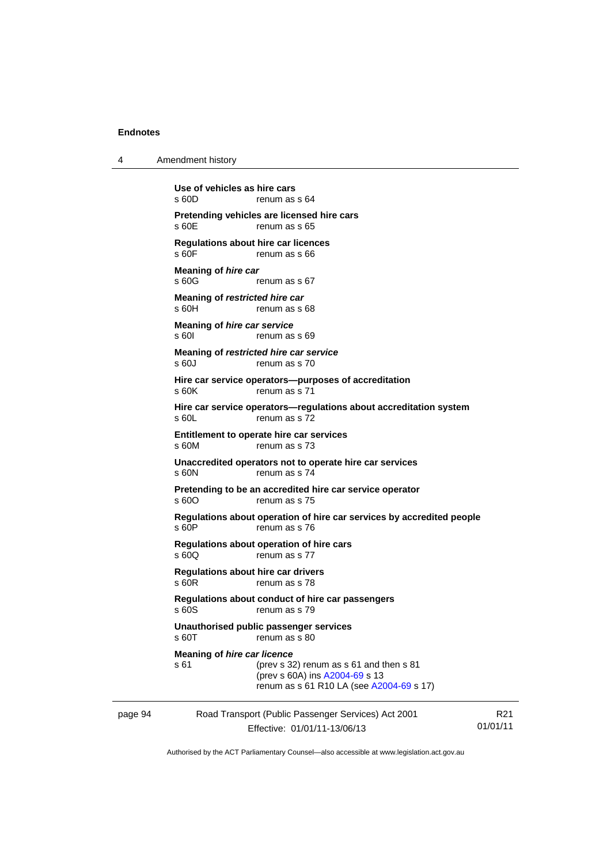4 Amendment history

|         | Use of vehicles as hire cars<br>s60D<br>renum as s 64                                                                                                               |          |
|---------|---------------------------------------------------------------------------------------------------------------------------------------------------------------------|----------|
|         | Pretending vehicles are licensed hire cars<br>s 60E<br>renum as s 65                                                                                                |          |
|         | <b>Regulations about hire car licences</b><br>s 60F<br>renum as s 66                                                                                                |          |
|         | <b>Meaning of hire car</b><br>s60G<br>renum as s 67                                                                                                                 |          |
|         | Meaning of restricted hire car<br>s60H<br>renum as s 68                                                                                                             |          |
|         | Meaning of hire car service<br>s 601<br>renum as s 69                                                                                                               |          |
|         | Meaning of restricted hire car service<br>s 60J<br>renum as s 70                                                                                                    |          |
|         | Hire car service operators--purposes of accreditation<br>s 60K<br>renum as s 71                                                                                     |          |
|         | Hire car service operators-regulations about accreditation system<br>$s$ 60L<br>renum as s 72                                                                       |          |
|         | Entitlement to operate hire car services<br>s 60M<br>renum as s 73                                                                                                  |          |
|         | Unaccredited operators not to operate hire car services<br>s 60N<br>renum as s 74                                                                                   |          |
|         | Pretending to be an accredited hire car service operator<br>s 60O<br>renum as s 75                                                                                  |          |
|         | Regulations about operation of hire car services by accredited people<br>s 60P<br>renum as s 76                                                                     |          |
|         | Regulations about operation of hire cars<br>s 60Q<br>renum as s 77                                                                                                  |          |
|         | <b>Regulations about hire car drivers</b><br>$s$ 60 $R$<br>renum as s 78                                                                                            |          |
|         | Regulations about conduct of hire car passengers<br>s 60S<br>renum as s 79                                                                                          |          |
|         | Unauthorised public passenger services<br>s 60T<br>renum as s 80                                                                                                    |          |
|         | <b>Meaning of hire car licence</b><br>(prev s 32) renum as s 61 and then s 81<br>s 61<br>(prev s 60A) ins A2004-69 s 13<br>renum as s 61 R10 LA (see A2004-69 s 17) |          |
| page 94 | Road Transport (Public Passenger Services) Act 2001                                                                                                                 | R21      |
|         | Effective: 01/01/11-13/06/13                                                                                                                                        | 01/01/11 |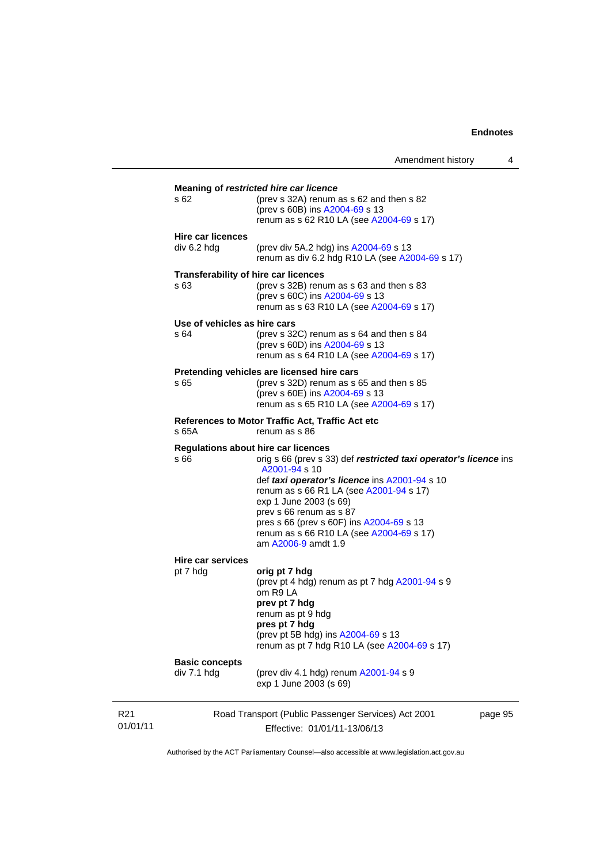|                             |                                                                            | Amendment history<br>4                                                                                                                                                                                                                                                                                                                                                                          |  |  |
|-----------------------------|----------------------------------------------------------------------------|-------------------------------------------------------------------------------------------------------------------------------------------------------------------------------------------------------------------------------------------------------------------------------------------------------------------------------------------------------------------------------------------------|--|--|
|                             |                                                                            | Meaning of restricted hire car licence                                                                                                                                                                                                                                                                                                                                                          |  |  |
|                             | s 62                                                                       | (prev s 32A) renum as s 62 and then s 82<br>(prev s 60B) ins A2004-69 s 13<br>renum as s 62 R10 LA (see A2004-69 s 17)                                                                                                                                                                                                                                                                          |  |  |
|                             | Hire car licences<br>div 6.2 hdg                                           | (prev div 5A.2 hdg) ins A2004-69 s 13<br>renum as div 6.2 hdg R10 LA (see A2004-69 s 17)                                                                                                                                                                                                                                                                                                        |  |  |
|                             | Transferability of hire car licences<br>s 63                               | (prev s 32B) renum as s 63 and then s 83<br>(prev s 60C) ins A2004-69 s 13<br>renum as s 63 R10 LA (see A2004-69 s 17)                                                                                                                                                                                                                                                                          |  |  |
|                             | Use of vehicles as hire cars<br>s 64                                       | (prev s 32C) renum as s 64 and then s 84<br>(prev s 60D) ins A2004-69 s 13<br>renum as s 64 R10 LA (see A2004-69 s 17)                                                                                                                                                                                                                                                                          |  |  |
|                             | s 65                                                                       | Pretending vehicles are licensed hire cars<br>(prev s 32D) renum as s 65 and then s 85<br>(prev s 60E) ins A2004-69 s 13<br>renum as s 65 R10 LA (see A2004-69 s 17)                                                                                                                                                                                                                            |  |  |
|                             | References to Motor Traffic Act, Traffic Act etc<br>s 65A<br>renum as s 86 |                                                                                                                                                                                                                                                                                                                                                                                                 |  |  |
|                             | s 66                                                                       | <b>Regulations about hire car licences</b><br>orig s 66 (prev s 33) def restricted taxi operator's licence ins<br>A2001-94 s 10<br>def taxi operator's licence ins A2001-94 s 10<br>renum as s 66 R1 LA (see A2001-94 s 17)<br>exp 1 June 2003 (s 69)<br>prev s 66 renum as s 87<br>pres s 66 (prev s 60F) ins A2004-69 s 13<br>renum as s 66 R10 LA (see A2004-69 s 17)<br>am A2006-9 amdt 1.9 |  |  |
|                             | Hire car services<br>pt 7 hdg                                              | orig pt 7 hdg<br>(prev pt 4 hdg) renum as pt 7 hdg A2001-94 s 9<br>om R9 LA<br>prev pt 7 hdg<br>renum as pt 9 hdg<br>pres pt 7 hdg<br>(prev pt 5B hdg) ins A2004-69 s 13<br>renum as pt 7 hdg R10 LA (see A2004-69 s 17)                                                                                                                                                                        |  |  |
|                             | <b>Basic concepts</b>                                                      |                                                                                                                                                                                                                                                                                                                                                                                                 |  |  |
|                             | div 7.1 hdg                                                                | (prev div 4.1 hdg) renum A2001-94 s 9<br>exp 1 June 2003 (s 69)                                                                                                                                                                                                                                                                                                                                 |  |  |
| R <sub>21</sub><br>01/01/11 |                                                                            | Road Transport (Public Passenger Services) Act 2001<br>page 95<br>Effective: 01/01/11-13/06/13                                                                                                                                                                                                                                                                                                  |  |  |

Authorised by the ACT Parliamentary Counsel—also accessible at www.legislation.act.gov.au

Effective: 01/01/11-13/06/13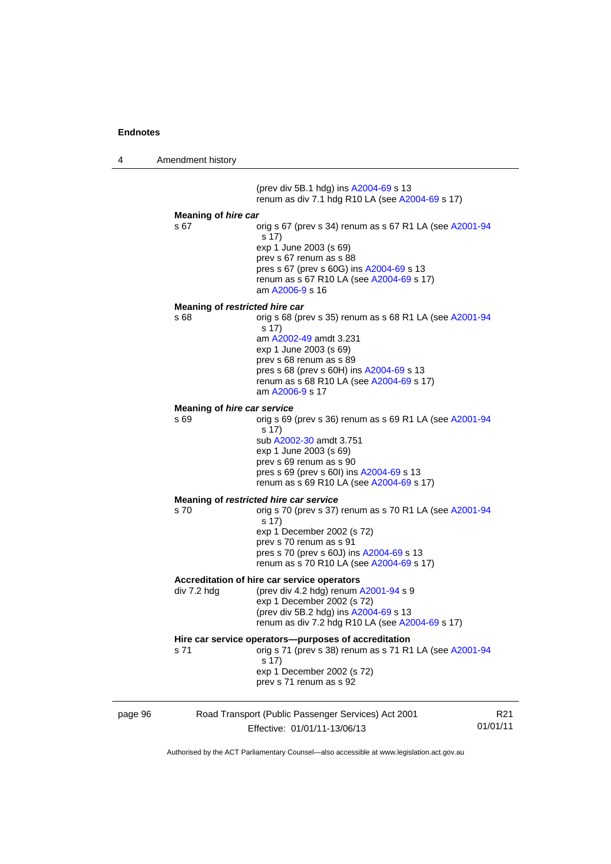4 Amendment history

page 96 Road Transport (Public Passenger Services) Act 2001 Effective: 01/01/11-13/06/13 R21 01/01/11 (prev div 5B.1 hdg) ins [A2004-69](http://www.legislation.act.gov.au/a/2004-69) s 13 renum as div 7.1 hdg R10 LA (see [A2004-69](http://www.legislation.act.gov.au/a/2004-69) s 17) **Meaning of** *hire car*  s 67 orig s 67 (prev s 34) renum as s 67 R1 LA (see [A2001-94](http://www.legislation.act.gov.au/a/2001-94) s 17) exp 1 June 2003 (s 69) prev s 67 renum as s 88 pres s 67 (prev s 60G) ins [A2004-69](http://www.legislation.act.gov.au/a/2004-69) s 13 renum as s 67 R10 LA (see [A2004-69](http://www.legislation.act.gov.au/a/2004-69) s 17) am [A2006-9](http://www.legislation.act.gov.au/a/2006-9) s 16 **Meaning of** *restricted hire car*  s 68 orig s 68 (prev s 35) renum as s 68 R1 LA (see [A2001-94](http://www.legislation.act.gov.au/a/2001-94) s 17) am [A2002-49](http://www.legislation.act.gov.au/a/2002-49) amdt 3.231 exp 1 June 2003 (s 69) prev s 68 renum as s 89 pres s 68 (prev s 60H) ins [A2004-69](http://www.legislation.act.gov.au/a/2004-69) s 13 renum as s 68 R10 LA (see [A2004-69](http://www.legislation.act.gov.au/a/2004-69) s 17) am [A2006-9](http://www.legislation.act.gov.au/a/2006-9) s 17 **Meaning of** *hire car service*  s 69 orig s 69 (prev s 36) renum as s 69 R1 LA (see [A2001-94](http://www.legislation.act.gov.au/a/2001-94) s 17) sub [A2002-30](http://www.legislation.act.gov.au/a/2002-30) amdt 3.751 exp 1 June 2003 (s 69) prev s 69 renum as s 90 pres s 69 (prev s 60I) ins [A2004-69](http://www.legislation.act.gov.au/a/2004-69) s 13 renum as s 69 R10 LA (see [A2004-69](http://www.legislation.act.gov.au/a/2004-69) s 17) **Meaning of** *restricted hire car service*  s 70 orig s 70 (prev s 37) renum as s 70 R1 LA (see [A2001-94](http://www.legislation.act.gov.au/a/2001-94) s 17) exp 1 December 2002 (s 72) prev s 70 renum as s 91 pres s 70 (prev s 60J) ins [A2004-69](http://www.legislation.act.gov.au/a/2004-69) s 13 renum as s 70 R10 LA (see [A2004-69](http://www.legislation.act.gov.au/a/2004-69) s 17) **Accreditation of hire car service operators**  div 7.2 hdg (prev div 4.2 hdg) renum [A2001-94](http://www.legislation.act.gov.au/a/2001-94) s 9 exp 1 December 2002 (s 72) (prev div 5B.2 hdg) ins [A2004-69](http://www.legislation.act.gov.au/a/2004-69) s 13 renum as div 7.2 hdg R10 LA (see [A2004-69](http://www.legislation.act.gov.au/a/2004-69) s 17) **Hire car service operators—purposes of accreditation**  s 71 orig s 71 (prev s 38) renum as s 71 R1 LA (see [A2001-94](http://www.legislation.act.gov.au/a/2001-94) s 17) exp 1 December 2002 (s 72) prev s 71 renum as s 92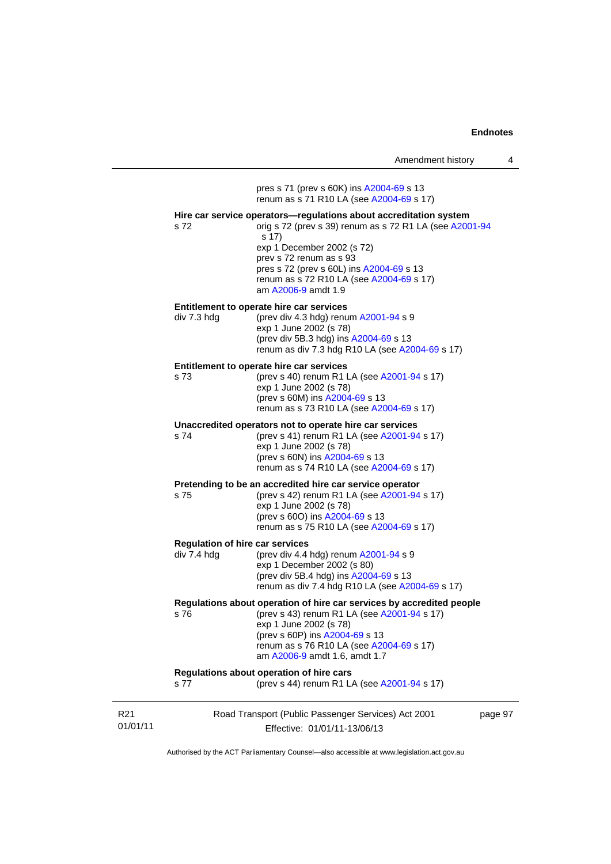| Amendment history |  |
|-------------------|--|
|-------------------|--|

01/01/11 Road Transport (Public Passenger Services) Act 2001 Effective: 01/01/11-13/06/13 page 97 pres s 71 (prev s 60K) ins [A2004-69](http://www.legislation.act.gov.au/a/2004-69) s 13 renum as s 71 R10 LA (see [A2004-69](http://www.legislation.act.gov.au/a/2004-69) s 17) **Hire car service operators—regulations about accreditation system**  s 72 orig s 72 (prev s 39) renum as s 72 R1 LA (see [A2001-94](http://www.legislation.act.gov.au/a/2001-94) s 17) exp 1 December 2002 (s 72) prev s 72 renum as s 93 pres s 72 (prev s 60L) ins [A2004-69](http://www.legislation.act.gov.au/a/2004-69) s 13 renum as s 72 R10 LA (see [A2004-69](http://www.legislation.act.gov.au/a/2004-69) s 17) am [A2006-9](http://www.legislation.act.gov.au/a/2006-9) amdt 1.9 **Entitlement to operate hire car services**  div 7.3 hdg (prev div 4.3 hdg) renum [A2001-94](http://www.legislation.act.gov.au/a/2001-94) s 9 exp 1 June 2002 (s 78) (prev div 5B.3 hdg) ins [A2004-69](http://www.legislation.act.gov.au/a/2004-69) s 13 renum as div 7.3 hdg R10 LA (see [A2004-69](http://www.legislation.act.gov.au/a/2004-69) s 17) **Entitlement to operate hire car services**  s 73 (prev s 40) renum R1 LA (see [A2001-94](http://www.legislation.act.gov.au/a/2001-94) s 17) exp 1 June 2002 (s 78) (prev s 60M) ins [A2004-69](http://www.legislation.act.gov.au/a/2004-69) s 13 renum as s 73 R10 LA (see [A2004-69](http://www.legislation.act.gov.au/a/2004-69) s 17) **Unaccredited operators not to operate hire car services**  s 74 (prev s 41) renum R1 LA (see [A2001-94](http://www.legislation.act.gov.au/a/2001-94) s 17) exp 1 June 2002 (s 78) (prev s 60N) ins [A2004-69](http://www.legislation.act.gov.au/a/2004-69) s 13 renum as s 74 R10 LA (see [A2004-69](http://www.legislation.act.gov.au/a/2004-69) s 17) **Pretending to be an accredited hire car service operator**  s 75 (prev s 42) renum R1 LA (see [A2001-94](http://www.legislation.act.gov.au/a/2001-94) s 17) exp 1 June 2002 (s 78) (prev s 60O) ins [A2004-69](http://www.legislation.act.gov.au/a/2004-69) s 13 renum as s 75 R10 LA (see [A2004-69](http://www.legislation.act.gov.au/a/2004-69) s 17) **Regulation of hire car services**  div 7.4 hdg (prev div 4.4 hdg) renum [A2001-94](http://www.legislation.act.gov.au/a/2001-94) s 9 exp 1 December 2002 (s 80) (prev div 5B.4 hdg) ins [A2004-69](http://www.legislation.act.gov.au/a/2004-69) s 13 renum as div 7.4 hdg R10 LA (see [A2004-69](http://www.legislation.act.gov.au/a/2004-69) s 17) **Regulations about operation of hire car services by accredited people**  s 76 (prev s 43) renum R1 LA (see [A2001-94](http://www.legislation.act.gov.au/a/2001-94) s 17) exp 1 June 2002 (s 78) (prev s 60P) ins [A2004-69](http://www.legislation.act.gov.au/a/2004-69) s 13 renum as s 76 R10 LA (see [A2004-69](http://www.legislation.act.gov.au/a/2004-69) s 17) am [A2006-9](http://www.legislation.act.gov.au/a/2006-9) amdt 1.6, amdt 1.7 **Regulations about operation of hire cars**  s 77 (prev s 44) renum R1 LA (see [A2001-94](http://www.legislation.act.gov.au/a/2001-94) s 17)

Authorised by the ACT Parliamentary Counsel—also accessible at www.legislation.act.gov.au

R21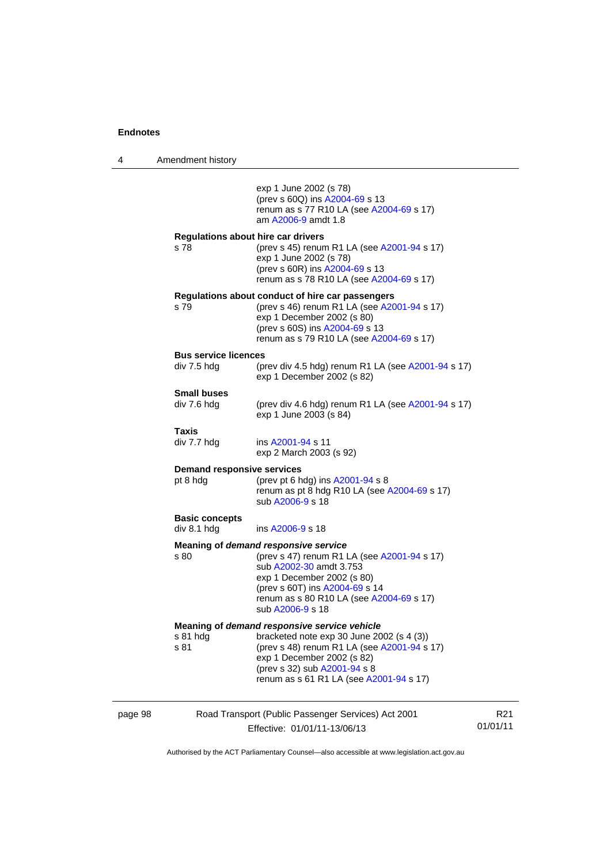4 Amendment history exp 1 June 2002 (s 78) (prev s 60Q) ins [A2004-69](http://www.legislation.act.gov.au/a/2004-69) s 13 renum as s 77 R10 LA (see [A2004-69](http://www.legislation.act.gov.au/a/2004-69) s 17) am [A2006-9](http://www.legislation.act.gov.au/a/2006-9) amdt 1.8 **Regulations about hire car drivers**  s 78 (prev s 45) renum R1 LA (see [A2001-94](http://www.legislation.act.gov.au/a/2001-94) s 17) exp 1 June 2002 (s 78) (prev s 60R) ins [A2004-69](http://www.legislation.act.gov.au/a/2004-69) s 13 renum as s 78 R10 LA (see [A2004-69](http://www.legislation.act.gov.au/a/2004-69) s 17) **Regulations about conduct of hire car passengers**  s 79 (prev s 46) renum R1 LA (see [A2001-94](http://www.legislation.act.gov.au/a/2001-94) s 17) exp 1 December 2002 (s 80) (prev s 60S) ins [A2004-69](http://www.legislation.act.gov.au/a/2004-69) s 13 renum as s 79 R10 LA (see [A2004-69](http://www.legislation.act.gov.au/a/2004-69) s 17) **Bus service licences**<br>div 7.5 hdg (pi (prev div 4.5 hdg) renum R1 LA (see  $A2001-94$  s 17) exp 1 December 2002 (s 82) **Small buses**  (prev div 4.6 hdg) renum R1 LA (see  $A2001-94$  s 17) exp 1 June 2003 (s 84) **Taxis**  div 7.7 hdg ins [A2001-94](http://www.legislation.act.gov.au/a/2001-94) s 11 exp 2 March 2003 (s 92) **Demand responsive services**  pt 8 hdg (prev pt 6 hdg) ins [A2001-94](http://www.legislation.act.gov.au/a/2001-94) s 8 renum as pt  $8$  hdg R10 LA (see [A2004-69](http://www.legislation.act.gov.au/a/2004-69) s 17) sub [A2006-9](http://www.legislation.act.gov.au/a/2006-9) s 18 **Basic concepts**  div 8.1 hdg ins [A2006-9](http://www.legislation.act.gov.au/a/2006-9) s 18 **Meaning of** *demand responsive service* s 80 (prev s 47) renum R1 LA (see [A2001-94](http://www.legislation.act.gov.au/a/2001-94) s 17) sub [A2002-30](http://www.legislation.act.gov.au/a/2002-30) amdt 3.753 exp 1 December 2002 (s 80) (prev s 60T) ins [A2004-69](http://www.legislation.act.gov.au/a/2004-69) s 14 renum as s 80 R10 LA (see [A2004-69](http://www.legislation.act.gov.au/a/2004-69) s 17) sub [A2006-9](http://www.legislation.act.gov.au/a/2006-9) s 18 **Meaning of** *demand responsive service vehicle*<br>s 81 hdg bracketed note exp 30 June 20 bracketed note exp 30 June 2002 (s  $4$  (3)) s 81 (prev s 48) renum R1 LA (see [A2001-94](http://www.legislation.act.gov.au/a/2001-94) s 17) exp 1 December 2002 (s 82) (prev s 32) sub [A2001-94](http://www.legislation.act.gov.au/a/2001-94) s 8 renum as s 61 R1 LA (see [A2001-94](http://www.legislation.act.gov.au/a/2001-94) s 17)

| page 98 | Road Transport (Public Passenger Services) Act 2001 | R21      |
|---------|-----------------------------------------------------|----------|
|         | Effective: 01/01/11-13/06/13                        | 01/01/11 |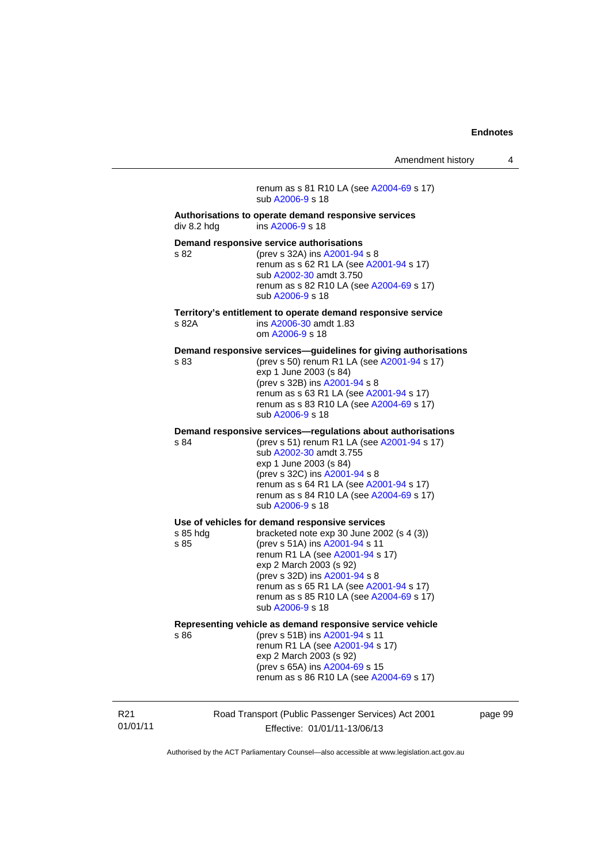renum as s 81 R10 LA (see [A2004-69](http://www.legislation.act.gov.au/a/2004-69) s 17) sub [A2006-9](http://www.legislation.act.gov.au/a/2006-9) s 18 **Authorisations to operate demand responsive services**  div 8.2 hdg ins [A2006-9](http://www.legislation.act.gov.au/a/2006-9) s 18 **Demand responsive service authorisations**  s 82 (prev s 32A) ins [A2001-94](http://www.legislation.act.gov.au/a/2001-94) s 8 renum as s 62 R1 LA (see [A2001-94](http://www.legislation.act.gov.au/a/2001-94) s 17) sub [A2002-30](http://www.legislation.act.gov.au/a/2002-30) amdt 3.750 renum as s 82 R10 LA (see [A2004-69](http://www.legislation.act.gov.au/a/2004-69) s 17) sub [A2006-9](http://www.legislation.act.gov.au/a/2006-9) s 18 **Territory's entitlement to operate demand responsive service**  ins [A2006-30](http://www.legislation.act.gov.au/a/2006-30) amdt 1.83 om [A2006-9](http://www.legislation.act.gov.au/a/2006-9) s 18 **Demand responsive services—guidelines for giving authorisations**  s 83 (prev s 50) renum R1 LA (see [A2001-94](http://www.legislation.act.gov.au/a/2001-94) s 17) exp 1 June 2003 (s 84) (prev s 32B) ins [A2001-94](http://www.legislation.act.gov.au/a/2001-94) s 8 renum as s 63 R1 LA (see [A2001-94](http://www.legislation.act.gov.au/a/2001-94) s 17) renum as s 83 R10 LA (see [A2004-69](http://www.legislation.act.gov.au/a/2004-69) s 17) sub [A2006-9](http://www.legislation.act.gov.au/a/2006-9) s 18 **Demand responsive services—regulations about authorisations**  s 84 (prev s 51) renum R1 LA (see [A2001-94](http://www.legislation.act.gov.au/a/2001-94) s 17) sub [A2002-30](http://www.legislation.act.gov.au/a/2002-30) amdt 3.755 exp 1 June 2003 (s 84) (prev s 32C) ins [A2001-94](http://www.legislation.act.gov.au/a/2001-94) s 8 renum as s 64 R1 LA (see [A2001-94](http://www.legislation.act.gov.au/a/2001-94) s 17) renum as s 84 R10 LA (see [A2004-69](http://www.legislation.act.gov.au/a/2004-69) s 17) sub [A2006-9](http://www.legislation.act.gov.au/a/2006-9) s 18 **Use of vehicles for demand responsive services**  s 85 hdg bracketed note exp 30 June 2002 (s 4 (3))<br>s 85 (prev s 51A) ins A2001-94 s 11 (prev s 51A) ins [A2001-94](http://www.legislation.act.gov.au/a/2001-94) s 11 renum R1 LA (see [A2001-94](http://www.legislation.act.gov.au/a/2001-94) s 17) exp 2 March 2003 (s 92) (prev s 32D) ins [A2001-94](http://www.legislation.act.gov.au/a/2001-94) s 8 renum as s 65 R1 LA (see [A2001-94](http://www.legislation.act.gov.au/a/2001-94) s 17) renum as s 85 R10 LA (see [A2004-69](http://www.legislation.act.gov.au/a/2004-69) s 17) sub [A2006-9](http://www.legislation.act.gov.au/a/2006-9) s 18 **Representing vehicle as demand responsive service vehicle**  s 86 (prev s 51B) ins [A2001-94](http://www.legislation.act.gov.au/a/2001-94) s 11 renum R1 LA (see [A2001-94](http://www.legislation.act.gov.au/a/2001-94) s 17) exp 2 March 2003 (s 92) (prev s 65A) ins [A2004-69](http://www.legislation.act.gov.au/a/2004-69) s 15 renum as s 86 R10 LA (see [A2004-69](http://www.legislation.act.gov.au/a/2004-69) s 17)

R21 01/01/11 Road Transport (Public Passenger Services) Act 2001 Effective: 01/01/11-13/06/13

page 99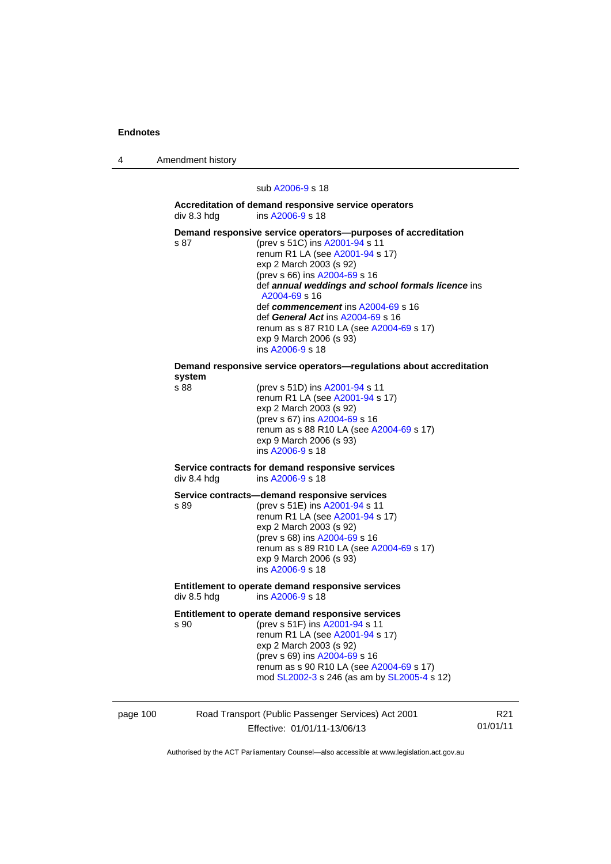4 Amendment history

sub [A2006-9](http://www.legislation.act.gov.au/a/2006-9) s 18

**Accreditation of demand responsive service operators**  div 8.3 hdg ins [A2006-9](http://www.legislation.act.gov.au/a/2006-9) s 18

**Demand responsive service operators—purposes of accreditation <br>s 87 (prev s 51C) ins A2001-94 s 11** (prev s 51C) ins [A2001-94](http://www.legislation.act.gov.au/a/2001-94) s 11 renum R1 LA (see [A2001-94](http://www.legislation.act.gov.au/a/2001-94) s 17) exp 2 March 2003 (s 92) (prev s 66) ins [A2004-69](http://www.legislation.act.gov.au/a/2004-69) s 16 def *annual weddings and school formals licence* ins [A2004-69](http://www.legislation.act.gov.au/a/2004-69) s 16 def *commencement* ins [A2004-69](http://www.legislation.act.gov.au/a/2004-69) s 16 def *General Act* ins [A2004-69](http://www.legislation.act.gov.au/a/2004-69) s 16 renum as s 87 R10 LA (see [A2004-69](http://www.legislation.act.gov.au/a/2004-69) s 17) exp 9 March 2006 (s 93) ins [A2006-9](http://www.legislation.act.gov.au/a/2006-9) s 18 **Demand responsive service operators—regulations about accreditation system**  (prev s 51D) ins [A2001-94](http://www.legislation.act.gov.au/a/2001-94) s 11 renum R1 LA (see [A2001-94](http://www.legislation.act.gov.au/a/2001-94) s 17) exp 2 March 2003 (s 92) (prev s 67) ins [A2004-69](http://www.legislation.act.gov.au/a/2004-69) s 16 renum as s 88 R10 LA (see [A2004-69](http://www.legislation.act.gov.au/a/2004-69) s 17) exp 9 March 2006 (s 93) ins [A2006-9](http://www.legislation.act.gov.au/a/2006-9) s 18 **Service contracts for demand responsive services**  ins  $A2006 - 9 s 18$ **Service contracts—demand responsive services**  s 89 (prev s 51E) ins [A2001-94](http://www.legislation.act.gov.au/a/2001-94) s 11 renum R1 LA (see [A2001-94](http://www.legislation.act.gov.au/a/2001-94) s 17) exp 2 March 2003 (s 92) (prev s 68) ins [A2004-69](http://www.legislation.act.gov.au/a/2004-69) s 16 renum as s 89 R10 LA (see [A2004-69](http://www.legislation.act.gov.au/a/2004-69) s 17) exp 9 March 2006 (s 93) ins [A2006-9](http://www.legislation.act.gov.au/a/2006-9) s 18 **Entitlement to operate demand responsive services**  div 8.5 hdg ins [A2006-9](http://www.legislation.act.gov.au/a/2006-9) s 18 **Entitlement to operate demand responsive services**  s 90 (prev s 51F) ins [A2001-94](http://www.legislation.act.gov.au/a/2001-94) s 11 renum R1 LA (see [A2001-94](http://www.legislation.act.gov.au/a/2001-94) s 17) exp 2 March 2003 (s 92) (prev s 69) ins [A2004-69](http://www.legislation.act.gov.au/a/2004-69) s 16 renum as s 90 R10 LA (see [A2004-69](http://www.legislation.act.gov.au/a/2004-69) s 17) mod [SL2002-3](http://www.legislation.act.gov.au/sl/2002-3) s 246 (as am by [SL2005-4](http://www.legislation.act.gov.au/sl/2005-4) s 12)

| page 100 | Road Transport (Public Passenger Services) Act 2001 |          |
|----------|-----------------------------------------------------|----------|
|          | Effective: 01/01/11-13/06/13                        | 01/01/11 |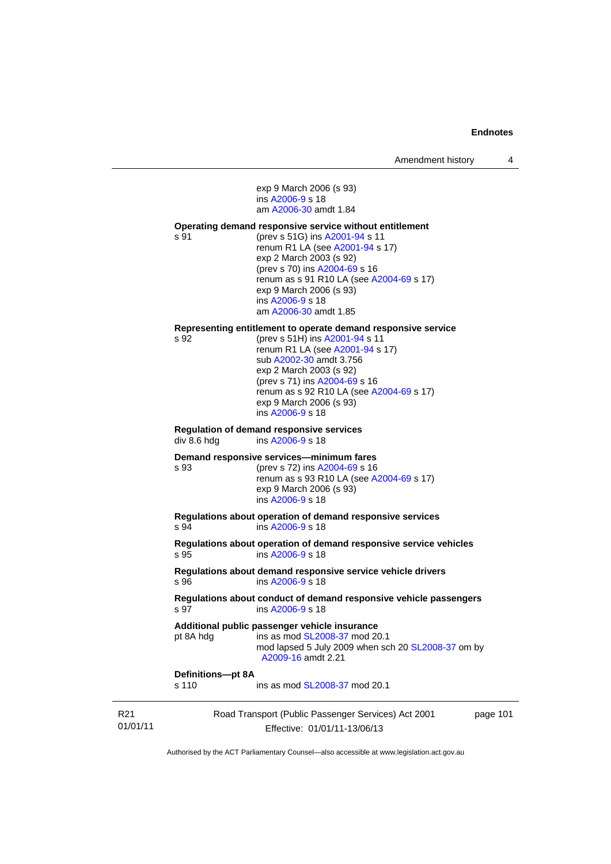exp 9 March 2006 (s 93) ins [A2006-9](http://www.legislation.act.gov.au/a/2006-9) s 18 am [A2006-30](http://www.legislation.act.gov.au/a/2006-30) amdt 1.84

#### **Operating demand responsive service without entitlement**

s 91 (prev s 51G) ins [A2001-94](http://www.legislation.act.gov.au/a/2001-94) s 11 renum R1 LA (see [A2001-94](http://www.legislation.act.gov.au/a/2001-94) s 17) exp 2 March 2003 (s 92) (prev s 70) ins [A2004-69](http://www.legislation.act.gov.au/a/2004-69) s 16 renum as s 91 R10 LA (see [A2004-69](http://www.legislation.act.gov.au/a/2004-69) s 17) exp 9 March 2006 (s 93) ins [A2006-9](http://www.legislation.act.gov.au/a/2006-9) s 18 am [A2006-30](http://www.legislation.act.gov.au/a/2006-30) amdt 1.85

#### **Representing entitlement to operate demand responsive service**

s 92 (prev s 51H) ins [A2001-94](http://www.legislation.act.gov.au/a/2001-94) s 11 renum R1 LA (see [A2001-94](http://www.legislation.act.gov.au/a/2001-94) s 17) sub [A2002-30](http://www.legislation.act.gov.au/a/2002-30) amdt 3.756 exp 2 March 2003 (s 92) (prev s 71) ins [A2004-69](http://www.legislation.act.gov.au/a/2004-69) s 16 renum as s 92 R10 LA (see [A2004-69](http://www.legislation.act.gov.au/a/2004-69) s 17) exp 9 March 2006 (s 93) ins [A2006-9](http://www.legislation.act.gov.au/a/2006-9) s 18 **Regulation of demand responsive services**  div 8.6 hdg ins [A2006-9](http://www.legislation.act.gov.au/a/2006-9) s 18

## **Demand responsive services—minimum fares**

s 93 (prev s 72) ins [A2004-69](http://www.legislation.act.gov.au/a/2004-69) s 16 renum as s 93 R10 LA (see [A2004-69](http://www.legislation.act.gov.au/a/2004-69) s 17) exp 9 March 2006 (s 93) ins [A2006-9](http://www.legislation.act.gov.au/a/2006-9) s 18

**Regulations about operation of demand responsive services**  s 94 ins [A2006-9](http://www.legislation.act.gov.au/a/2006-9) s 18

**Regulations about operation of demand responsive service vehicles**  s 95 ins [A2006-9](http://www.legislation.act.gov.au/a/2006-9) s 18

**Regulations about demand responsive service vehicle drivers**  s 96 ins [A2006-9](http://www.legislation.act.gov.au/a/2006-9) s 18

**Regulations about conduct of demand responsive vehicle passengers**  s 97 ins [A2006-9](http://www.legislation.act.gov.au/a/2006-9) s 18

## **Additional public passenger vehicle insurance**

pt 8A hdg ins as mod [SL2008-37](http://www.legislation.act.gov.au/sl/2008-37) mod 20.1

mod lapsed 5 July 2009 when sch 20 [SL2008-37](http://www.legislation.act.gov.au/sl/2008-37) om by [A2009-16](http://www.legislation.act.gov.au/a/2009-16) amdt 2.21

# **Definitions—pt 8A**

s 110 ins as mod **SL2008-37** mod 20.1

R21 01/01/11 Road Transport (Public Passenger Services) Act 2001 Effective: 01/01/11-13/06/13 page 101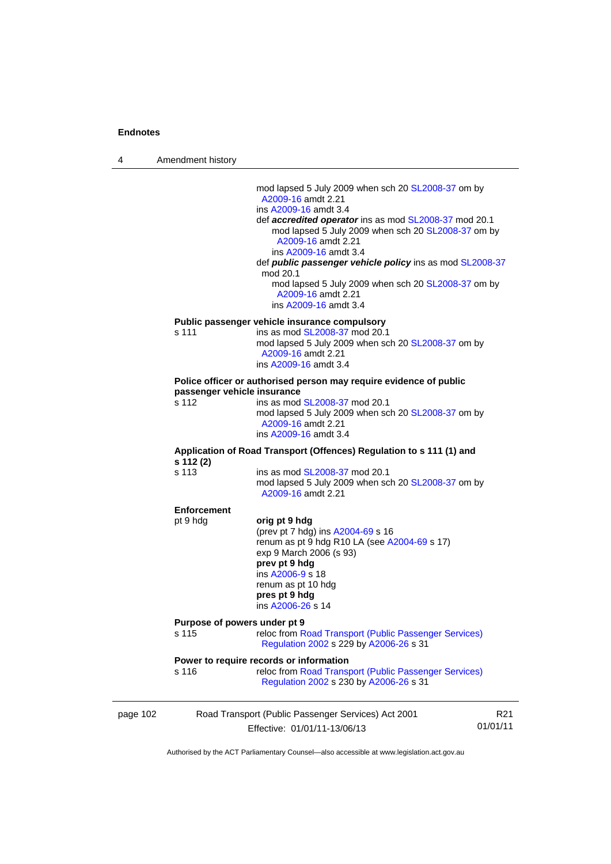4 Amendment history

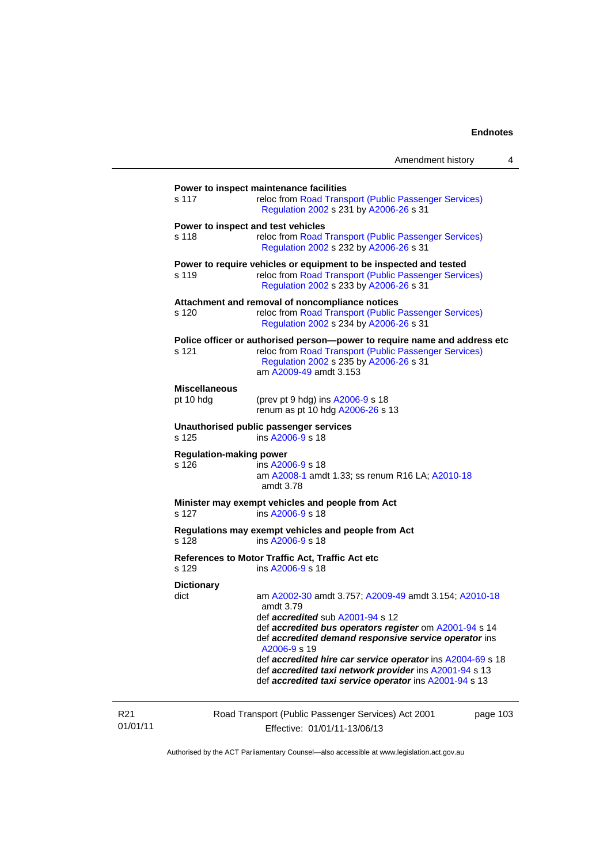|                                             | Amendment history                                                                                                                                                                                                                                                                                                                                                                                                           | 4 |
|---------------------------------------------|-----------------------------------------------------------------------------------------------------------------------------------------------------------------------------------------------------------------------------------------------------------------------------------------------------------------------------------------------------------------------------------------------------------------------------|---|
| s 117                                       | Power to inspect maintenance facilities<br>reloc from Road Transport (Public Passenger Services)<br>Regulation 2002 s 231 by A2006-26 s 31                                                                                                                                                                                                                                                                                  |   |
| Power to inspect and test vehicles<br>s 118 | reloc from Road Transport (Public Passenger Services)<br>Regulation 2002 s 232 by A2006-26 s 31                                                                                                                                                                                                                                                                                                                             |   |
| s 119                                       | Power to require vehicles or equipment to be inspected and tested<br>reloc from Road Transport (Public Passenger Services)<br>Regulation 2002 s 233 by A2006-26 s 31                                                                                                                                                                                                                                                        |   |
| s 120                                       | Attachment and removal of noncompliance notices<br>reloc from Road Transport (Public Passenger Services)<br>Regulation 2002 s 234 by A2006-26 s 31                                                                                                                                                                                                                                                                          |   |
| s 121                                       | Police officer or authorised person--power to require name and address etc<br>reloc from Road Transport (Public Passenger Services)<br>Regulation 2002 s 235 by A2006-26 s 31<br>am A2009-49 amdt 3.153                                                                                                                                                                                                                     |   |
| <b>Miscellaneous</b><br>pt 10 hdg           | (prev pt 9 hdg) ins A2006-9 s 18<br>renum as pt 10 hdg A2006-26 s 13                                                                                                                                                                                                                                                                                                                                                        |   |
| s 125                                       | Unauthorised public passenger services<br>ins A2006-9 s 18                                                                                                                                                                                                                                                                                                                                                                  |   |
| <b>Regulation-making power</b><br>s 126     | ins A2006-9 s 18<br>am A2008-1 amdt 1.33; ss renum R16 LA; A2010-18<br>amdt 3.78                                                                                                                                                                                                                                                                                                                                            |   |
| s 127                                       | Minister may exempt vehicles and people from Act<br>ins A2006-9 s 18                                                                                                                                                                                                                                                                                                                                                        |   |
| s 128                                       | Regulations may exempt vehicles and people from Act<br>ins A2006-9 s 18                                                                                                                                                                                                                                                                                                                                                     |   |
| s 129                                       | References to Motor Traffic Act, Traffic Act etc<br>ins A2006-9 s 18                                                                                                                                                                                                                                                                                                                                                        |   |
| <b>Dictionary</b><br>dict                   | am A2002-30 amdt 3.757; A2009-49 amdt 3.154; A2010-18<br>amdt 3.79<br>def accredited sub A2001-94 s 12<br>def accredited bus operators register om A2001-94 s 14<br>def accredited demand responsive service operator ins<br>A2006-9 s 19<br>def accredited hire car service operator ins A2004-69 s 18<br>def accredited taxi network provider ins A2001-94 s 13<br>def accredited taxi service operator ins A2001-94 s 13 |   |

R21 01/01/11 Road Transport (Public Passenger Services) Act 2001 Effective: 01/01/11-13/06/13

page 103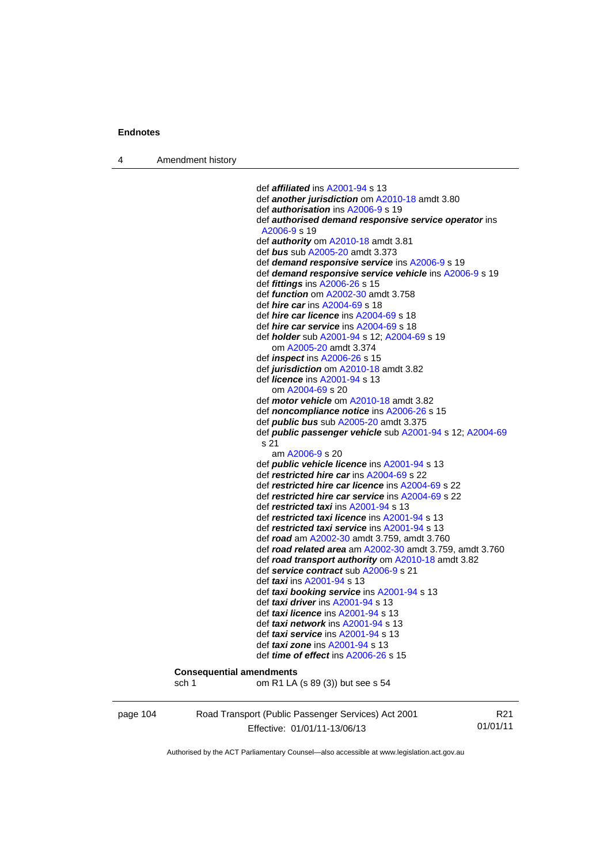4 Amendment history

 def *affiliated* ins [A2001-94](http://www.legislation.act.gov.au/a/2001-94) s 13 def *another jurisdiction* om [A2010-18](http://www.legislation.act.gov.au/a/2010-18) amdt 3.80 def *authorisation* ins [A2006-9](http://www.legislation.act.gov.au/a/2006-9) s 19 def *authorised demand responsive service operator* ins [A2006-9](http://www.legislation.act.gov.au/a/2006-9) s 19 def *authority* om [A2010-18](http://www.legislation.act.gov.au/a/2010-18) amdt 3.81 def *bus* sub [A2005-20](http://www.legislation.act.gov.au/a/2005-20) amdt 3.373 def *demand responsive service* ins [A2006-9](http://www.legislation.act.gov.au/a/2006-9) s 19 def *demand responsive service vehicle* ins [A2006-9](http://www.legislation.act.gov.au/a/2006-9) s 19 def *fittings* ins [A2006-26](http://www.legislation.act.gov.au/a/2006-26) s 15 def *function* om [A2002-30](http://www.legislation.act.gov.au/a/2002-30) amdt 3.758 def *hire car* ins [A2004-69](http://www.legislation.act.gov.au/a/2004-69) s 18 def *hire car licence* ins [A2004-69](http://www.legislation.act.gov.au/a/2004-69) s 18 def *hire car service* ins [A2004-69](http://www.legislation.act.gov.au/a/2004-69) s 18 def *holder* sub [A2001-94](http://www.legislation.act.gov.au/a/2001-94) s 12; [A2004-69](http://www.legislation.act.gov.au/a/2004-69) s 19 om [A2005-20](http://www.legislation.act.gov.au/a/2005-20) amdt 3.374 def *inspect* ins [A2006-26](http://www.legislation.act.gov.au/a/2006-26) s 15 def *jurisdiction* om [A2010-18](http://www.legislation.act.gov.au/a/2010-18) amdt 3.82 def *licence* ins [A2001-94](http://www.legislation.act.gov.au/a/2001-94) s 13 om [A2004-69](http://www.legislation.act.gov.au/a/2004-69) s 20 def *motor vehicle* om [A2010-18](http://www.legislation.act.gov.au/a/2010-18) amdt 3.82 def *noncompliance notice* ins [A2006-26](http://www.legislation.act.gov.au/a/2006-26) s 15 def *public bus* sub [A2005-20](http://www.legislation.act.gov.au/a/2005-20) amdt 3.375 def *public passenger vehicle* sub [A2001-94](http://www.legislation.act.gov.au/a/2001-94) s 12; [A2004-69](http://www.legislation.act.gov.au/a/2004-69) s 21 am [A2006-9](http://www.legislation.act.gov.au/a/2006-9) s 20 def *public vehicle licence* ins [A2001-94](http://www.legislation.act.gov.au/a/2001-94) s 13 def *restricted hire car* ins [A2004-69](http://www.legislation.act.gov.au/a/2004-69) s 22 def *restricted hire car licence* ins [A2004-69](http://www.legislation.act.gov.au/a/2004-69) s 22 def *restricted hire car service* ins [A2004-69](http://www.legislation.act.gov.au/a/2004-69) s 22 def *restricted taxi* ins [A2001-94](http://www.legislation.act.gov.au/a/2001-94) s 13 def *restricted taxi licence* ins [A2001-94](http://www.legislation.act.gov.au/a/2001-94) s 13 def *restricted taxi service* ins [A2001-94](http://www.legislation.act.gov.au/a/2001-94) s 13 def *road* am [A2002-30](http://www.legislation.act.gov.au/a/2002-30) amdt 3.759, amdt 3.760 def *road related area* am [A2002-30](http://www.legislation.act.gov.au/a/2002-30) amdt 3.759, amdt 3.760 def *road transport authority* om [A2010-18](http://www.legislation.act.gov.au/a/2010-18) amdt 3.82 def *service contract* sub [A2006-9](http://www.legislation.act.gov.au/a/2006-9) s 21 def *taxi* ins [A2001-94](http://www.legislation.act.gov.au/a/2001-94) s 13 def *taxi booking service* ins [A2001-94](http://www.legislation.act.gov.au/a/2001-94) s 13 def *taxi driver* ins [A2001-94](http://www.legislation.act.gov.au/a/2001-94) s 13 def *taxi licence* ins [A2001-94](http://www.legislation.act.gov.au/a/2001-94) s 13 def *taxi network* ins [A2001-94](http://www.legislation.act.gov.au/a/2001-94) s 13 def *taxi service* ins [A2001-94](http://www.legislation.act.gov.au/a/2001-94) s 13 def *taxi zone* ins [A2001-94](http://www.legislation.act.gov.au/a/2001-94) s 13 def *time of effect* ins [A2006-26](http://www.legislation.act.gov.au/a/2006-26) s 15 **Consequential amendments**  sch 1 om R1 LA (s 89 (3)) but see s 54

page 104 Road Transport (Public Passenger Services) Act 2001 Effective: 01/01/11-13/06/13

R21 01/01/11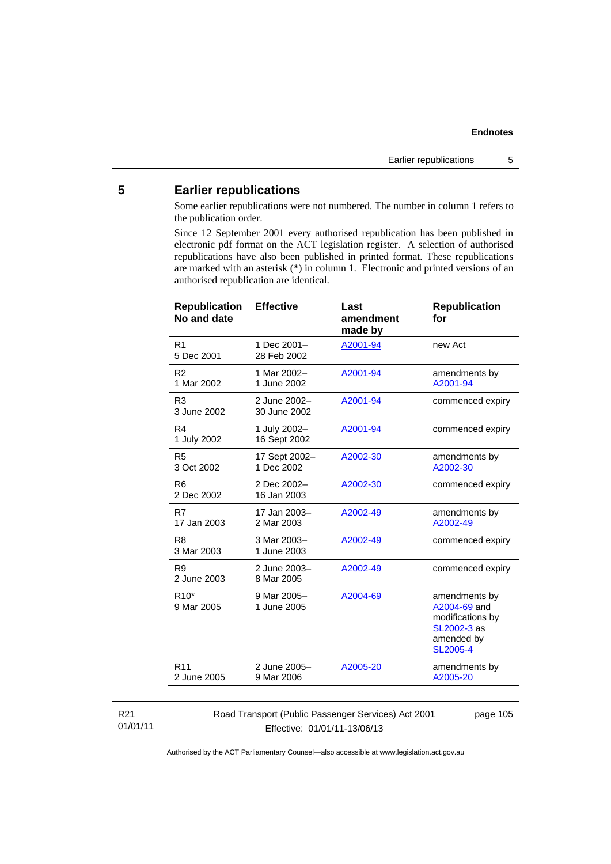# **5 Earlier republications**

Some earlier republications were not numbered. The number in column 1 refers to the publication order.

Since 12 September 2001 every authorised republication has been published in electronic pdf format on the ACT legislation register. A selection of authorised republications have also been published in printed format. These republications are marked with an asterisk (\*) in column 1. Electronic and printed versions of an authorised republication are identical.

| <b>Republication</b><br>No and date | <b>Effective</b>             | Last<br>amendment<br>made by | <b>Republication</b><br>for                                                                       |
|-------------------------------------|------------------------------|------------------------------|---------------------------------------------------------------------------------------------------|
| R <sub>1</sub><br>5 Dec 2001        | 1 Dec 2001-<br>28 Feb 2002   | A2001-94                     | new Act                                                                                           |
| R <sub>2</sub><br>1 Mar 2002        | 1 Mar 2002-<br>1 June 2002   | A2001-94                     | amendments by<br>A2001-94                                                                         |
| R <sub>3</sub><br>3 June 2002       | 2 June 2002-<br>30 June 2002 | A2001-94                     | commenced expiry                                                                                  |
| R <sub>4</sub><br>1 July 2002       | 1 July 2002-<br>16 Sept 2002 | A2001-94                     | commenced expiry                                                                                  |
| R <sub>5</sub><br>3 Oct 2002        | 17 Sept 2002-<br>1 Dec 2002  | A2002-30                     | amendments by<br>A2002-30                                                                         |
| R <sub>6</sub><br>2 Dec 2002        | 2 Dec 2002-<br>16 Jan 2003   | A2002-30                     | commenced expiry                                                                                  |
| R7<br>17 Jan 2003                   | 17 Jan 2003-<br>2 Mar 2003   | A2002-49                     | amendments by<br>A2002-49                                                                         |
| R8<br>3 Mar 2003                    | 3 Mar 2003-<br>1 June 2003   | A2002-49                     | commenced expiry                                                                                  |
| R9<br>2 June 2003                   | 2 June 2003-<br>8 Mar 2005   | A2002-49                     | commenced expiry                                                                                  |
| $R10*$<br>9 Mar 2005                | 9 Mar 2005-<br>1 June 2005   | A2004-69                     | amendments by<br>A2004-69 and<br>modifications by<br>SL2002-3 as<br>amended by<br><b>SL2005-4</b> |
| R <sub>11</sub><br>2 June 2005      | 2 June 2005-<br>9 Mar 2006   | A2005-20                     | amendments by<br>A2005-20                                                                         |
|                                     |                              |                              |                                                                                                   |

### R21 01/01/11

Road Transport (Public Passenger Services) Act 2001 Effective: 01/01/11-13/06/13

page 105